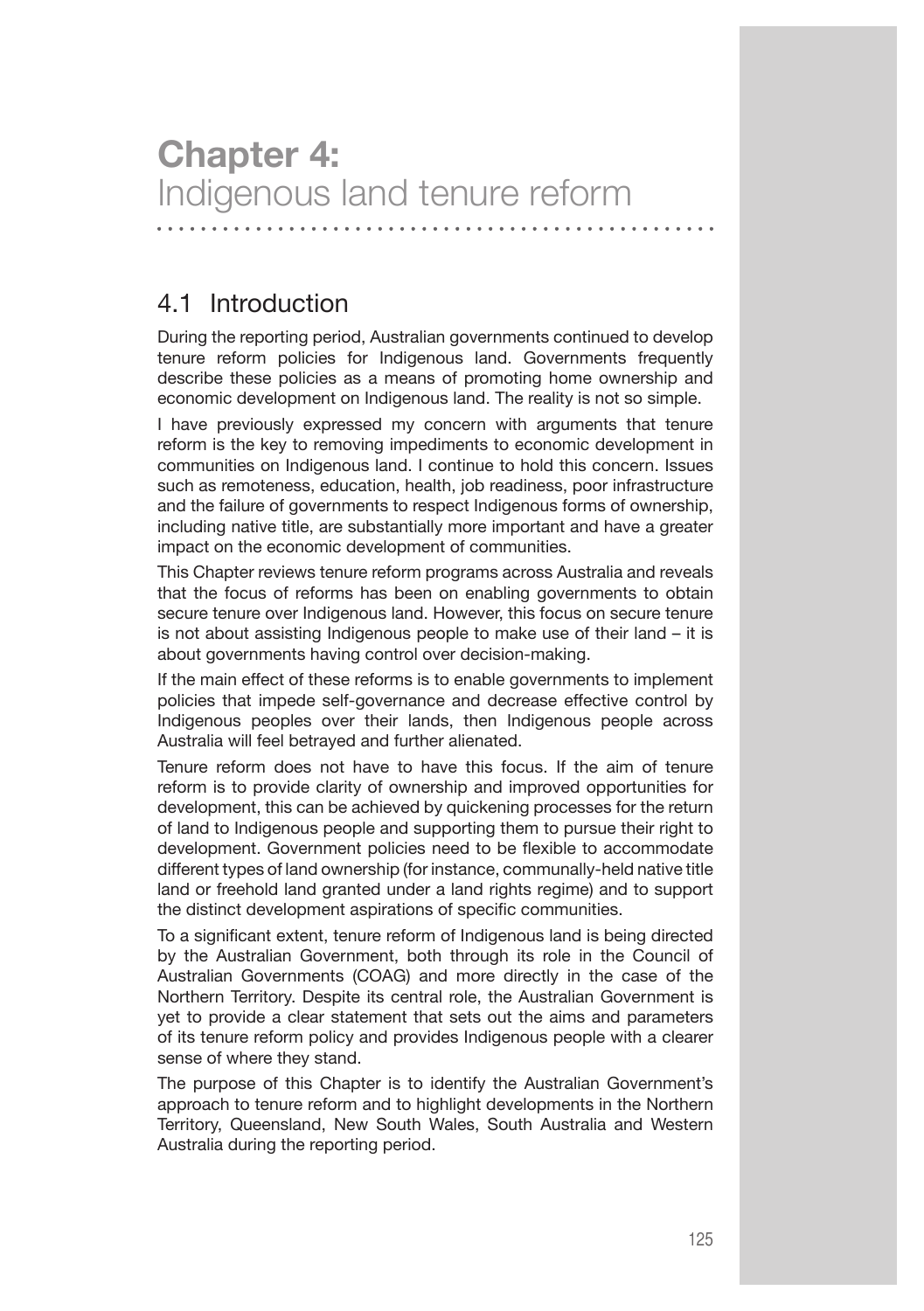# **Chapter 4:** Indigenous land tenure reform

4.1 Introduction

During the reporting period, Australian governments continued to develop tenure reform policies for Indigenous land. Governments frequently describe these policies as a means of promoting home ownership and economic development on Indigenous land. The reality is not so simple.

I have previously expressed my concern with arguments that tenure reform is the key to removing impediments to economic development in communities on Indigenous land. I continue to hold this concern. Issues such as remoteness, education, health, job readiness, poor infrastructure and the failure of governments to respect Indigenous forms of ownership, including native title, are substantially more important and have a greater impact on the economic development of communities.

This Chapter reviews tenure reform programs across Australia and reveals that the focus of reforms has been on enabling governments to obtain secure tenure over Indigenous land. However, this focus on secure tenure is not about assisting Indigenous people to make use of their land – it is about governments having control over decision-making.

If the main effect of these reforms is to enable governments to implement policies that impede self-governance and decrease effective control by Indigenous peoples over their lands, then Indigenous people across Australia will feel betrayed and further alienated.

Tenure reform does not have to have this focus. If the aim of tenure reform is to provide clarity of ownership and improved opportunities for development, this can be achieved by quickening processes for the return of land to Indigenous people and supporting them to pursue their right to development. Government policies need to be flexible to accommodate different types of land ownership (for instance, communally-held native title land or freehold land granted under a land rights regime) and to support the distinct development aspirations of specific communities.

To a significant extent, tenure reform of Indigenous land is being directed by the Australian Government, both through its role in the Council of Australian Governments (COAG) and more directly in the case of the Northern Territory. Despite its central role, the Australian Government is yet to provide a clear statement that sets out the aims and parameters of its tenure reform policy and provides Indigenous people with a clearer sense of where they stand.

The purpose of this Chapter is to identify the Australian Government's approach to tenure reform and to highlight developments in the Northern Territory, Queensland, New South Wales, South Australia and Western Australia during the reporting period.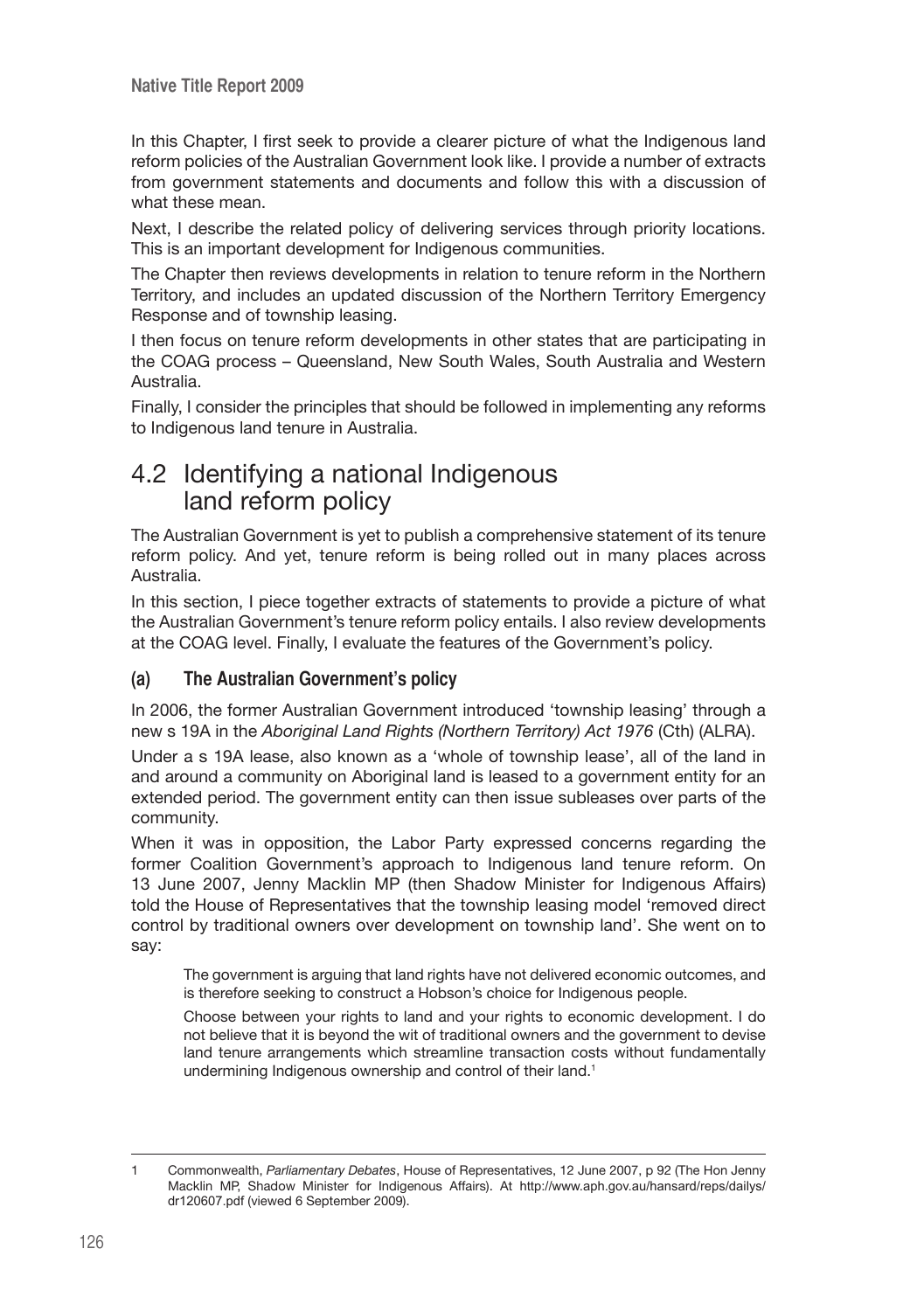In this Chapter, I first seek to provide a clearer picture of what the Indigenous land reform policies of the Australian Government look like. I provide a number of extracts from government statements and documents and follow this with a discussion of what these mean.

Next, I describe the related policy of delivering services through priority locations. This is an important development for Indigenous communities.

The Chapter then reviews developments in relation to tenure reform in the Northern Territory, and includes an updated discussion of the Northern Territory Emergency Response and of township leasing.

I then focus on tenure reform developments in other states that are participating in the COAG process – Queensland, New South Wales, South Australia and Western Australia.

Finally, I consider the principles that should be followed in implementing any reforms to Indigenous land tenure in Australia.

# 4.2 Identifying a national Indigenous land reform policy

The Australian Government is yet to publish a comprehensive statement of its tenure reform policy. And yet, tenure reform is being rolled out in many places across Australia.

In this section, I piece together extracts of statements to provide a picture of what the Australian Government's tenure reform policy entails. I also review developments at the COAG level. Finally, I evaluate the features of the Government's policy.

# **(a) The Australian Government's policy**

In 2006, the former Australian Government introduced 'township leasing' through a new s 19A in the *Aboriginal Land Rights (Northern Territory) Act 1976* (Cth) (ALRA).

Under a s 19A lease, also known as a 'whole of township lease', all of the land in and around a community on Aboriginal land is leased to a government entity for an extended period. The government entity can then issue subleases over parts of the community.

When it was in opposition, the Labor Party expressed concerns regarding the former Coalition Government's approach to Indigenous land tenure reform. On 13 June 2007, Jenny Macklin MP (then Shadow Minister for Indigenous Affairs) told the House of Representatives that the township leasing model 'removed direct control by traditional owners over development on township land'. She went on to say:

The government is arguing that land rights have not delivered economic outcomes, and is therefore seeking to construct a Hobson's choice for Indigenous people.

Choose between your rights to land and your rights to economic development. I do not believe that it is beyond the wit of traditional owners and the government to devise land tenure arrangements which streamline transaction costs without fundamentally undermining Indigenous ownership and control of their land.<sup>1</sup>

<sup>1</sup> Commonwealth, *Parliamentary Debates*, House of Representatives, 12 June 2007, p 92 (The Hon Jenny Macklin MP, Shadow Minister for Indigenous Affairs). At http://www.aph.gov.au/hansard/reps/dailys/ dr120607.pdf (viewed 6 September 2009).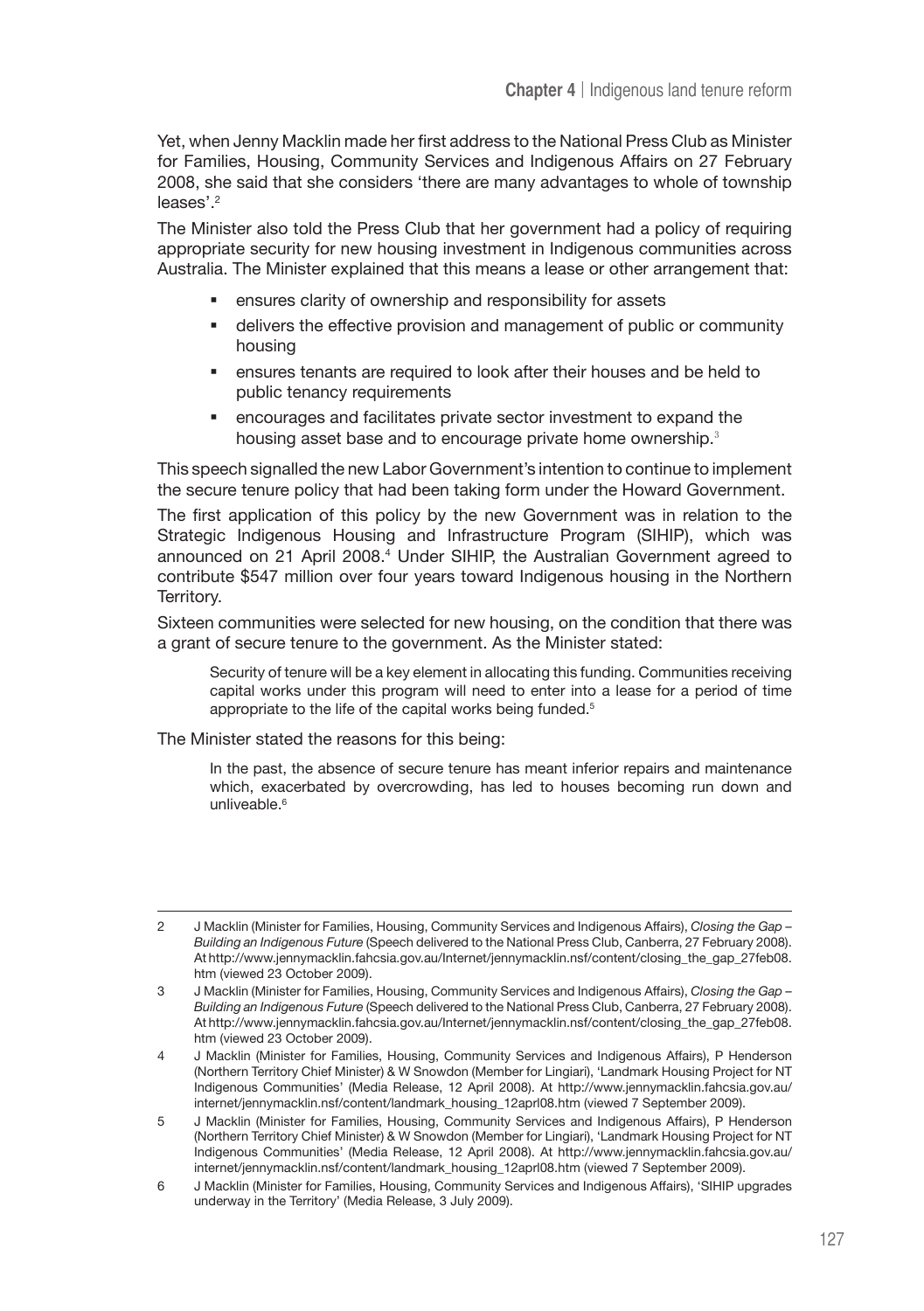Yet, when Jenny Macklin made her first address to the National Press Club as Minister for Families, Housing, Community Services and Indigenous Affairs on 27 February 2008, she said that she considers 'there are many advantages to whole of township leases'.<sup>2</sup>

The Minister also told the Press Club that her government had a policy of requiring appropriate security for new housing investment in Indigenous communities across Australia. The Minister explained that this means a lease or other arrangement that:

- ensures clarity of ownership and responsibility for assets
- delivers the effective provision and management of public or community housing
- ensures tenants are required to look after their houses and be held to public tenancy requirements
- encourages and facilitates private sector investment to expand the housing asset base and to encourage private home ownership.<sup>3</sup>

This speech signalled the new Labor Government's intention to continue to implement the secure tenure policy that had been taking form under the Howard Government.

The first application of this policy by the new Government was in relation to the Strategic Indigenous Housing and Infrastructure Program (SIHIP), which was announced on 21 April 2008.4 Under SIHIP, the Australian Government agreed to contribute \$547 million over four years toward Indigenous housing in the Northern Territory.

Sixteen communities were selected for new housing, on the condition that there was a grant of secure tenure to the government. As the Minister stated:

Security of tenure will be a key element in allocating this funding. Communities receiving capital works under this program will need to enter into a lease for a period of time appropriate to the life of the capital works being funded.<sup>5</sup>

The Minister stated the reasons for this being:

In the past, the absence of secure tenure has meant inferior repairs and maintenance which, exacerbated by overcrowding, has led to houses becoming run down and unliveable.<sup>6</sup>

<sup>2</sup> J Macklin (Minister for Families, Housing, Community Services and Indigenous Affairs), *Closing the Gap – Building an Indigenous Future* (Speech delivered to the National Press Club, Canberra, 27 February 2008). At http://www.jennymacklin.fahcsia.gov.au/Internet/jennymacklin.nsf/content/closing\_the\_gap\_27feb08. htm (viewed 23 October 2009).

<sup>3</sup> J Macklin (Minister for Families, Housing, Community Services and Indigenous Affairs), *Closing the Gap – Building an Indigenous Future* (Speech delivered to the National Press Club, Canberra, 27 February 2008). At http://www.jennymacklin.fahcsia.gov.au/Internet/jennymacklin.nsf/content/closing\_the\_gap\_27feb08. htm (viewed 23 October 2009).

<sup>4</sup> J Macklin (Minister for Families, Housing, Community Services and Indigenous Affairs), P Henderson (Northern Territory Chief Minister) & W Snowdon (Member for Lingiari), 'Landmark Housing Project for NT Indigenous Communities' (Media Release, 12 April 2008). At http://www.jennymacklin.fahcsia.gov.au/ internet/jennymacklin.nsf/content/landmark\_housing\_12aprl08.htm (viewed 7 September 2009).

<sup>5</sup> J Macklin (Minister for Families, Housing, Community Services and Indigenous Affairs), P Henderson (Northern Territory Chief Minister) & W Snowdon (Member for Lingiari), 'Landmark Housing Project for NT Indigenous Communities' (Media Release, 12 April 2008). At http://www.jennymacklin.fahcsia.gov.au/ internet/jennymacklin.nsf/content/landmark\_housing\_12aprl08.htm (viewed 7 September 2009).

<sup>6</sup> J Macklin (Minister for Families, Housing, Community Services and Indigenous Affairs), 'SIHIP upgrades underway in the Territory' (Media Release, 3 July 2009).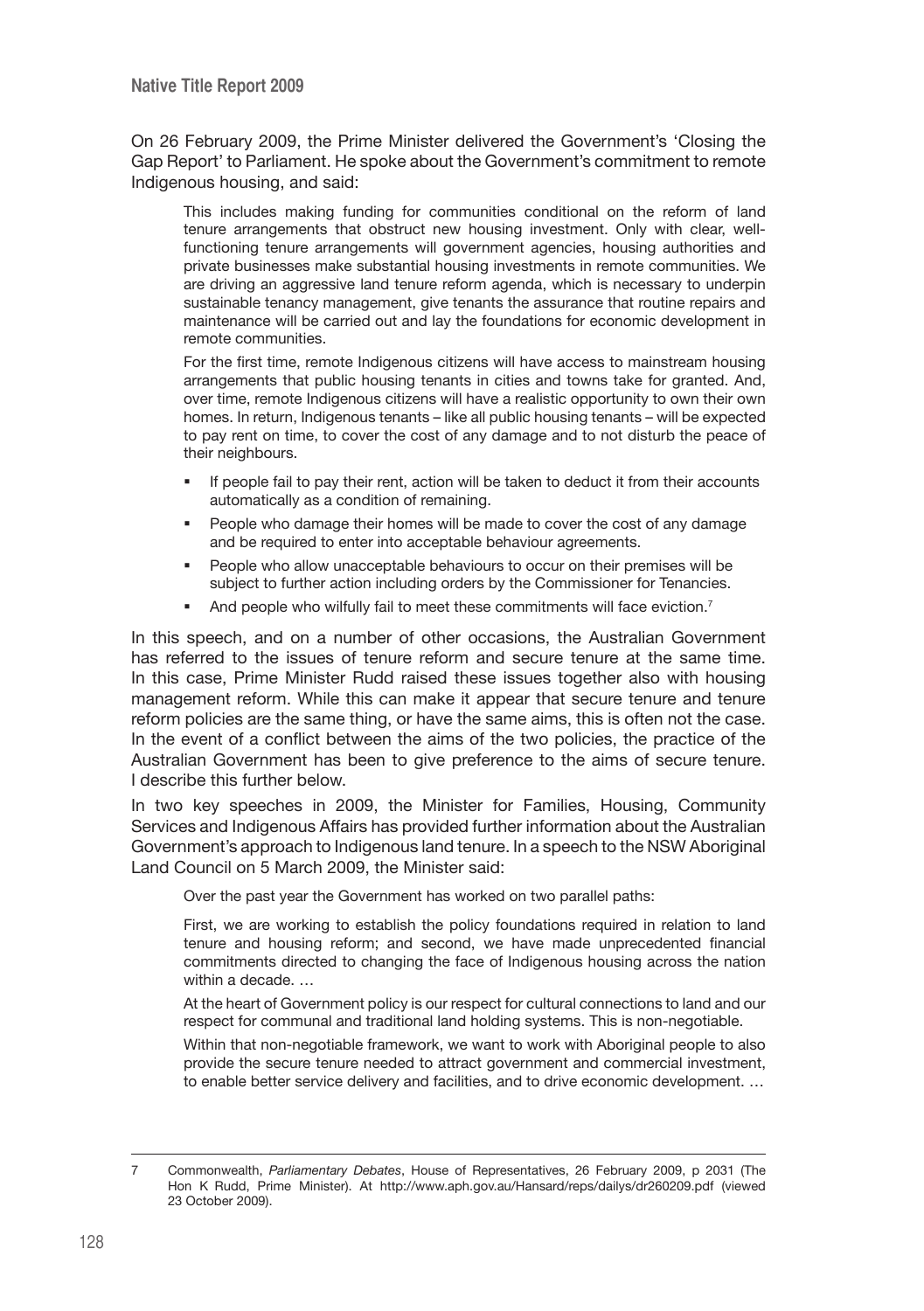On 26 February 2009, the Prime Minister delivered the Government's 'Closing the Gap Report' to Parliament. He spoke about the Government's commitment to remote Indigenous housing, and said:

This includes making funding for communities conditional on the reform of land tenure arrangements that obstruct new housing investment. Only with clear, wellfunctioning tenure arrangements will government agencies, housing authorities and private businesses make substantial housing investments in remote communities. We are driving an aggressive land tenure reform agenda, which is necessary to underpin sustainable tenancy management, give tenants the assurance that routine repairs and maintenance will be carried out and lay the foundations for economic development in remote communities.

For the first time, remote Indigenous citizens will have access to mainstream housing arrangements that public housing tenants in cities and towns take for granted. And, over time, remote Indigenous citizens will have a realistic opportunity to own their own homes. In return, Indigenous tenants – like all public housing tenants – will be expected to pay rent on time, to cover the cost of any damage and to not disturb the peace of their neighbours.

- If people fail to pay their rent, action will be taken to deduct it from their accounts automatically as a condition of remaining.
- People who damage their homes will be made to cover the cost of any damage and be required to enter into acceptable behaviour agreements.
- **People who allow unacceptable behaviours to occur on their premises will be** subject to further action including orders by the Commissioner for Tenancies.
- And people who wilfully fail to meet these commitments will face eviction.<sup>7</sup>

In this speech, and on a number of other occasions, the Australian Government has referred to the issues of tenure reform and secure tenure at the same time. In this case, Prime Minister Rudd raised these issues together also with housing management reform. While this can make it appear that secure tenure and tenure reform policies are the same thing, or have the same aims, this is often not the case. In the event of a conflict between the aims of the two policies, the practice of the Australian Government has been to give preference to the aims of secure tenure. I describe this further below.

In two key speeches in 2009, the Minister for Families, Housing, Community Services and Indigenous Affairs has provided further information about the Australian Government's approach to Indigenous land tenure. In a speech to the NSW Aboriginal Land Council on 5 March 2009, the Minister said:

Over the past year the Government has worked on two parallel paths:

First, we are working to establish the policy foundations required in relation to land tenure and housing reform; and second, we have made unprecedented financial commitments directed to changing the face of Indigenous housing across the nation within a decade. …

At the heart of Government policy is our respect for cultural connections to land and our respect for communal and traditional land holding systems. This is non-negotiable.

Within that non-negotiable framework, we want to work with Aboriginal people to also provide the secure tenure needed to attract government and commercial investment, to enable better service delivery and facilities, and to drive economic development. …

<sup>7</sup> Commonwealth, *Parliamentary Debates*, House of Representatives, 26 February 2009, p 2031 (The Hon K Rudd, Prime Minister). At http://www.aph.gov.au/Hansard/reps/dailys/dr260209.pdf (viewed 23 October 2009).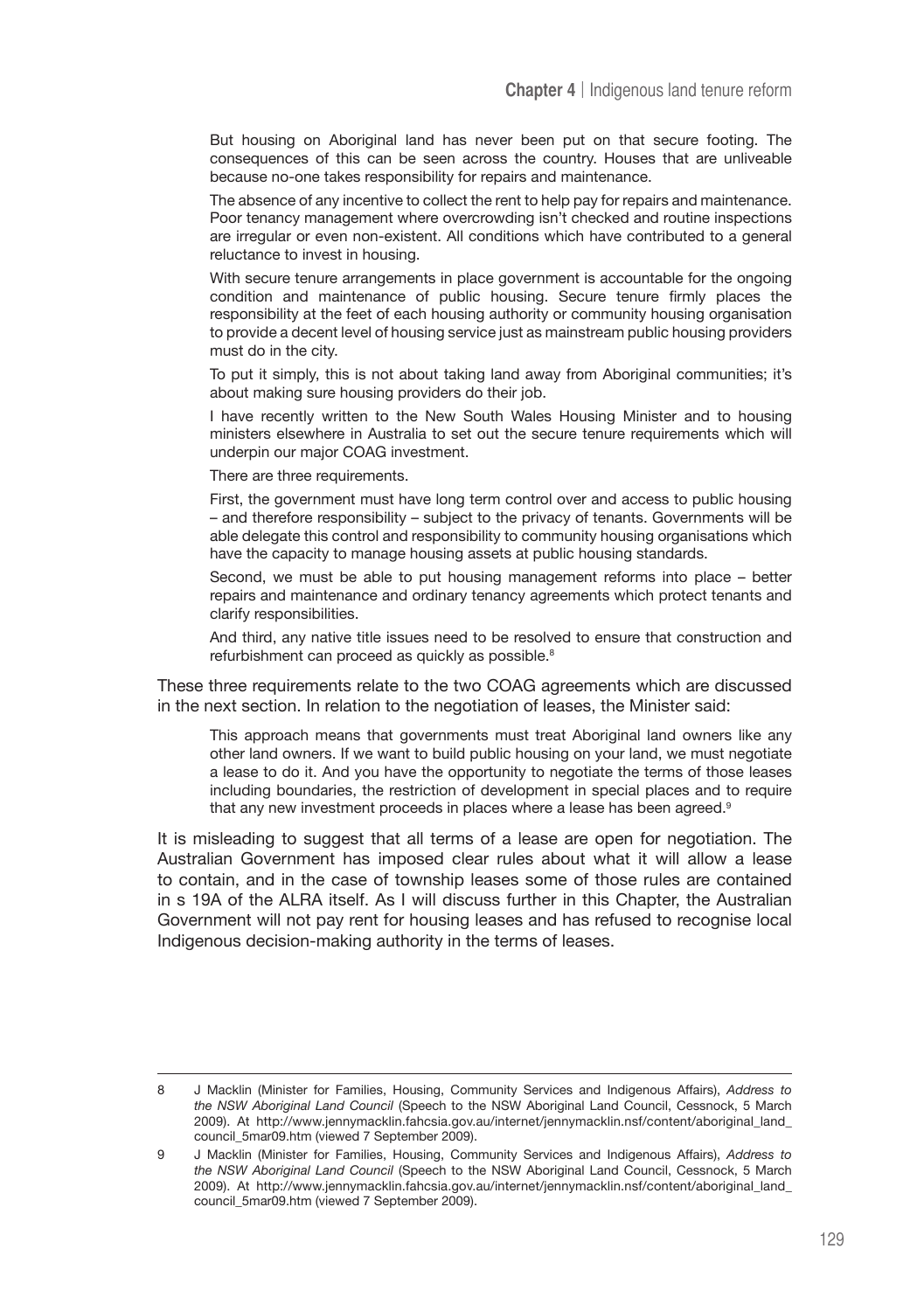But housing on Aboriginal land has never been put on that secure footing. The consequences of this can be seen across the country. Houses that are unliveable because no-one takes responsibility for repairs and maintenance.

The absence of any incentive to collect the rent to help pay for repairs and maintenance. Poor tenancy management where overcrowding isn't checked and routine inspections are irregular or even non-existent. All conditions which have contributed to a general reluctance to invest in housing.

With secure tenure arrangements in place government is accountable for the ongoing condition and maintenance of public housing. Secure tenure firmly places the responsibility at the feet of each housing authority or community housing organisation to provide a decent level of housing service just as mainstream public housing providers must do in the city.

To put it simply, this is not about taking land away from Aboriginal communities; it's about making sure housing providers do their job.

I have recently written to the New South Wales Housing Minister and to housing ministers elsewhere in Australia to set out the secure tenure requirements which will underpin our major COAG investment.

There are three requirements.

First, the government must have long term control over and access to public housing – and therefore responsibility – subject to the privacy of tenants. Governments will be able delegate this control and responsibility to community housing organisations which have the capacity to manage housing assets at public housing standards.

Second, we must be able to put housing management reforms into place – better repairs and maintenance and ordinary tenancy agreements which protect tenants and clarify responsibilities.

And third, any native title issues need to be resolved to ensure that construction and refurbishment can proceed as quickly as possible.<sup>8</sup>

These three requirements relate to the two COAG agreements which are discussed in the next section. In relation to the negotiation of leases, the Minister said:

This approach means that governments must treat Aboriginal land owners like any other land owners. If we want to build public housing on your land, we must negotiate a lease to do it. And you have the opportunity to negotiate the terms of those leases including boundaries, the restriction of development in special places and to require that any new investment proceeds in places where a lease has been agreed.<sup>9</sup>

It is misleading to suggest that all terms of a lease are open for negotiation. The Australian Government has imposed clear rules about what it will allow a lease to contain, and in the case of township leases some of those rules are contained in s 19A of the ALRA itself. As I will discuss further in this Chapter, the Australian Government will not pay rent for housing leases and has refused to recognise local Indigenous decision-making authority in the terms of leases.

<sup>8</sup> J Macklin (Minister for Families, Housing, Community Services and Indigenous Affairs), *Address to the NSW Aboriginal Land Council* (Speech to the NSW Aboriginal Land Council, Cessnock, 5 March 2009). At http://www.jennymacklin.fahcsia.gov.au/internet/jennymacklin.nsf/content/aboriginal\_land\_ council\_5mar09.htm (viewed 7 September 2009).

<sup>9</sup> J Macklin (Minister for Families, Housing, Community Services and Indigenous Affairs), *Address to the NSW Aboriginal Land Council* (Speech to the NSW Aboriginal Land Council, Cessnock, 5 March 2009). At http://www.jennymacklin.fahcsia.gov.au/internet/jennymacklin.nsf/content/aboriginal\_land\_ council\_5mar09.htm (viewed 7 September 2009).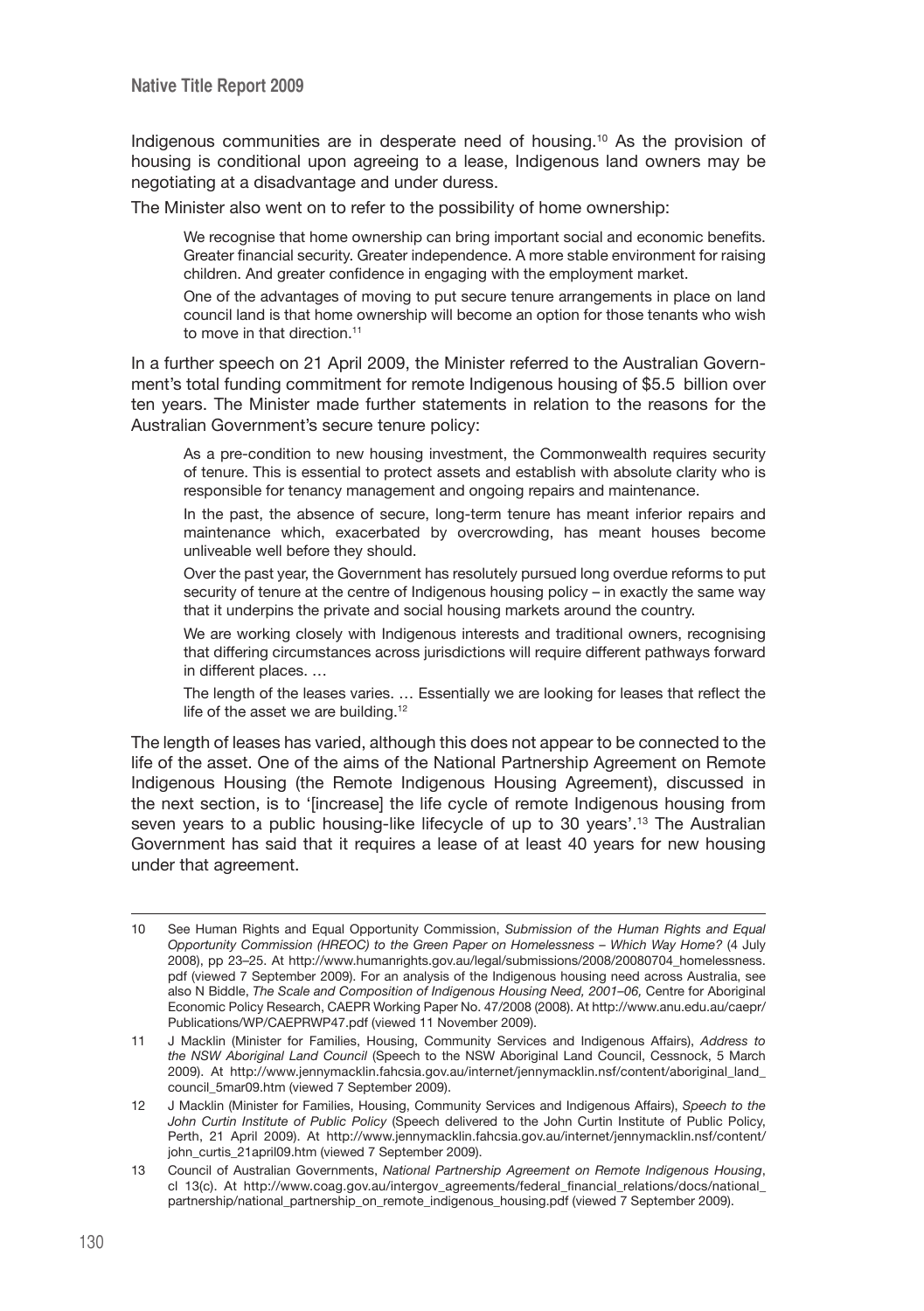Indigenous communities are in desperate need of housing.10 As the provision of housing is conditional upon agreeing to a lease, Indigenous land owners may be negotiating at a disadvantage and under duress.

The Minister also went on to refer to the possibility of home ownership:

We recognise that home ownership can bring important social and economic benefits. Greater financial security. Greater independence. A more stable environment for raising children. And greater confidence in engaging with the employment market.

One of the advantages of moving to put secure tenure arrangements in place on land council land is that home ownership will become an option for those tenants who wish to move in that direction.<sup>11</sup>

In a further speech on 21 April 2009, the Minister referred to the Australian Government's total funding commitment for remote Indigenous housing of \$5.5 billion over ten years. The Minister made further statements in relation to the reasons for the Australian Government's secure tenure policy:

As a pre-condition to new housing investment, the Commonwealth requires security of tenure. This is essential to protect assets and establish with absolute clarity who is responsible for tenancy management and ongoing repairs and maintenance.

In the past, the absence of secure, long-term tenure has meant inferior repairs and maintenance which, exacerbated by overcrowding, has meant houses become unliveable well before they should.

Over the past year, the Government has resolutely pursued long overdue reforms to put security of tenure at the centre of Indigenous housing policy – in exactly the same way that it underpins the private and social housing markets around the country.

We are working closely with Indigenous interests and traditional owners, recognising that differing circumstances across jurisdictions will require different pathways forward in different places. …

The length of the leases varies. … Essentially we are looking for leases that reflect the life of the asset we are building.<sup>12</sup>

The length of leases has varied, although this does not appear to be connected to the life of the asset. One of the aims of the National Partnership Agreement on Remote Indigenous Housing (the Remote Indigenous Housing Agreement), discussed in the next section, is to '[increase] the life cycle of remote Indigenous housing from seven years to a public housing-like lifecycle of up to 30 years'.13 The Australian Government has said that it requires a lease of at least 40 years for new housing under that agreement.

<sup>10</sup> See Human Rights and Equal Opportunity Commission, *Submission of the Human Rights and Equal Opportunity Commission (HREOC) to the Green Paper on Homelessness – Which Way Home?* (4 July 2008), pp 23–25. At http://www.humanrights.gov.au/legal/submissions/2008/20080704\_homelessness. pdf (viewed 7 September 2009). For an analysis of the Indigenous housing need across Australia, see also N Biddle, *The Scale and Composition of Indigenous Housing Need, 2001–06*, Centre for Aboriginal Economic Policy Research, CAEPR Working Paper No. 47/2008 (2008). At http://www.anu.edu.au/caepr/ Publications/WP/CAEPRWP47.pdf (viewed 11 November 2009).

<sup>11</sup> J Macklin (Minister for Families, Housing, Community Services and Indigenous Affairs), *Address to the NSW Aboriginal Land Council* (Speech to the NSW Aboriginal Land Council, Cessnock, 5 March 2009). At http://www.jennymacklin.fahcsia.gov.au/internet/jennymacklin.nsf/content/aboriginal\_land\_ council\_5mar09.htm (viewed 7 September 2009).

<sup>12</sup> J Macklin (Minister for Families, Housing, Community Services and Indigenous Affairs), *Speech to the John Curtin Institute of Public Policy* (Speech delivered to the John Curtin Institute of Public Policy, Perth, 21 April 2009). At http://www.jennymacklin.fahcsia.gov.au/internet/jennymacklin.nsf/content/ john\_curtis\_21april09.htm (viewed 7 September 2009).

<sup>13</sup> Council of Australian Governments, *National Partnership Agreement on Remote Indigenous Housing*, cl 13(c). At http://www.coag.gov.au/intergov\_agreements/federal\_financial\_relations/docs/national partnership/national\_partnership\_on\_remote\_indigenous\_housing.pdf (viewed 7 September 2009).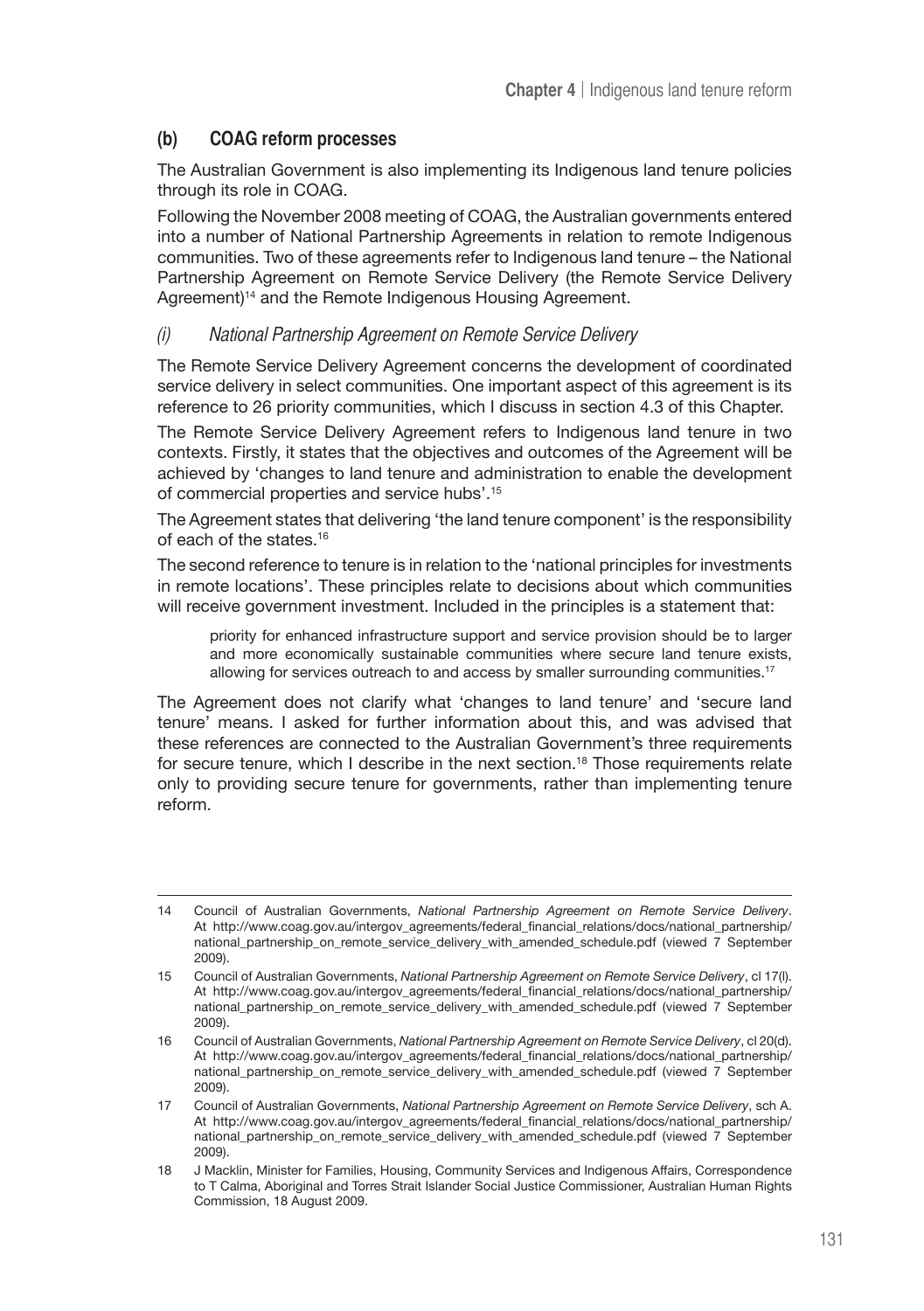# **(b) COAG reform processes**

The Australian Government is also implementing its Indigenous land tenure policies through its role in COAG.

Following the November 2008 meeting of COAG, the Australian governments entered into a number of National Partnership Agreements in relation to remote Indigenous communities. Two of these agreements refer to Indigenous land tenure – the National Partnership Agreement on Remote Service Delivery (the Remote Service Delivery Agreement)<sup>14</sup> and the Remote Indigenous Housing Agreement.

#### (i) National Partnership Agreement on Remote Service Delivery

The Remote Service Delivery Agreement concerns the development of coordinated service delivery in select communities. One important aspect of this agreement is its reference to 26 priority communities, which I discuss in section 4.3 of this Chapter.

The Remote Service Delivery Agreement refers to Indigenous land tenure in two contexts. Firstly, it states that the objectives and outcomes of the Agreement will be achieved by 'changes to land tenure and administration to enable the development of commercial properties and service hubs'.15

The Agreement states that delivering 'the land tenure component' is the responsibility of each of the states.16

The second reference to tenure is in relation to the 'national principles for investments in remote locations'. These principles relate to decisions about which communities will receive government investment. Included in the principles is a statement that:

priority for enhanced infrastructure support and service provision should be to larger and more economically sustainable communities where secure land tenure exists, allowing for services outreach to and access by smaller surrounding communities.17

The Agreement does not clarify what 'changes to land tenure' and 'secure land tenure' means. I asked for further information about this, and was advised that these references are connected to the Australian Government's three requirements for secure tenure, which I describe in the next section.<sup>18</sup> Those requirements relate only to providing secure tenure for governments, rather than implementing tenure reform.

<sup>14</sup> Council of Australian Governments, *National Partnership Agreement on Remote Service Delivery*. At http://www.coag.gov.au/intergov\_agreements/federal\_financial\_relations/docs/national\_partnership/ national\_partnership\_on\_remote\_service\_delivery\_with\_amended\_schedule.pdf (viewed 7 September 2009).

<sup>15</sup> Council of Australian Governments, *National Partnership Agreement on Remote Service Delivery*, cl 17(l). At http://www.coag.gov.au/intergov\_agreements/federal\_financial\_relations/docs/national\_partnership/ national\_partnership\_on\_remote\_service\_delivery\_with\_amended\_schedule.pdf (viewed 7 September 2009).

<sup>16</sup> Council of Australian Governments, *National Partnership Agreement on Remote Service Delivery*, cl 20(d). At http://www.coag.gov.au/intergov\_agreements/federal\_financial\_relations/docs/national\_partnership/ national\_partnership\_on\_remote\_service\_delivery\_with\_amended\_schedule.pdf (viewed 7 September 2009).

<sup>17</sup> Council of Australian Governments, *National Partnership Agreement on Remote Service Delivery*, sch A. At http://www.coag.gov.au/intergov\_agreements/federal\_financial\_relations/docs/national\_partnership/ national\_partnership\_on\_remote\_service\_delivery\_with\_amended\_schedule.pdf (viewed 7 September 2009).

<sup>18</sup> J Macklin, Minister for Families, Housing, Community Services and Indigenous Affairs, Correspondence to T Calma, Aboriginal and Torres Strait Islander Social Justice Commissioner, Australian Human Rights Commission, 18 August 2009.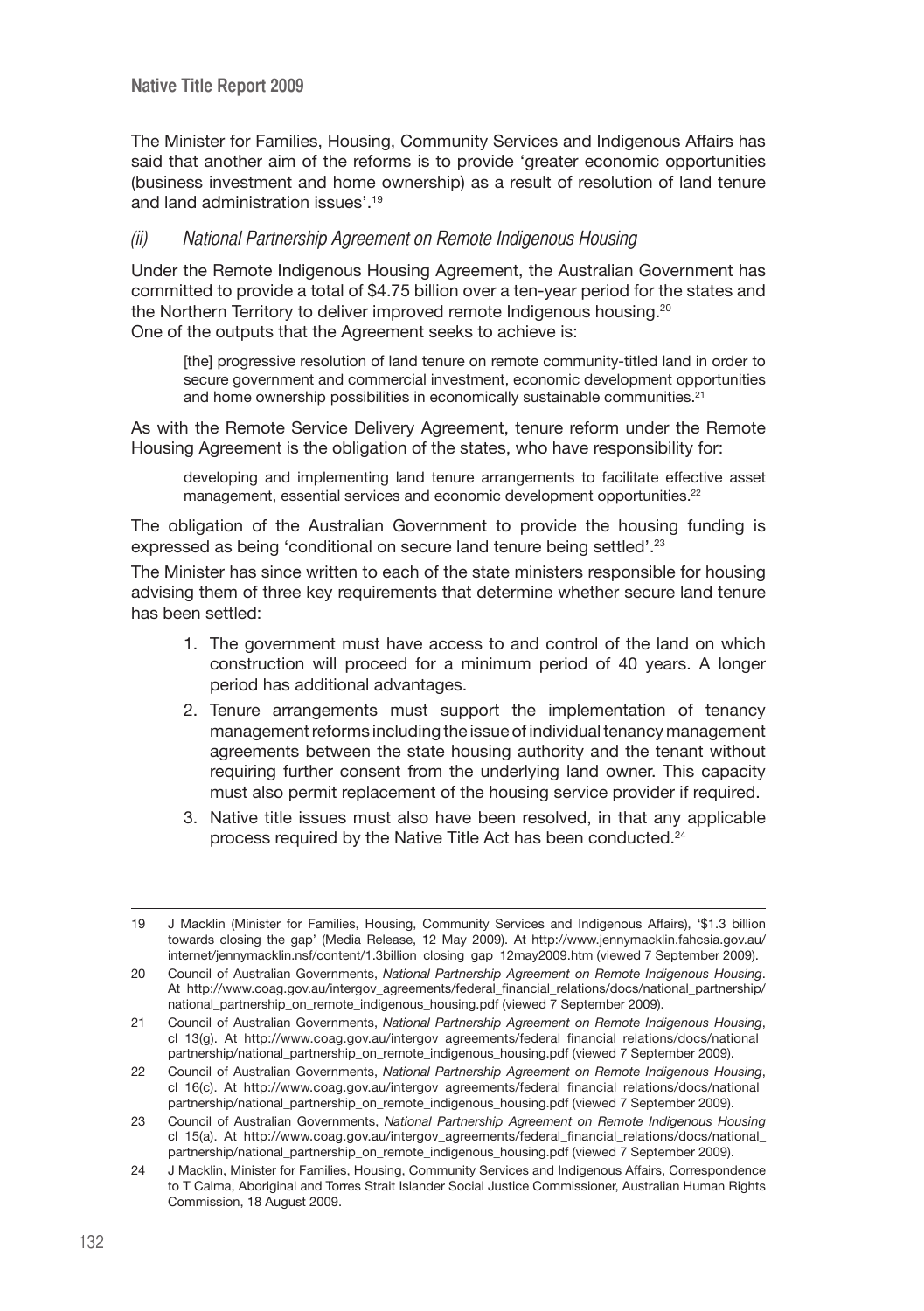The Minister for Families, Housing, Community Services and Indigenous Affairs has said that another aim of the reforms is to provide 'greater economic opportunities (business investment and home ownership) as a result of resolution of land tenure and land administration issues'.19

#### (ii) National Partnership Agreement on Remote Indigenous Housing

Under the Remote Indigenous Housing Agreement, the Australian Government has committed to provide a total of \$4.75 billion over a ten-year period for the states and the Northern Territory to deliver improved remote Indigenous housing.20 One of the outputs that the Agreement seeks to achieve is:

[the] progressive resolution of land tenure on remote community-titled land in order to secure government and commercial investment, economic development opportunities and home ownership possibilities in economically sustainable communities.<sup>21</sup>

As with the Remote Service Delivery Agreement, tenure reform under the Remote Housing Agreement is the obligation of the states, who have responsibility for:

developing and implementing land tenure arrangements to facilitate effective asset management, essential services and economic development opportunities.<sup>22</sup>

The obligation of the Australian Government to provide the housing funding is expressed as being 'conditional on secure land tenure being settled'.23

The Minister has since written to each of the state ministers responsible for housing advising them of three key requirements that determine whether secure land tenure has been settled:

- 1. The government must have access to and control of the land on which construction will proceed for a minimum period of 40 years. A longer period has additional advantages.
- 2. Tenure arrangements must support the implementation of tenancy management reforms including the issue of individual tenancy management agreements between the state housing authority and the tenant without requiring further consent from the underlying land owner. This capacity must also permit replacement of the housing service provider if required.
- 3. Native title issues must also have been resolved, in that any applicable process required by the Native Title Act has been conducted.24

<sup>19</sup> J Macklin (Minister for Families, Housing, Community Services and Indigenous Affairs), '\$1.3 billion towards closing the gap' (Media Release, 12 May 2009). At http://www.jennymacklin.fahcsia.gov.au/ internet/jennymacklin.nsf/content/1.3billion\_closing\_gap\_12may2009.htm (viewed 7 September 2009).

<sup>20</sup> Council of Australian Governments, *National Partnership Agreement on Remote Indigenous Housing*. At http://www.coag.gov.au/intergov\_agreements/federal\_financial\_relations/docs/national\_partnership/ national\_partnership\_on\_remote\_indigenous\_housing.pdf (viewed 7 September 2009).

<sup>21</sup> Council of Australian Governments, *National Partnership Agreement on Remote Indigenous Housing*, cl 13(g). At http://www.coag.gov.au/intergov\_agreements/federal\_financial\_relations/docs/national\_ partnership/national\_partnership\_on\_remote\_indigenous\_housing.pdf (viewed 7 September 2009).

<sup>22</sup> Council of Australian Governments, *National Partnership Agreement on Remote Indigenous Housing*, cl 16(c). At http://www.coag.gov.au/intergov\_agreements/federal\_financial\_relations/docs/national\_ partnership/national\_partnership\_on\_remote\_indigenous\_housing.pdf (viewed 7 September 2009).

<sup>23</sup> Council of Australian Governments, *National Partnership Agreement on Remote Indigenous Housing* cl 15(a). At http://www.coag.gov.au/intergov\_agreements/federal\_financial\_relations/docs/national\_ partnership/national\_partnership\_on\_remote\_indigenous\_housing.pdf (viewed 7 September 2009).

<sup>24</sup> J Macklin, Minister for Families, Housing, Community Services and Indigenous Affairs, Correspondence to T Calma, Aboriginal and Torres Strait Islander Social Justice Commissioner, Australian Human Rights Commission, 18 August 2009.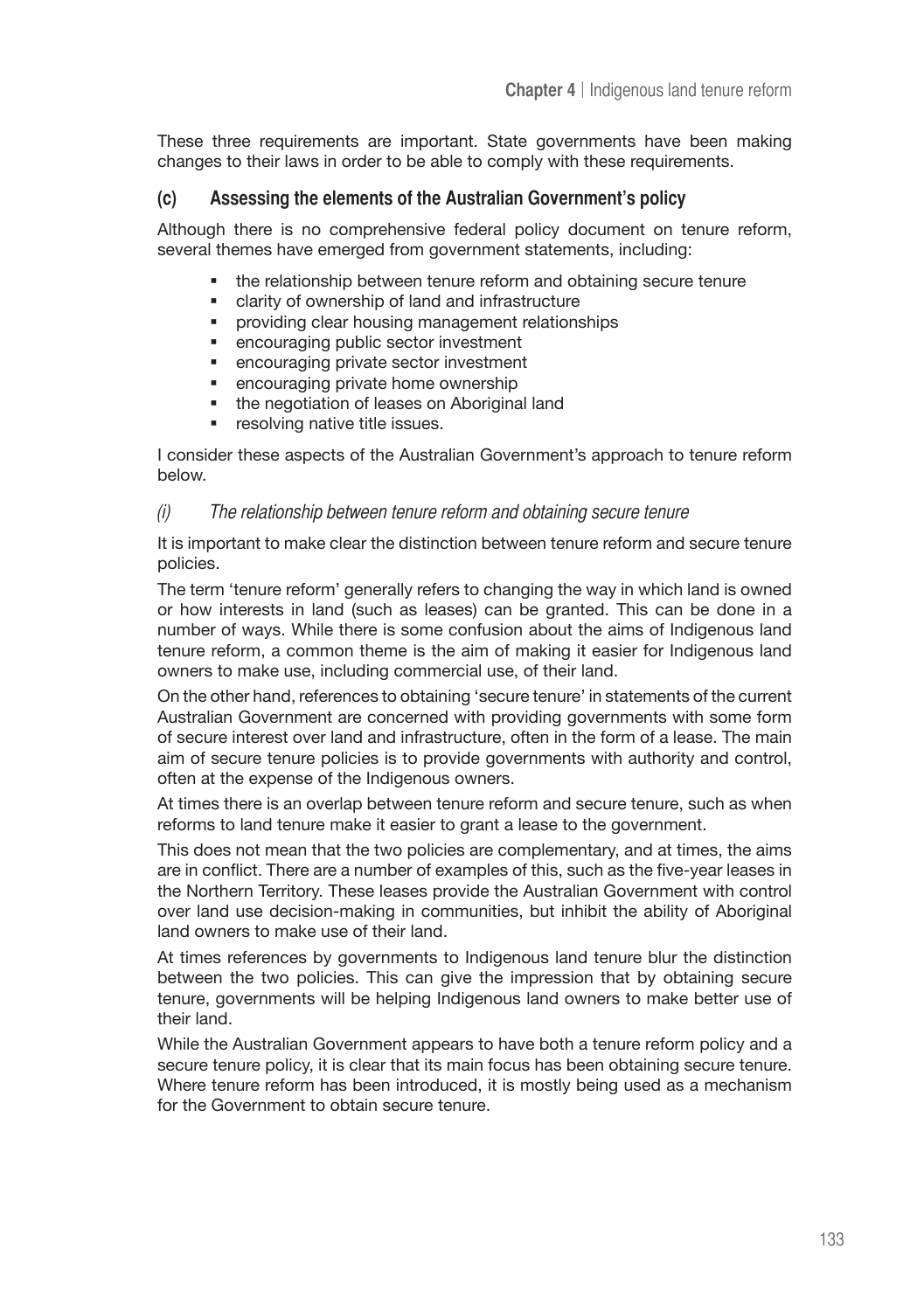These three requirements are important. State governments have been making changes to their laws in order to be able to comply with these requirements.

# **(c) Assessing the elements of the Australian Government's policy**

Although there is no comprehensive federal policy document on tenure reform, several themes have emerged from government statements, including:

- the relationship between tenure reform and obtaining secure tenure
- clarity of ownership of land and infrastructure
- providing clear housing management relationships
- encouraging public sector investment
- encouraging private sector investment
- encouraging private home ownership
- the negotiation of leases on Aboriginal land
- **•** resolving native title issues.

I consider these aspects of the Australian Government's approach to tenure reform below.

#### $(i)$  The relationship between tenure reform and obtaining secure tenure

It is important to make clear the distinction between tenure reform and secure tenure policies.

The term 'tenure reform' generally refers to changing the way in which land is owned or how interests in land (such as leases) can be granted. This can be done in a number of ways. While there is some confusion about the aims of Indigenous land tenure reform, a common theme is the aim of making it easier for Indigenous land owners to make use, including commercial use, of their land.

On the other hand, references to obtaining 'secure tenure' in statements of the current Australian Government are concerned with providing governments with some form of secure interest over land and infrastructure, often in the form of a lease. The main aim of secure tenure policies is to provide governments with authority and control, often at the expense of the Indigenous owners.

At times there is an overlap between tenure reform and secure tenure, such as when reforms to land tenure make it easier to grant a lease to the government.

This does not mean that the two policies are complementary, and at times, the aims are in conflict. There are a number of examples of this, such as the five-year leases in the Northern Territory. These leases provide the Australian Government with control over land use decision-making in communities, but inhibit the ability of Aboriginal land owners to make use of their land.

At times references by governments to Indigenous land tenure blur the distinction between the two policies. This can give the impression that by obtaining secure tenure, governments will be helping Indigenous land owners to make better use of their land.

While the Australian Government appears to have both a tenure reform policy and a secure tenure policy, it is clear that its main focus has been obtaining secure tenure. Where tenure reform has been introduced, it is mostly being used as a mechanism for the Government to obtain secure tenure.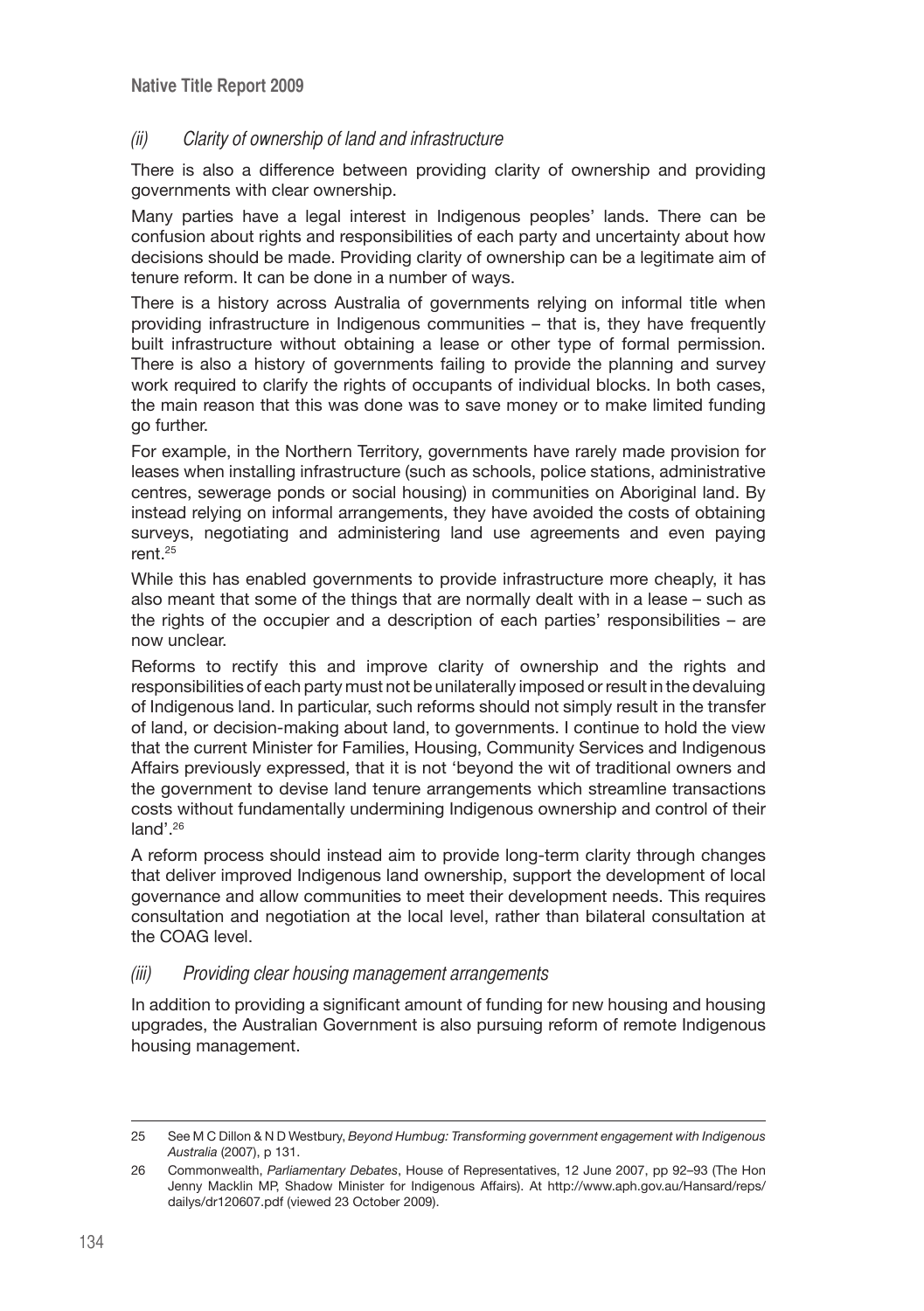# (ii) Clarity of ownership of land and infrastructure

There is also a difference between providing clarity of ownership and providing governments with clear ownership.

Many parties have a legal interest in Indigenous peoples' lands. There can be confusion about rights and responsibilities of each party and uncertainty about how decisions should be made. Providing clarity of ownership can be a legitimate aim of tenure reform. It can be done in a number of ways.

There is a history across Australia of governments relying on informal title when providing infrastructure in Indigenous communities – that is, they have frequently built infrastructure without obtaining a lease or other type of formal permission. There is also a history of governments failing to provide the planning and survey work required to clarify the rights of occupants of individual blocks. In both cases, the main reason that this was done was to save money or to make limited funding go further.

For example, in the Northern Territory, governments have rarely made provision for leases when installing infrastructure (such as schools, police stations, administrative centres, sewerage ponds or social housing) in communities on Aboriginal land. By instead relying on informal arrangements, they have avoided the costs of obtaining surveys, negotiating and administering land use agreements and even paying rent.25

While this has enabled governments to provide infrastructure more cheaply, it has also meant that some of the things that are normally dealt with in a lease – such as the rights of the occupier and a description of each parties' responsibilities – are now unclear.

Reforms to rectify this and improve clarity of ownership and the rights and responsibilities of each party must not be unilaterally imposed or result in the devaluing of Indigenous land. In particular, such reforms should not simply result in the transfer of land, or decision-making about land, to governments. I continue to hold the view that the current Minister for Families, Housing, Community Services and Indigenous Affairs previously expressed, that it is not 'beyond the wit of traditional owners and the government to devise land tenure arrangements which streamline transactions costs without fundamentally undermining Indigenous ownership and control of their land'.<sup>26</sup>

A reform process should instead aim to provide long-term clarity through changes that deliver improved Indigenous land ownership, support the development of local governance and allow communities to meet their development needs. This requires consultation and negotiation at the local level, rather than bilateral consultation at the COAG level.

### (iii) Providing clear housing management arrangements

In addition to providing a significant amount of funding for new housing and housing upgrades, the Australian Government is also pursuing reform of remote Indigenous housing management.

<sup>25</sup> See M C Dillon & N D Westbury, *Beyond Humbug: Transforming government engagement with Indigenous Australia* (2007), p 131.

<sup>26</sup> Commonwealth, *Parliamentary Debates*, House of Representatives, 12 June 2007, pp 92–93 (The Hon Jenny Macklin MP, Shadow Minister for Indigenous Affairs). At http://www.aph.gov.au/Hansard/reps/ dailys/dr120607.pdf (viewed 23 October 2009).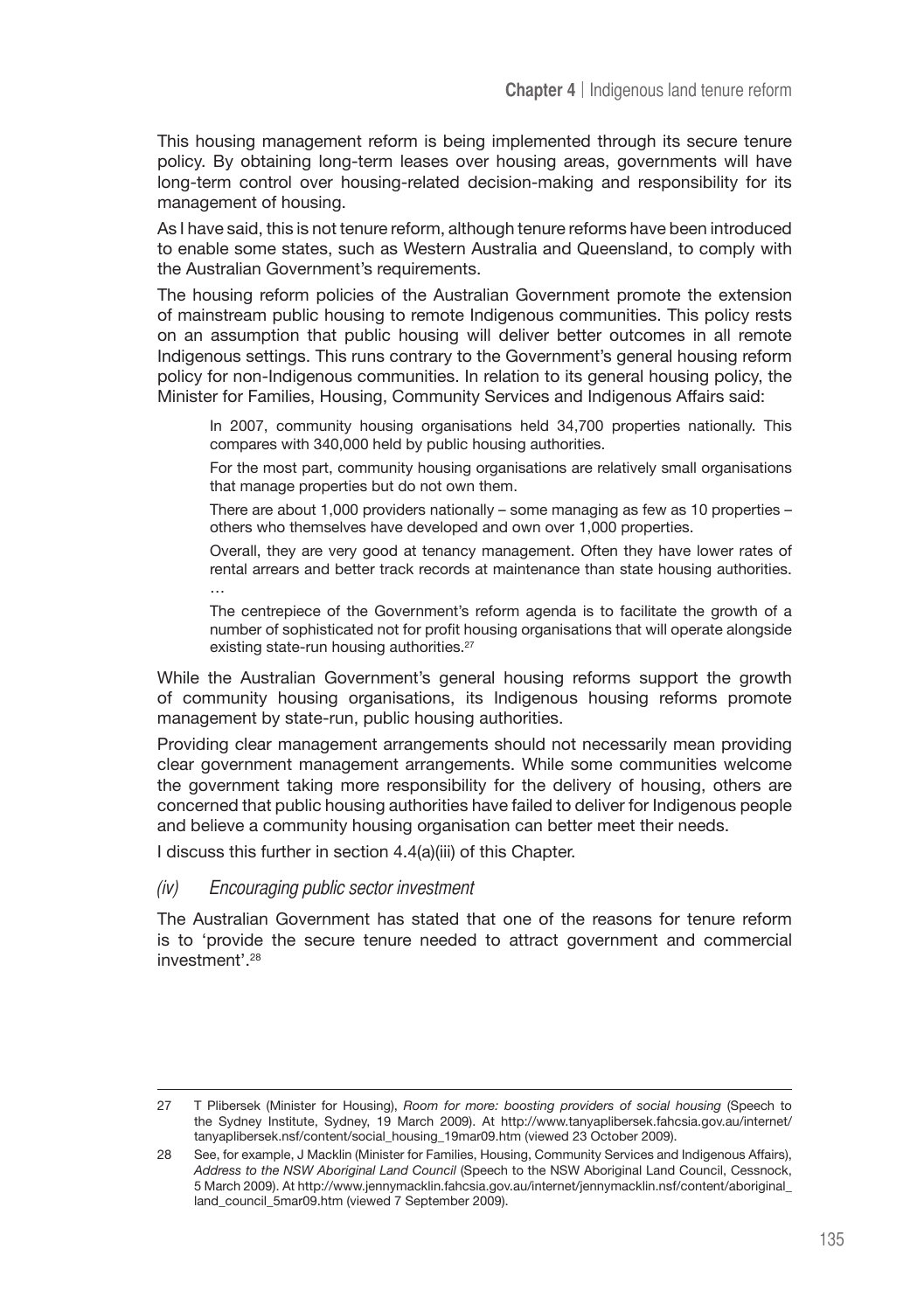This housing management reform is being implemented through its secure tenure policy. By obtaining long-term leases over housing areas, governments will have long-term control over housing-related decision-making and responsibility for its management of housing.

As I have said, this is not tenure reform, although tenure reforms have been introduced to enable some states, such as Western Australia and Queensland, to comply with the Australian Government's requirements.

The housing reform policies of the Australian Government promote the extension of mainstream public housing to remote Indigenous communities. This policy rests on an assumption that public housing will deliver better outcomes in all remote Indigenous settings. This runs contrary to the Government's general housing reform policy for non-Indigenous communities. In relation to its general housing policy, the Minister for Families, Housing, Community Services and Indigenous Affairs said:

In 2007, community housing organisations held 34,700 properties nationally. This compares with 340,000 held by public housing authorities.

For the most part, community housing organisations are relatively small organisations that manage properties but do not own them.

There are about 1,000 providers nationally – some managing as few as 10 properties – others who themselves have developed and own over 1,000 properties.

Overall, they are very good at tenancy management. Often they have lower rates of rental arrears and better track records at maintenance than state housing authorities. …

The centrepiece of the Government's reform agenda is to facilitate the growth of a number of sophisticated not for profit housing organisations that will operate alongside existing state-run housing authorities.<sup>27</sup>

While the Australian Government's general housing reforms support the growth of community housing organisations, its Indigenous housing reforms promote management by state-run, public housing authorities.

Providing clear management arrangements should not necessarily mean providing clear government management arrangements. While some communities welcome the government taking more responsibility for the delivery of housing, others are concerned that public housing authorities have failed to deliver for Indigenous people and believe a community housing organisation can better meet their needs.

I discuss this further in section 4.4(a)(iii) of this Chapter.

#### (iv) Encouraging public sector investment

The Australian Government has stated that one of the reasons for tenure reform is to 'provide the secure tenure needed to attract government and commercial investment'.28

<sup>27</sup> T Plibersek (Minister for Housing), *Room for more: boosting providers of social housing* (Speech to the Sydney Institute, Sydney, 19 March 2009). At http://www.tanyaplibersek.fahcsia.gov.au/internet/ tanyaplibersek.nsf/content/social\_housing\_19mar09.htm (viewed 23 October 2009).

<sup>28</sup> See, for example, J Macklin (Minister for Families, Housing, Community Services and Indigenous Affairs), *Address to the NSW Aboriginal Land Council* (Speech to the NSW Aboriginal Land Council, Cessnock, 5 March 2009). At http://www.jennymacklin.fahcsia.gov.au/internet/jennymacklin.nsf/content/aboriginal\_ land\_council\_5mar09.htm (viewed 7 September 2009).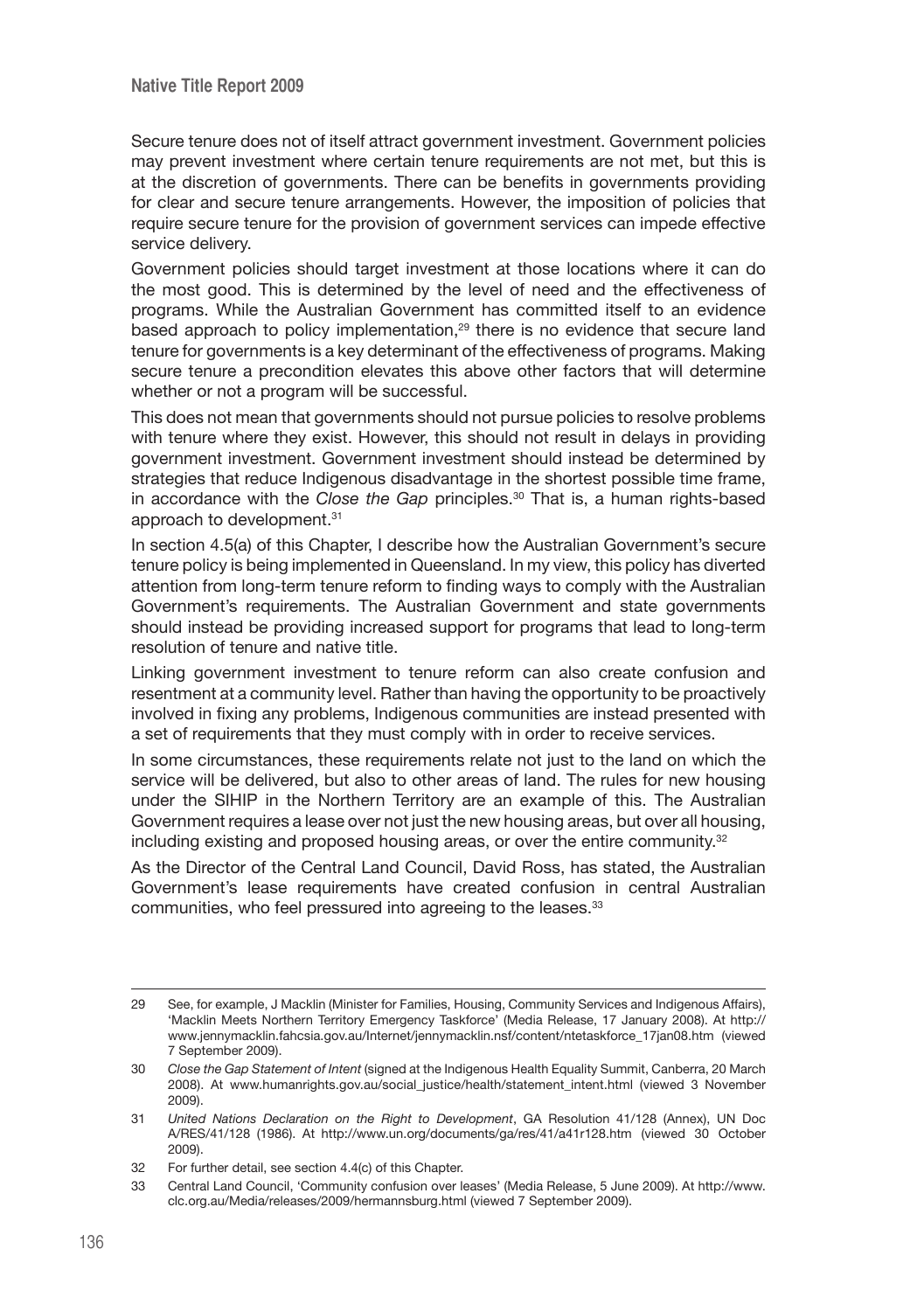Secure tenure does not of itself attract government investment. Government policies may prevent investment where certain tenure requirements are not met, but this is at the discretion of governments. There can be benefits in governments providing for clear and secure tenure arrangements. However, the imposition of policies that require secure tenure for the provision of government services can impede effective service delivery.

Government policies should target investment at those locations where it can do the most good. This is determined by the level of need and the effectiveness of programs. While the Australian Government has committed itself to an evidence based approach to policy implementation,<sup>29</sup> there is no evidence that secure land tenure for governments is a key determinant of the effectiveness of programs. Making secure tenure a precondition elevates this above other factors that will determine whether or not a program will be successful.

This does not mean that governments should not pursue policies to resolve problems with tenure where they exist. However, this should not result in delays in providing government investment. Government investment should instead be determined by strategies that reduce Indigenous disadvantage in the shortest possible time frame, in accordance with the *Close the Gap* principles.<sup>30</sup> That is, a human rights-based approach to development.31

In section 4.5(a) of this Chapter, I describe how the Australian Government's secure tenure policy is being implemented in Queensland. In my view, this policy has diverted attention from long-term tenure reform to finding ways to comply with the Australian Government's requirements. The Australian Government and state governments should instead be providing increased support for programs that lead to long-term resolution of tenure and native title.

Linking government investment to tenure reform can also create confusion and resentment at a community level. Rather than having the opportunity to be proactively involved in fixing any problems, Indigenous communities are instead presented with a set of requirements that they must comply with in order to receive services.

In some circumstances, these requirements relate not just to the land on which the service will be delivered, but also to other areas of land. The rules for new housing under the SIHIP in the Northern Territory are an example of this. The Australian Government requires a lease over not just the new housing areas, but over all housing, including existing and proposed housing areas, or over the entire community.<sup>32</sup>

As the Director of the Central Land Council, David Ross, has stated, the Australian Government's lease requirements have created confusion in central Australian communities, who feel pressured into agreeing to the leases.<sup>33</sup>

<sup>29</sup> See, for example, J Macklin (Minister for Families, Housing, Community Services and Indigenous Affairs), 'Macklin Meets Northern Territory Emergency Taskforce' (Media Release, 17 January 2008). At http:// www.jennymacklin.fahcsia.gov.au/Internet/jennymacklin.nsf/content/ntetaskforce\_17jan08.htm (viewed 7 September 2009).

<sup>30</sup> *Close the Gap Statement of Intent* (signed at the Indigenous Health Equality Summit, Canberra, 20 March 2008). At www.humanrights.gov.au/social\_justice/health/statement\_intent.html (viewed 3 November 2009).

<sup>31</sup> *United Nations Declaration on the Right to Development*, GA Resolution 41/128 (Annex), UN Doc A/RES/41/128 (1986). At http://www.un.org/documents/ga/res/41/a41r128.htm (viewed 30 October 2009).

<sup>32</sup> For further detail, see section 4.4(c) of this Chapter.

<sup>33</sup> Central Land Council, 'Community confusion over leases' (Media Release, 5 June 2009). At http://www. clc.org.au/Media/releases/2009/hermannsburg.html (viewed 7 September 2009).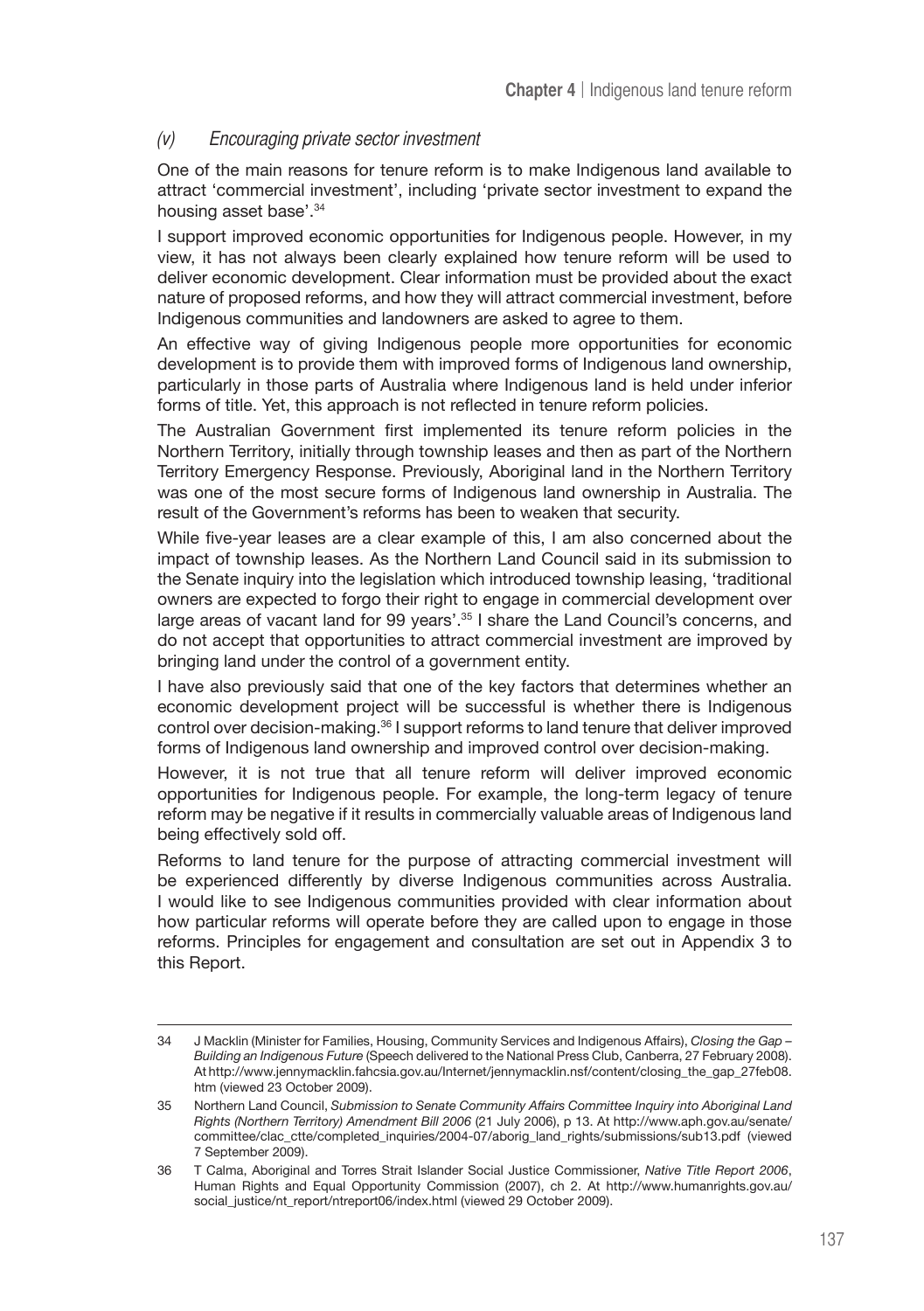# (v) Encouraging private sector investment

One of the main reasons for tenure reform is to make Indigenous land available to attract 'commercial investment', including 'private sector investment to expand the housing asset base'.34

I support improved economic opportunities for Indigenous people. However, in my view, it has not always been clearly explained how tenure reform will be used to deliver economic development. Clear information must be provided about the exact nature of proposed reforms, and how they will attract commercial investment, before Indigenous communities and landowners are asked to agree to them.

An effective way of giving Indigenous people more opportunities for economic development is to provide them with improved forms of Indigenous land ownership, particularly in those parts of Australia where Indigenous land is held under inferior forms of title. Yet, this approach is not reflected in tenure reform policies.

The Australian Government first implemented its tenure reform policies in the Northern Territory, initially through township leases and then as part of the Northern Territory Emergency Response. Previously, Aboriginal land in the Northern Territory was one of the most secure forms of Indigenous land ownership in Australia. The result of the Government's reforms has been to weaken that security.

While five-year leases are a clear example of this, I am also concerned about the impact of township leases. As the Northern Land Council said in its submission to the Senate inquiry into the legislation which introduced township leasing, 'traditional owners are expected to forgo their right to engage in commercial development over large areas of vacant land for 99 years'.<sup>35</sup> I share the Land Council's concerns, and do not accept that opportunities to attract commercial investment are improved by bringing land under the control of a government entity.

I have also previously said that one of the key factors that determines whether an economic development project will be successful is whether there is Indigenous control over decision-making.36 I support reforms to land tenure that deliver improved forms of Indigenous land ownership and improved control over decision-making.

However, it is not true that all tenure reform will deliver improved economic opportunities for Indigenous people. For example, the long-term legacy of tenure reform may be negative if it results in commercially valuable areas of Indigenous land being effectively sold off.

Reforms to land tenure for the purpose of attracting commercial investment will be experienced differently by diverse Indigenous communities across Australia. I would like to see Indigenous communities provided with clear information about how particular reforms will operate before they are called upon to engage in those reforms. Principles for engagement and consultation are set out in Appendix 3 to this Report.

<sup>34</sup> J Macklin (Minister for Families, Housing, Community Services and Indigenous Affairs), *Closing the Gap – Building an Indigenous Future* (Speech delivered to the National Press Club, Canberra, 27 February 2008). At http://www.jennymacklin.fahcsia.gov.au/Internet/jennymacklin.nsf/content/closing\_the\_gap\_27feb08. htm (viewed 23 October 2009).

<sup>35</sup> Northern Land Council, *Submission to Senate Community Affairs Committee Inquiry into Aboriginal Land Rights (Northern Territory) Amendment Bill 2006* (21 July 2006), p 13. At http://www.aph.gov.au/senate/ committee/clac\_ctte/completed\_inquiries/2004-07/aborig\_land\_rights/submissions/sub13.pdf (viewed 7 September 2009).

<sup>36</sup> T Calma, Aboriginal and Torres Strait Islander Social Justice Commissioner, *Native Title Report 2006*, Human Rights and Equal Opportunity Commission (2007), ch 2. At http://www.humanrights.gov.au/ social\_justice/nt\_report/ntreport06/index.html (viewed 29 October 2009).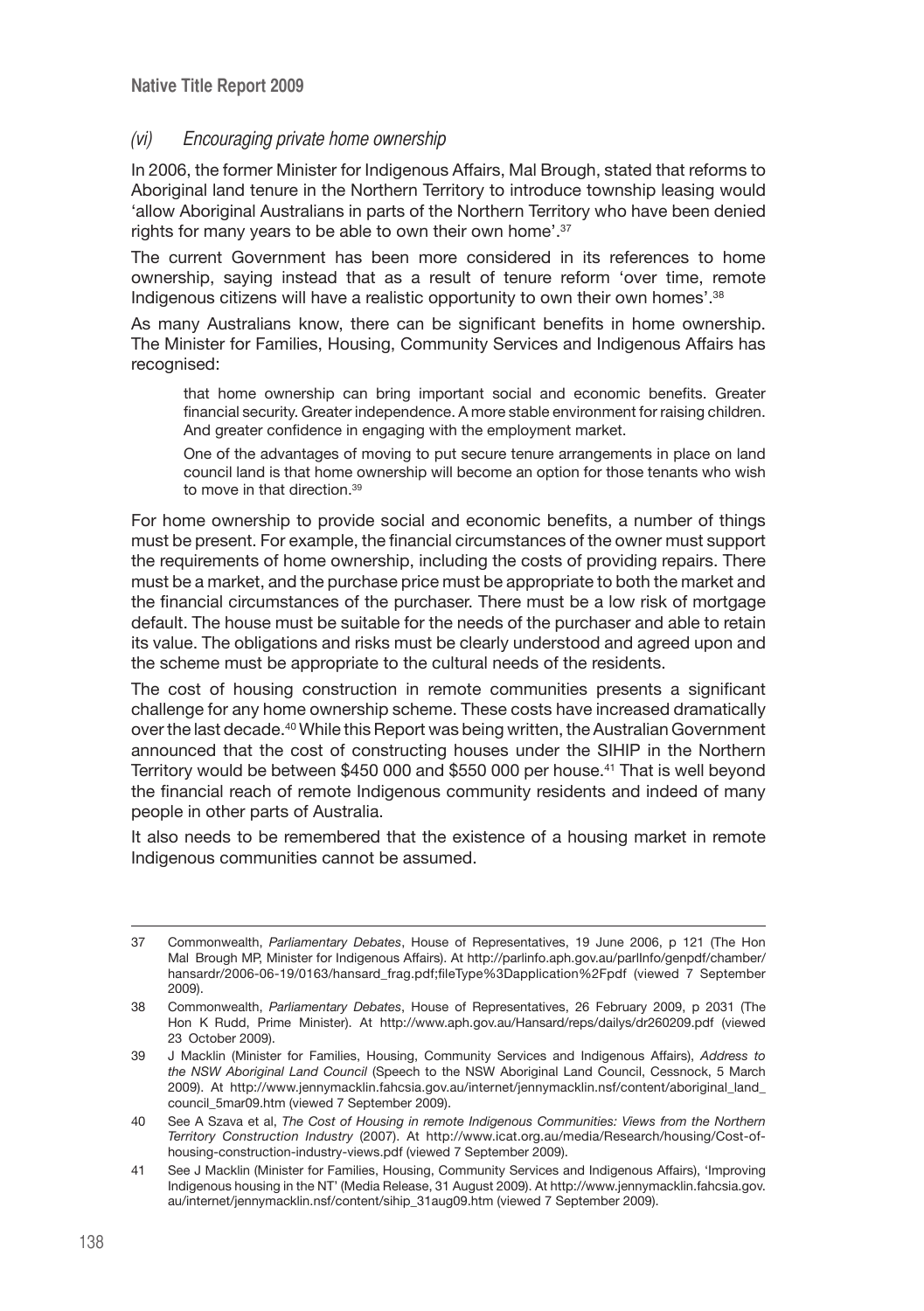#### (vi) Encouraging private home ownership

In 2006, the former Minister for Indigenous Affairs, Mal Brough, stated that reforms to Aboriginal land tenure in the Northern Territory to introduce township leasing would 'allow Aboriginal Australians in parts of the Northern Territory who have been denied rights for many years to be able to own their own home'.37

The current Government has been more considered in its references to home ownership, saying instead that as a result of tenure reform 'over time, remote Indigenous citizens will have a realistic opportunity to own their own homes'.<sup>38</sup>

As many Australians know, there can be significant benefits in home ownership. The Minister for Families, Housing, Community Services and Indigenous Affairs has recognised:

that home ownership can bring important social and economic benefits. Greater financial security. Greater independence. A more stable environment for raising children. And greater confidence in engaging with the employment market.

One of the advantages of moving to put secure tenure arrangements in place on land council land is that home ownership will become an option for those tenants who wish to move in that direction.39

For home ownership to provide social and economic benefits, a number of things must be present. For example, the financial circumstances of the owner must support the requirements of home ownership, including the costs of providing repairs. There must be a market, and the purchase price must be appropriate to both the market and the financial circumstances of the purchaser. There must be a low risk of mortgage default. The house must be suitable for the needs of the purchaser and able to retain its value. The obligations and risks must be clearly understood and agreed upon and the scheme must be appropriate to the cultural needs of the residents.

The cost of housing construction in remote communities presents a significant challenge for any home ownership scheme. These costs have increased dramatically over the last decade.40 While this Report was being written, the Australian Government announced that the cost of constructing houses under the SIHIP in the Northern Territory would be between \$450 000 and \$550 000 per house.<sup>41</sup> That is well beyond the financial reach of remote Indigenous community residents and indeed of many people in other parts of Australia.

It also needs to be remembered that the existence of a housing market in remote Indigenous communities cannot be assumed.

<sup>37</sup> Commonwealth, *Parliamentary Debates*, House of Representatives, 19 June 2006, p 121 (The Hon Mal Brough MP, Minister for Indigenous Affairs). At http://parlinfo.aph.gov.au/parlInfo/genpdf/chamber/ hansardr/2006-06-19/0163/hansard\_frag.pdf;fileType%3Dapplication%2Fpdf (viewed 7 September 2009).

<sup>38</sup> Commonwealth, *Parliamentary Debates*, House of Representatives, 26 February 2009, p 2031 (The Hon K Rudd, Prime Minister). At http://www.aph.gov.au/Hansard/reps/dailys/dr260209.pdf (viewed 23 October 2009).

<sup>39</sup> J Macklin (Minister for Families, Housing, Community Services and Indigenous Affairs), *Address to the NSW Aboriginal Land Council* (Speech to the NSW Aboriginal Land Council, Cessnock, 5 March 2009). At http://www.jennymacklin.fahcsia.gov.au/internet/jennymacklin.nsf/content/aboriginal\_land\_ council\_5mar09.htm (viewed 7 September 2009).

<sup>40</sup> See A Szava et al, *The Cost of Housing in remote Indigenous Communities: Views from the Northern Territory Construction Industry* (2007). At http://www.icat.org.au/media/Research/housing/Cost-ofhousing-construction-industry-views.pdf (viewed 7 September 2009).

<sup>41</sup> See J Macklin (Minister for Families, Housing, Community Services and Indigenous Affairs), 'Improving Indigenous housing in the NT' (Media Release, 31 August 2009). At http://www.jennymacklin.fahcsia.gov. au/internet/jennymacklin.nsf/content/sihip\_31aug09.htm (viewed 7 September 2009).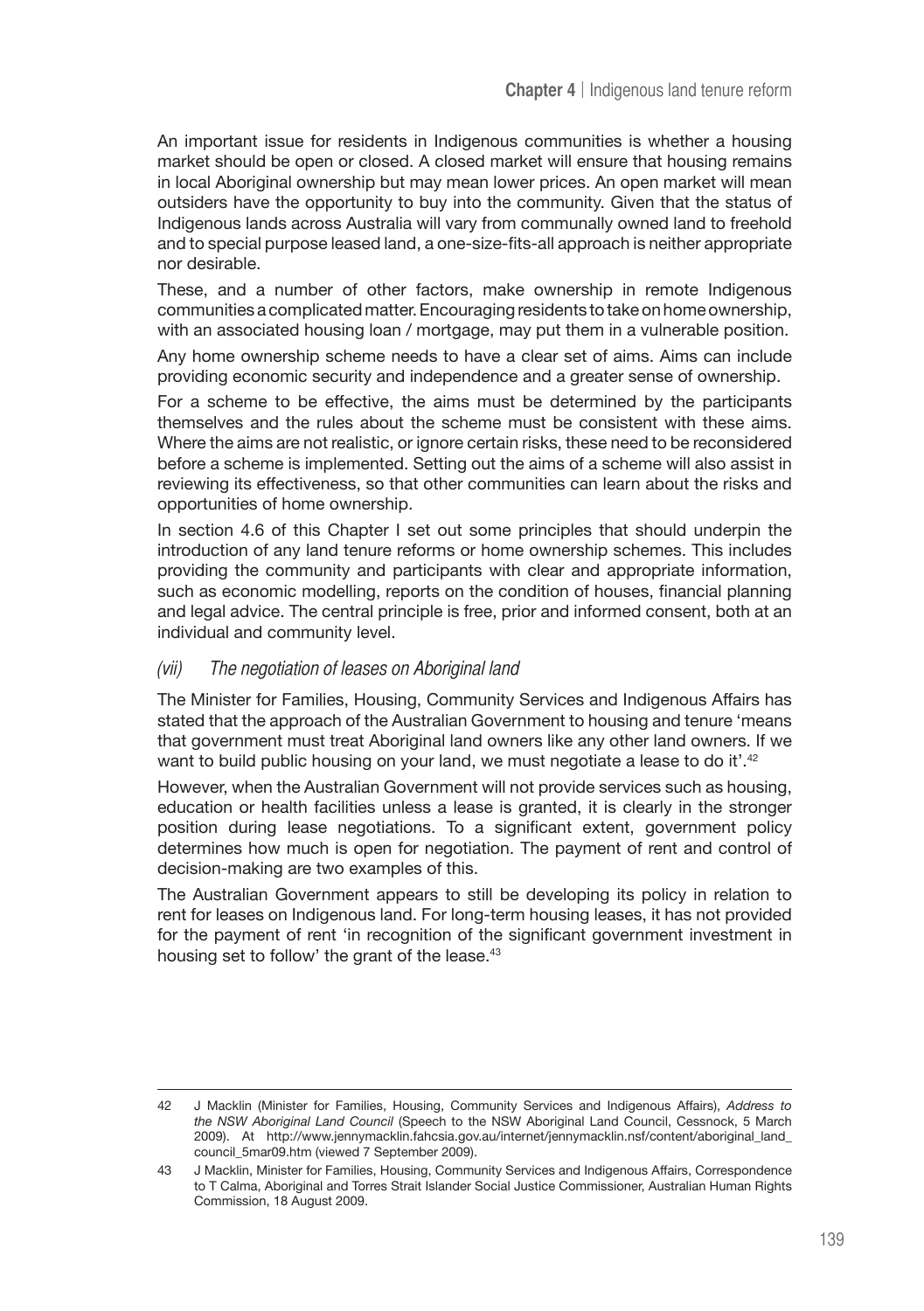An important issue for residents in Indigenous communities is whether a housing market should be open or closed. A closed market will ensure that housing remains in local Aboriginal ownership but may mean lower prices. An open market will mean outsiders have the opportunity to buy into the community. Given that the status of Indigenous lands across Australia will vary from communally owned land to freehold and to special purpose leased land, a one-size-fits-all approach is neither appropriate nor desirable.

These, and a number of other factors, make ownership in remote Indigenous communities a complicated matter. Encouraging residents to take on home ownership, with an associated housing loan / mortgage, may put them in a vulnerable position.

Any home ownership scheme needs to have a clear set of aims. Aims can include providing economic security and independence and a greater sense of ownership.

For a scheme to be effective, the aims must be determined by the participants themselves and the rules about the scheme must be consistent with these aims. Where the aims are not realistic, or ignore certain risks, these need to be reconsidered before a scheme is implemented. Setting out the aims of a scheme will also assist in reviewing its effectiveness, so that other communities can learn about the risks and opportunities of home ownership.

In section 4.6 of this Chapter I set out some principles that should underpin the introduction of any land tenure reforms or home ownership schemes. This includes providing the community and participants with clear and appropriate information, such as economic modelling, reports on the condition of houses, financial planning and legal advice. The central principle is free, prior and informed consent, both at an individual and community level.

#### (vii) The negotiation of leases on Aboriginal land

The Minister for Families, Housing, Community Services and Indigenous Affairs has stated that the approach of the Australian Government to housing and tenure 'means that government must treat Aboriginal land owners like any other land owners. If we want to build public housing on your land, we must negotiate a lease to do it'.<sup>42</sup>

However, when the Australian Government will not provide services such as housing, education or health facilities unless a lease is granted, it is clearly in the stronger position during lease negotiations. To a significant extent, government policy determines how much is open for negotiation. The payment of rent and control of decision-making are two examples of this.

The Australian Government appears to still be developing its policy in relation to rent for leases on Indigenous land. For long-term housing leases, it has not provided for the payment of rent 'in recognition of the significant government investment in housing set to follow' the grant of the lease.<sup>43</sup>

<sup>42</sup> J Macklin (Minister for Families, Housing, Community Services and Indigenous Affairs), *Address to the NSW Aboriginal Land Council* (Speech to the NSW Aboriginal Land Council, Cessnock, 5 March 2009). At http://www.jennymacklin.fahcsia.gov.au/internet/jennymacklin.nsf/content/aboriginal\_land\_ council\_5mar09.htm (viewed 7 September 2009).

<sup>43</sup> J Macklin, Minister for Families, Housing, Community Services and Indigenous Affairs, Correspondence to T Calma, Aboriginal and Torres Strait Islander Social Justice Commissioner, Australian Human Rights Commission, 18 August 2009.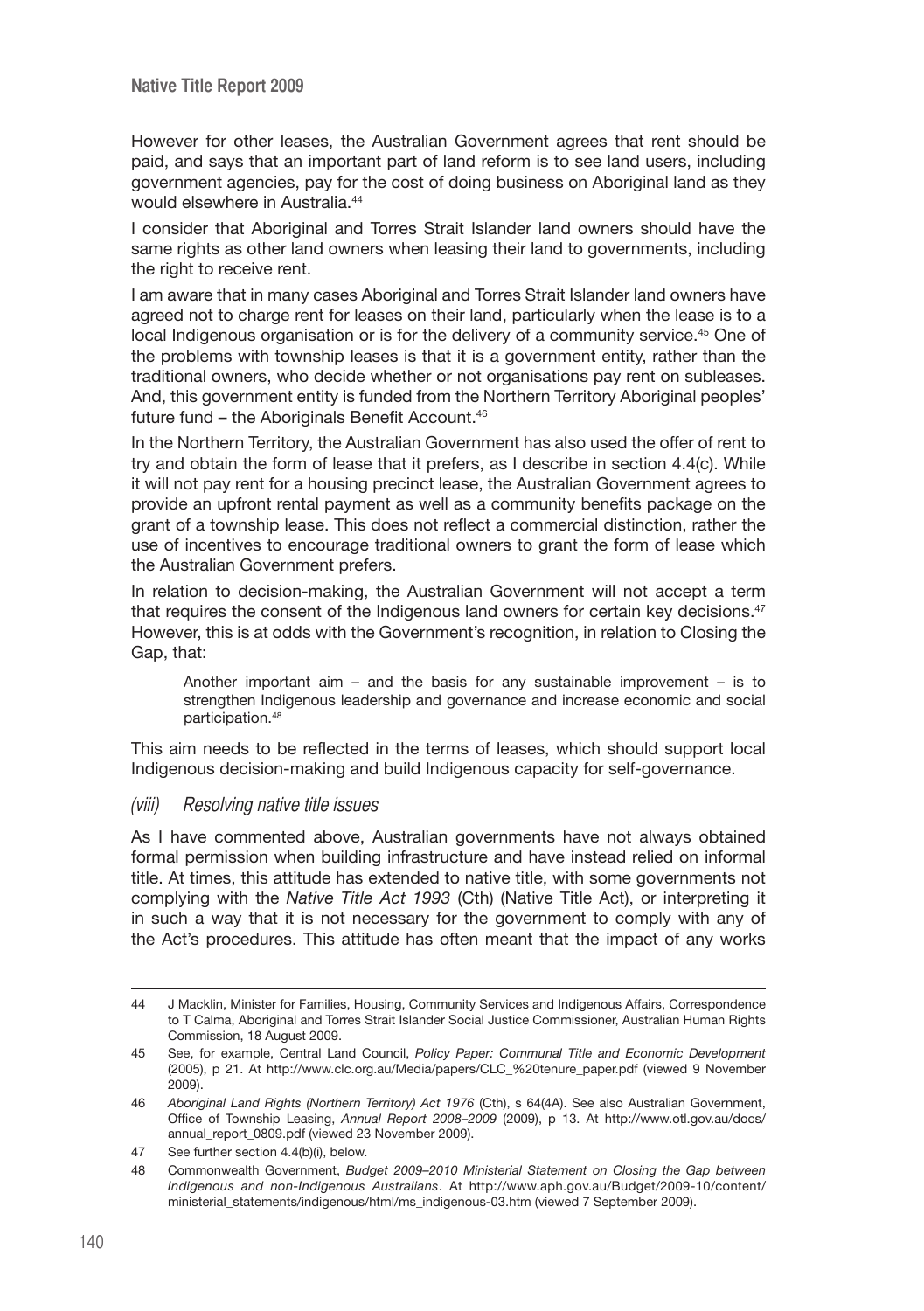However for other leases, the Australian Government agrees that rent should be paid, and says that an important part of land reform is to see land users, including government agencies, pay for the cost of doing business on Aboriginal land as they would elsewhere in Australia<sup>44</sup>

I consider that Aboriginal and Torres Strait Islander land owners should have the same rights as other land owners when leasing their land to governments, including the right to receive rent.

I am aware that in many cases Aboriginal and Torres Strait Islander land owners have agreed not to charge rent for leases on their land, particularly when the lease is to a local Indigenous organisation or is for the delivery of a community service.<sup>45</sup> One of the problems with township leases is that it is a government entity, rather than the traditional owners, who decide whether or not organisations pay rent on subleases. And, this government entity is funded from the Northern Territory Aboriginal peoples' future fund – the Aboriginals Benefit Account.<sup>46</sup>

In the Northern Territory, the Australian Government has also used the offer of rent to try and obtain the form of lease that it prefers, as I describe in section 4.4(c). While it will not pay rent for a housing precinct lease, the Australian Government agrees to provide an upfront rental payment as well as a community benefits package on the grant of a township lease. This does not reflect a commercial distinction, rather the use of incentives to encourage traditional owners to grant the form of lease which the Australian Government prefers.

In relation to decision-making, the Australian Government will not accept a term that requires the consent of the Indigenous land owners for certain key decisions.<sup>47</sup> However, this is at odds with the Government's recognition, in relation to Closing the Gap, that:

Another important aim – and the basis for any sustainable improvement – is to strengthen Indigenous leadership and governance and increase economic and social participation.48

This aim needs to be reflected in the terms of leases, which should support local Indigenous decision-making and build Indigenous capacity for self-governance.

#### (viii) Resolving native title issues

As I have commented above, Australian governments have not always obtained formal permission when building infrastructure and have instead relied on informal title. At times, this attitude has extended to native title, with some governments not complying with the *Native Title Act 1993* (Cth) (Native Title Act), or interpreting it in such a way that it is not necessary for the government to comply with any of the Act's procedures. This attitude has often meant that the impact of any works

<sup>44</sup> J Macklin, Minister for Families, Housing, Community Services and Indigenous Affairs, Correspondence to T Calma, Aboriginal and Torres Strait Islander Social Justice Commissioner, Australian Human Rights Commission, 18 August 2009.

<sup>45</sup> See, for example, Central Land Council, *Policy Paper: Communal Title and Economic Development* (2005), p 21. At http://www.clc.org.au/Media/papers/CLC\_%20tenure\_paper.pdf (viewed 9 November 2009).

<sup>46</sup> *Aboriginal Land Rights (Northern Territory) Act 1976* (Cth), s 64(4A). See also Australian Government, Office of Township Leasing, *Annual Report 2008–2009* (2009), p 13. At http://www.otl.gov.au/docs/ annual\_report\_0809.pdf (viewed 23 November 2009).

<sup>47</sup> See further section 4.4(b)(i), below.

<sup>48</sup> Commonwealth Government, *Budget 2009–2010 Ministerial Statement on Closing the Gap between Indigenous and non-Indigenous Australians*. At http://www.aph.gov.au/Budget/2009-10/content/ ministerial\_statements/indigenous/html/ms\_indigenous-03.htm (viewed 7 September 2009).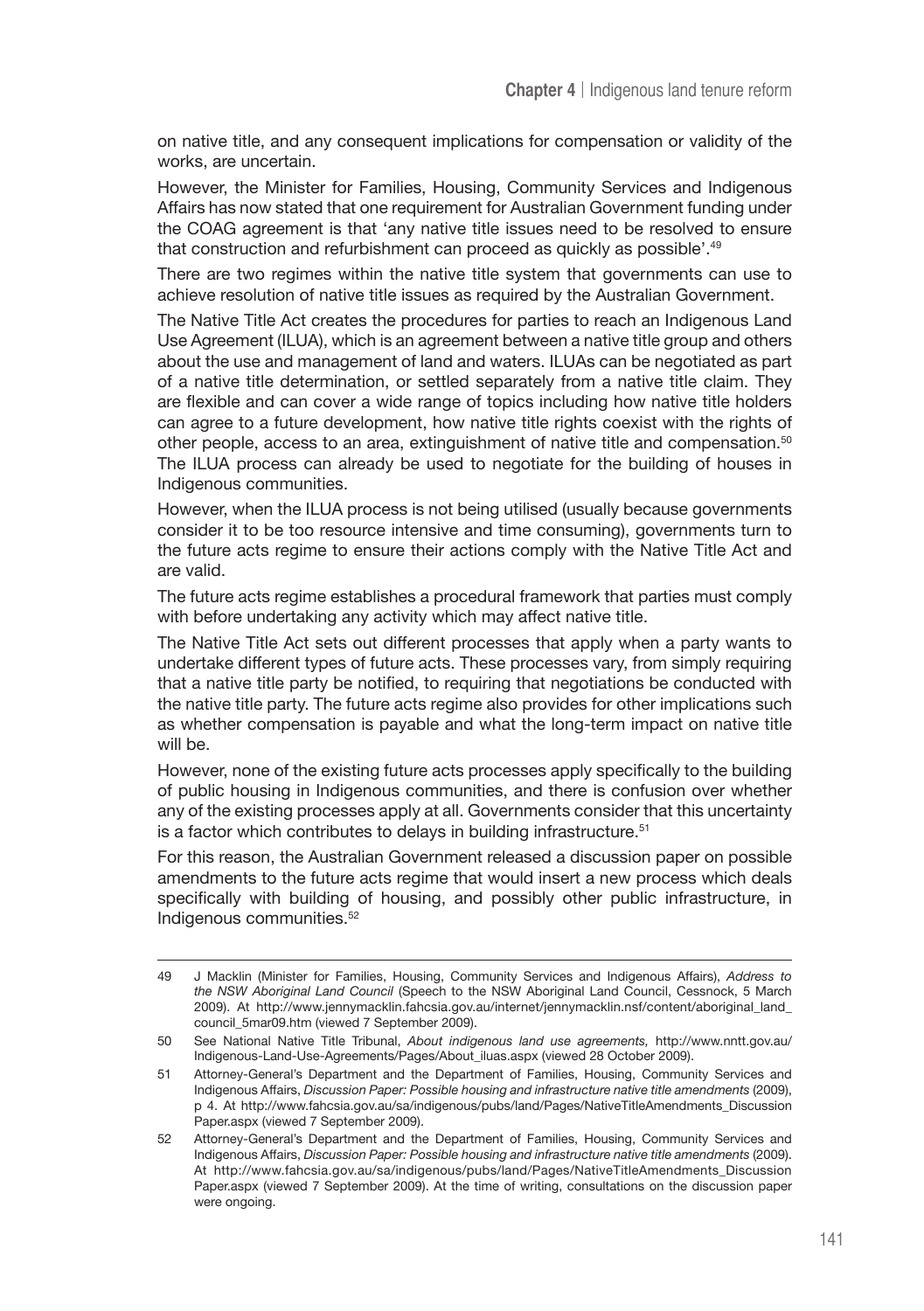on native title, and any consequent implications for compensation or validity of the works, are uncertain.

However, the Minister for Families, Housing, Community Services and Indigenous Affairs has now stated that one requirement for Australian Government funding under the COAG agreement is that 'any native title issues need to be resolved to ensure that construction and refurbishment can proceed as quickly as possible'.<sup>49</sup>

There are two regimes within the native title system that governments can use to achieve resolution of native title issues as required by the Australian Government.

The Native Title Act creates the procedures for parties to reach an Indigenous Land Use Agreement (ILUA), which is an agreement between a native title group and others about the use and management of land and waters. ILUAs can be negotiated as part of a native title determination, or settled separately from a native title claim. They are flexible and can cover a wide range of topics including how native title holders can agree to a future development, how native title rights coexist with the rights of other people, access to an area, extinguishment of native title and compensation.50 The ILUA process can already be used to negotiate for the building of houses in Indigenous communities.

However, when the ILUA process is not being utilised (usually because governments consider it to be too resource intensive and time consuming), governments turn to the future acts regime to ensure their actions comply with the Native Title Act and are valid.

The future acts regime establishes a procedural framework that parties must comply with before undertaking any activity which may affect native title.

The Native Title Act sets out different processes that apply when a party wants to undertake different types of future acts. These processes vary, from simply requiring that a native title party be notified, to requiring that negotiations be conducted with the native title party. The future acts regime also provides for other implications such as whether compensation is payable and what the long-term impact on native title will be.

However, none of the existing future acts processes apply specifically to the building of public housing in Indigenous communities, and there is confusion over whether any of the existing processes apply at all. Governments consider that this uncertainty is a factor which contributes to delays in building infrastructure.<sup>51</sup>

For this reason, the Australian Government released a discussion paper on possible amendments to the future acts regime that would insert a new process which deals specifically with building of housing, and possibly other public infrastructure, in Indigenous communities.52

<sup>49</sup> J Macklin (Minister for Families, Housing, Community Services and Indigenous Affairs), *Address to the NSW Aboriginal Land Council* (Speech to the NSW Aboriginal Land Council, Cessnock, 5 March 2009). At http://www.jennymacklin.fahcsia.gov.au/internet/jennymacklin.nsf/content/aboriginal\_land\_ council\_5mar09.htm (viewed 7 September 2009).

<sup>50</sup> See National Native Title Tribunal, *About indigenous land use agreements,* http://www.nntt.gov.au/ Indigenous-Land-Use-Agreements/Pages/About\_iluas.aspx (viewed 28 October 2009).

<sup>51</sup> Attorney-General's Department and the Department of Families, Housing, Community Services and Indigenous Affairs, *Discussion Paper: Possible housing and infrastructure native title amendments* (2009), p 4. At http://www.fahcsia.gov.au/sa/indigenous/pubs/land/Pages/NativeTitleAmendments\_Discussion Paper.aspx (viewed 7 September 2009).

<sup>52</sup> Attorney-General's Department and the Department of Families, Housing, Community Services and Indigenous Affairs, *Discussion Paper: Possible housing and infrastructure native title amendments* (2009). At http://www.fahcsia.gov.au/sa/indigenous/pubs/land/Pages/NativeTitleAmendments\_Discussion Paper.aspx (viewed 7 September 2009). At the time of writing, consultations on the discussion paper were ongoing.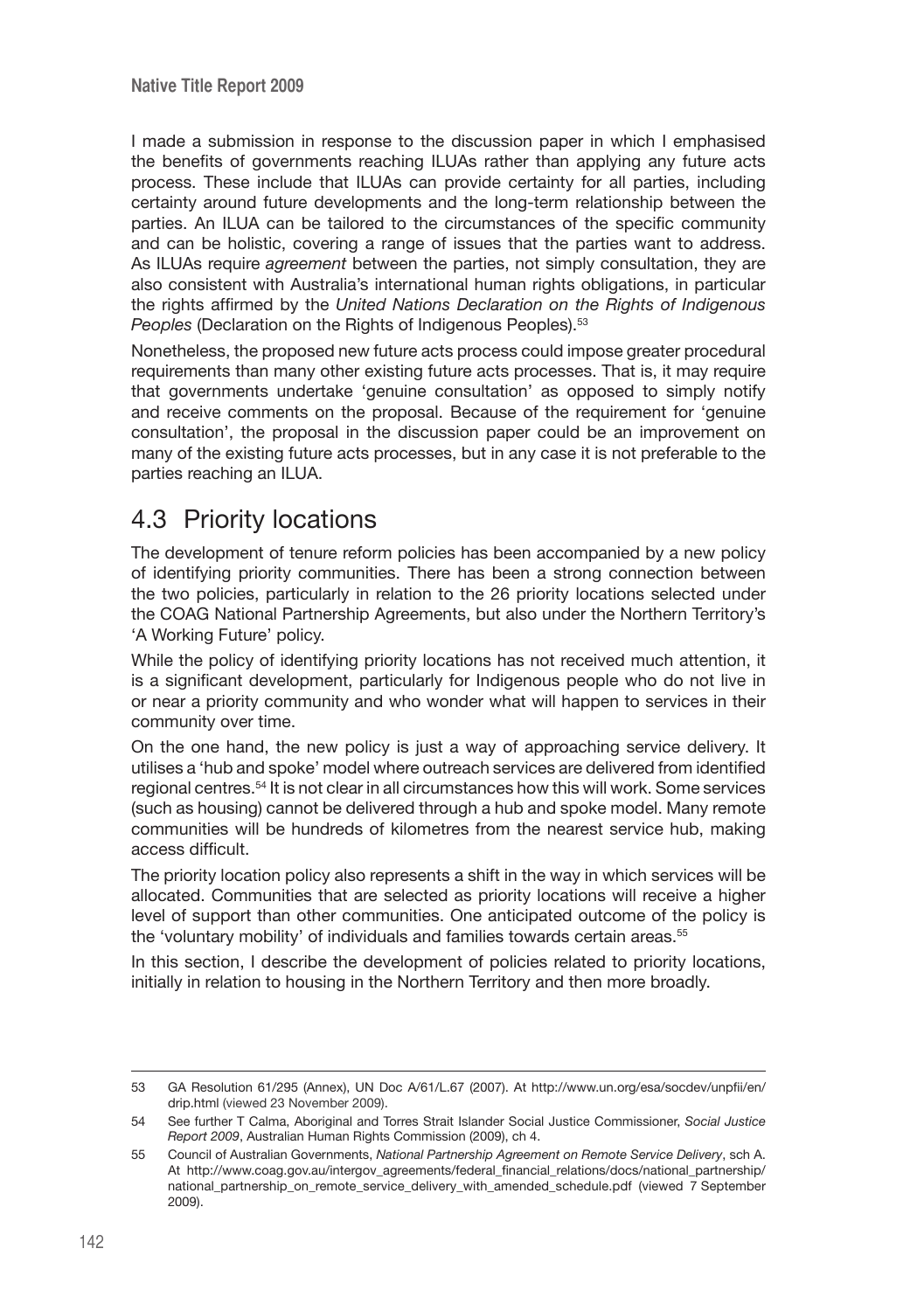I made a submission in response to the discussion paper in which I emphasised the benefits of governments reaching ILUAs rather than applying any future acts process. These include that ILUAs can provide certainty for all parties, including certainty around future developments and the long-term relationship between the parties. An ILUA can be tailored to the circumstances of the specific community and can be holistic, covering a range of issues that the parties want to address. As ILUAs require *agreement* between the parties, not simply consultation, they are also consistent with Australia's international human rights obligations, in particular the rights affirmed by the *United Nations Declaration on the Rights of Indigenous Peoples* (Declaration on the Rights of Indigenous Peoples).<sup>53</sup>

Nonetheless, the proposed new future acts process could impose greater procedural requirements than many other existing future acts processes. That is, it may require that governments undertake 'genuine consultation' as opposed to simply notify and receive comments on the proposal. Because of the requirement for 'genuine consultation', the proposal in the discussion paper could be an improvement on many of the existing future acts processes, but in any case it is not preferable to the parties reaching an ILUA.

# 4.3 Priority locations

The development of tenure reform policies has been accompanied by a new policy of identifying priority communities. There has been a strong connection between the two policies, particularly in relation to the 26 priority locations selected under the COAG National Partnership Agreements, but also under the Northern Territory's 'A Working Future' policy.

While the policy of identifying priority locations has not received much attention, it is a significant development, particularly for Indigenous people who do not live in or near a priority community and who wonder what will happen to services in their community over time.

On the one hand, the new policy is just a way of approaching service delivery. It utilises a 'hub and spoke' model where outreach services are delivered from identified regional centres.54 It is not clear in all circumstances how this will work. Some services (such as housing) cannot be delivered through a hub and spoke model. Many remote communities will be hundreds of kilometres from the nearest service hub, making access difficult.

The priority location policy also represents a shift in the way in which services will be allocated. Communities that are selected as priority locations will receive a higher level of support than other communities. One anticipated outcome of the policy is the 'voluntary mobility' of individuals and families towards certain areas.<sup>55</sup>

In this section, I describe the development of policies related to priority locations, initially in relation to housing in the Northern Territory and then more broadly.

<sup>53</sup> GA Resolution 61/295 (Annex), UN Doc A/61/L.67 (2007). At http://www.un.org/esa/socdev/unpfii/en/ drip.html (viewed 23 November 2009).

<sup>54</sup> See further T Calma, Aboriginal and Torres Strait Islander Social Justice Commissioner, *Social Justice Report 2009*, Australian Human Rights Commission (2009), ch 4.

<sup>55</sup> Council of Australian Governments, *National Partnership Agreement on Remote Service Delivery*, sch A. At http://www.coag.gov.au/intergov\_agreements/federal\_financial\_relations/docs/national\_partnership/ national partnership on remote service delivery with amended schedule.pdf (viewed 7 September 2009).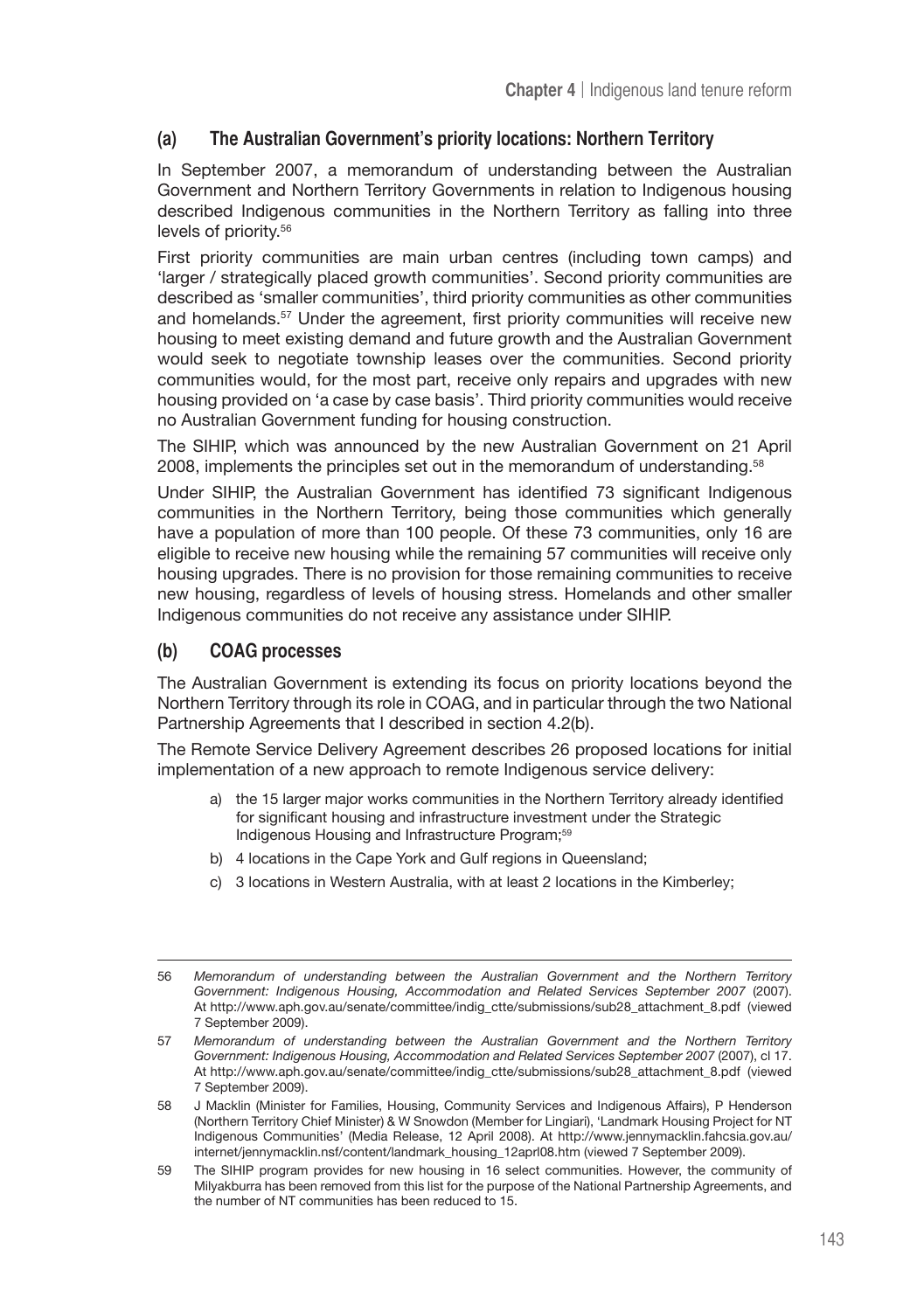# **(a) The Australian Government's priority locations: Northern Territory**

In September 2007, a memorandum of understanding between the Australian Government and Northern Territory Governments in relation to Indigenous housing described Indigenous communities in the Northern Territory as falling into three levels of priority.56

First priority communities are main urban centres (including town camps) and 'larger / strategically placed growth communities'. Second priority communities are described as 'smaller communities', third priority communities as other communities and homelands.<sup>57</sup> Under the agreement, first priority communities will receive new housing to meet existing demand and future growth and the Australian Government would seek to negotiate township leases over the communities. Second priority communities would, for the most part, receive only repairs and upgrades with new housing provided on 'a case by case basis'. Third priority communities would receive no Australian Government funding for housing construction.

The SIHIP, which was announced by the new Australian Government on 21 April 2008, implements the principles set out in the memorandum of understanding.58

Under SIHIP, the Australian Government has identified 73 significant Indigenous communities in the Northern Territory, being those communities which generally have a population of more than 100 people. Of these 73 communities, only 16 are eligible to receive new housing while the remaining 57 communities will receive only housing upgrades. There is no provision for those remaining communities to receive new housing, regardless of levels of housing stress. Homelands and other smaller Indigenous communities do not receive any assistance under SIHIP.

### **(b) COAG processes**

The Australian Government is extending its focus on priority locations beyond the Northern Territory through its role in COAG, and in particular through the two National Partnership Agreements that I described in section 4.2(b).

The Remote Service Delivery Agreement describes 26 proposed locations for initial implementation of a new approach to remote Indigenous service delivery:

- a) the 15 larger major works communities in the Northern Territory already identified for significant housing and infrastructure investment under the Strategic Indigenous Housing and Infrastructure Program;<sup>59</sup>
- b) 4 locations in the Cape York and Gulf regions in Queensland;
- c) 3 locations in Western Australia, with at least 2 locations in the Kimberley;

<sup>56</sup> *Memorandum of understanding between the Australian Government and the Northern Territory Government: Indigenous Housing, Accommodation and Related Services September 2007* (2007). At http://www.aph.gov.au/senate/committee/indig\_ctte/submissions/sub28\_attachment\_8.pdf (viewed 7 September 2009).

<sup>57</sup> *Memorandum of understanding between the Australian Government and the Northern Territory Government: Indigenous Housing, Accommodation and Related Services September 2007* (2007), cl 17. At http://www.aph.gov.au/senate/committee/indig\_ctte/submissions/sub28\_attachment\_8.pdf (viewed 7 September 2009).

<sup>58</sup> J Macklin (Minister for Families, Housing, Community Services and Indigenous Affairs), P Henderson (Northern Territory Chief Minister) & W Snowdon (Member for Lingiari), 'Landmark Housing Project for NT Indigenous Communities' (Media Release, 12 April 2008). At http://www.jennymacklin.fahcsia.gov.au/ internet/jennymacklin.nsf/content/landmark\_housing\_12aprl08.htm (viewed 7 September 2009).

<sup>59</sup> The SIHIP program provides for new housing in 16 select communities. However, the community of Milyakburra has been removed from this list for the purpose of the National Partnership Agreements, and the number of NT communities has been reduced to 15.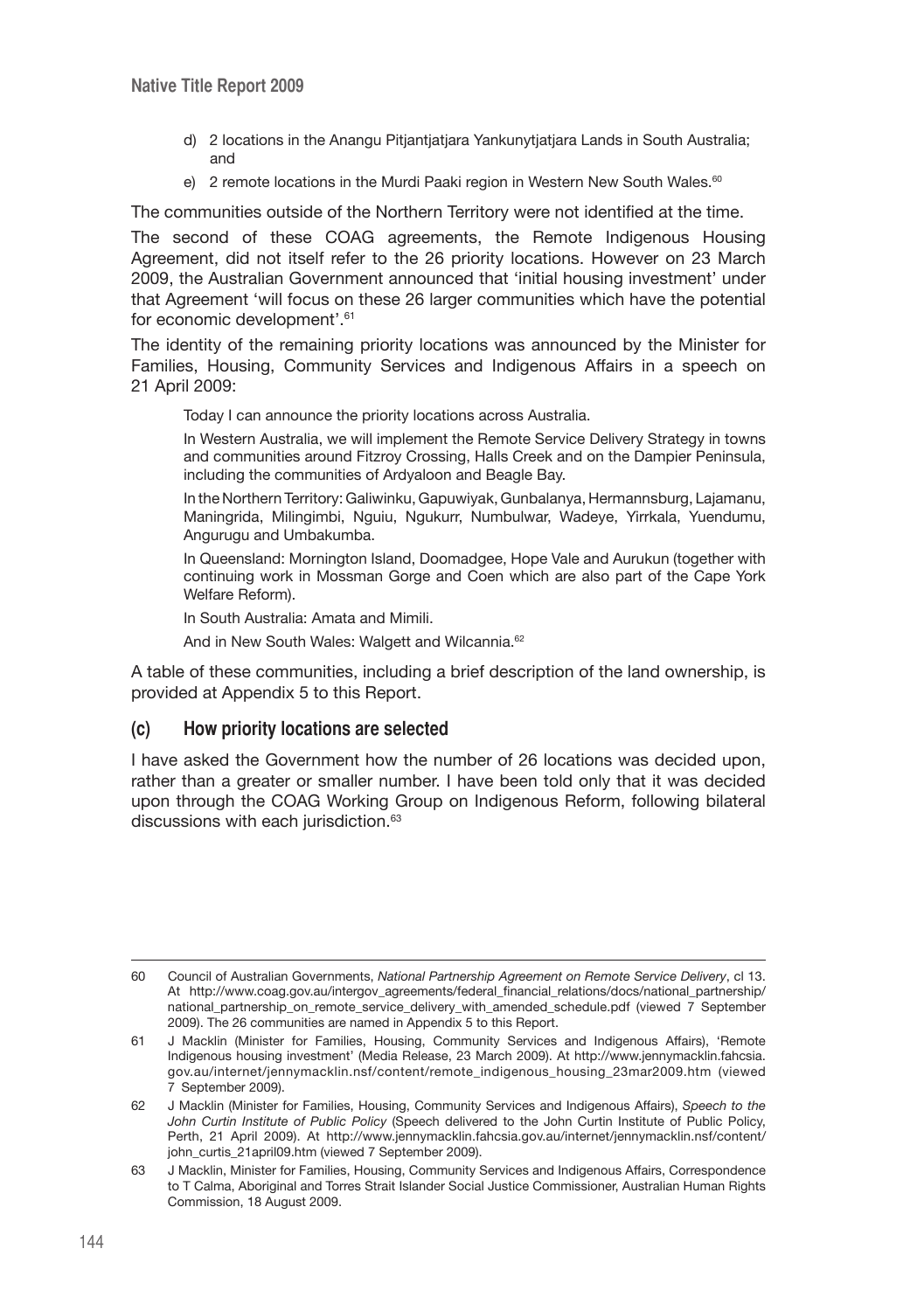- d) 2 locations in the Anangu Pitjantjatjara Yankunytjatjara Lands in South Australia; and
- e) 2 remote locations in the Murdi Paaki region in Western New South Wales.<sup>60</sup>

The communities outside of the Northern Territory were not identified at the time.

The second of these COAG agreements, the Remote Indigenous Housing Agreement, did not itself refer to the 26 priority locations. However on 23 March 2009, the Australian Government announced that 'initial housing investment' under that Agreement 'will focus on these 26 larger communities which have the potential for economic development'.61

The identity of the remaining priority locations was announced by the Minister for Families, Housing, Community Services and Indigenous Affairs in a speech on 21 April 2009:

Today I can announce the priority locations across Australia.

In Western Australia, we will implement the Remote Service Delivery Strategy in towns and communities around Fitzroy Crossing, Halls Creek and on the Dampier Peninsula, including the communities of Ardyaloon and Beagle Bay.

In the Northern Territory: Galiwinku, Gapuwiyak, Gunbalanya, Hermannsburg, Lajamanu, Maningrida, Milingimbi, Nguiu, Ngukurr, Numbulwar, Wadeye, Yirrkala, Yuendumu, Angurugu and Umbakumba.

In Queensland: Mornington Island, Doomadgee, Hope Vale and Aurukun (together with continuing work in Mossman Gorge and Coen which are also part of the Cape York Welfare Reform).

In South Australia: Amata and Mimili.

And in New South Wales: Walgett and Wilcannia.<sup>62</sup>

A table of these communities, including a brief description of the land ownership, is provided at Appendix 5 to this Report.

#### **(c) How priority locations are selected**

I have asked the Government how the number of 26 locations was decided upon, rather than a greater or smaller number. I have been told only that it was decided upon through the COAG Working Group on Indigenous Reform, following bilateral discussions with each jurisdiction.<sup>63</sup>

<sup>60</sup> Council of Australian Governments, *National Partnership Agreement on Remote Service Delivery*, cl 13. At http://www.coag.gov.au/intergov\_agreements/federal\_financial\_relations/docs/national\_partnership/ national partnership on remote service delivery with amended schedule.pdf (viewed 7 September 2009). The 26 communities are named in Appendix 5 to this Report.

<sup>61</sup> J Macklin (Minister for Families, Housing, Community Services and Indigenous Affairs), 'Remote Indigenous housing investment' (Media Release, 23 March 2009). At http://www.jennymacklin.fahcsia. gov.au/internet/jennymacklin.nsf/content/remote\_indigenous\_housing\_23mar2009.htm (viewed 7 September 2009).

<sup>62</sup> J Macklin (Minister for Families, Housing, Community Services and Indigenous Affairs), *Speech to the John Curtin Institute of Public Policy* (Speech delivered to the John Curtin Institute of Public Policy, Perth, 21 April 2009). At http://www.jennymacklin.fahcsia.gov.au/internet/jennymacklin.nsf/content/ john\_curtis\_21april09.htm (viewed 7 September 2009).

<sup>63</sup> J Macklin, Minister for Families, Housing, Community Services and Indigenous Affairs, Correspondence to T Calma, Aboriginal and Torres Strait Islander Social Justice Commissioner, Australian Human Rights Commission, 18 August 2009.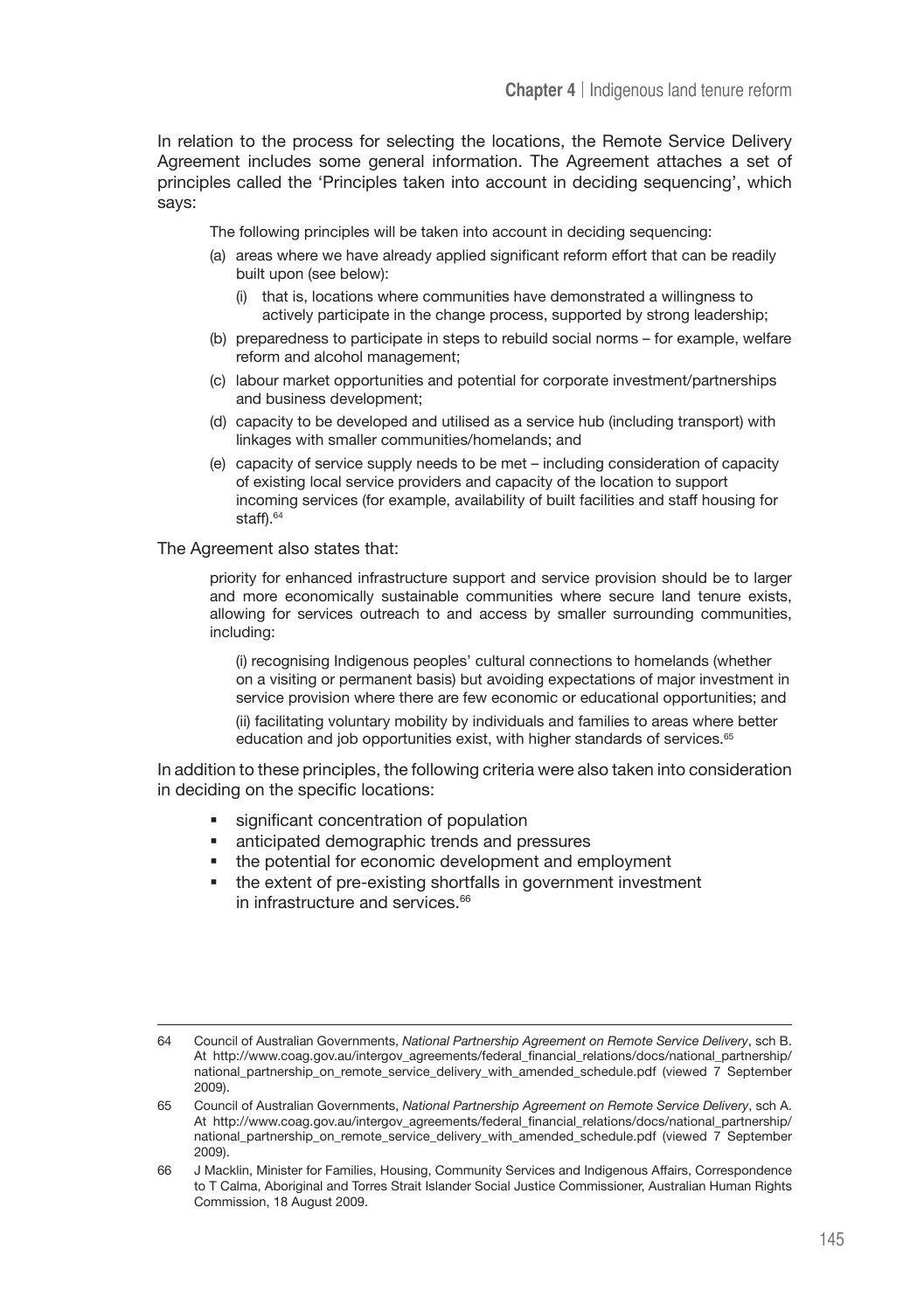In relation to the process for selecting the locations, the Remote Service Delivery Agreement includes some general information. The Agreement attaches a set of principles called the 'Principles taken into account in deciding sequencing', which says:

The following principles will be taken into account in deciding sequencing:

- (a) areas where we have already applied significant reform effort that can be readily built upon (see below):
	- (i) that is, locations where communities have demonstrated a willingness to actively participate in the change process, supported by strong leadership;
- (b) preparedness to participate in steps to rebuild social norms for example, welfare reform and alcohol management;
- (c) labour market opportunities and potential for corporate investment/partnerships and business development;
- (d) capacity to be developed and utilised as a service hub (including transport) with linkages with smaller communities/homelands; and
- (e) capacity of service supply needs to be met including consideration of capacity of existing local service providers and capacity of the location to support incoming services (for example, availability of built facilities and staff housing for staff).<sup>64</sup>

The Agreement also states that:

priority for enhanced infrastructure support and service provision should be to larger and more economically sustainable communities where secure land tenure exists, allowing for services outreach to and access by smaller surrounding communities, including:

(i) recognising Indigenous peoples' cultural connections to homelands (whether on a visiting or permanent basis) but avoiding expectations of major investment in service provision where there are few economic or educational opportunities; and

(ii) facilitating voluntary mobility by individuals and families to areas where better education and job opportunities exist, with higher standards of services.<sup>65</sup>

In addition to these principles, the following criteria were also taken into consideration in deciding on the specific locations:

- significant concentration of population
- anticipated demographic trends and pressures
- the potential for economic development and employment
- the extent of pre-existing shortfalls in government investment in infrastructure and services.<sup>66</sup>

<sup>64</sup> Council of Australian Governments, *National Partnership Agreement on Remote Service Delivery*, sch B. At http://www.coag.gov.au/intergov\_agreements/federal\_financial\_relations/docs/national\_partnership/ national\_partnership\_on\_remote\_service\_delivery\_with\_amended\_schedule.pdf (viewed 7 September 2009).

<sup>65</sup> Council of Australian Governments, *National Partnership Agreement on Remote Service Delivery*, sch A. At http://www.coag.gov.au/intergov\_agreements/federal\_financial\_relations/docs/national\_partnership/ national\_partnership\_on\_remote\_service\_delivery\_with\_amended\_schedule.pdf (viewed 7 September 2009).

<sup>66</sup> J Macklin, Minister for Families, Housing, Community Services and Indigenous Affairs, Correspondence to T Calma, Aboriginal and Torres Strait Islander Social Justice Commissioner, Australian Human Rights Commission, 18 August 2009.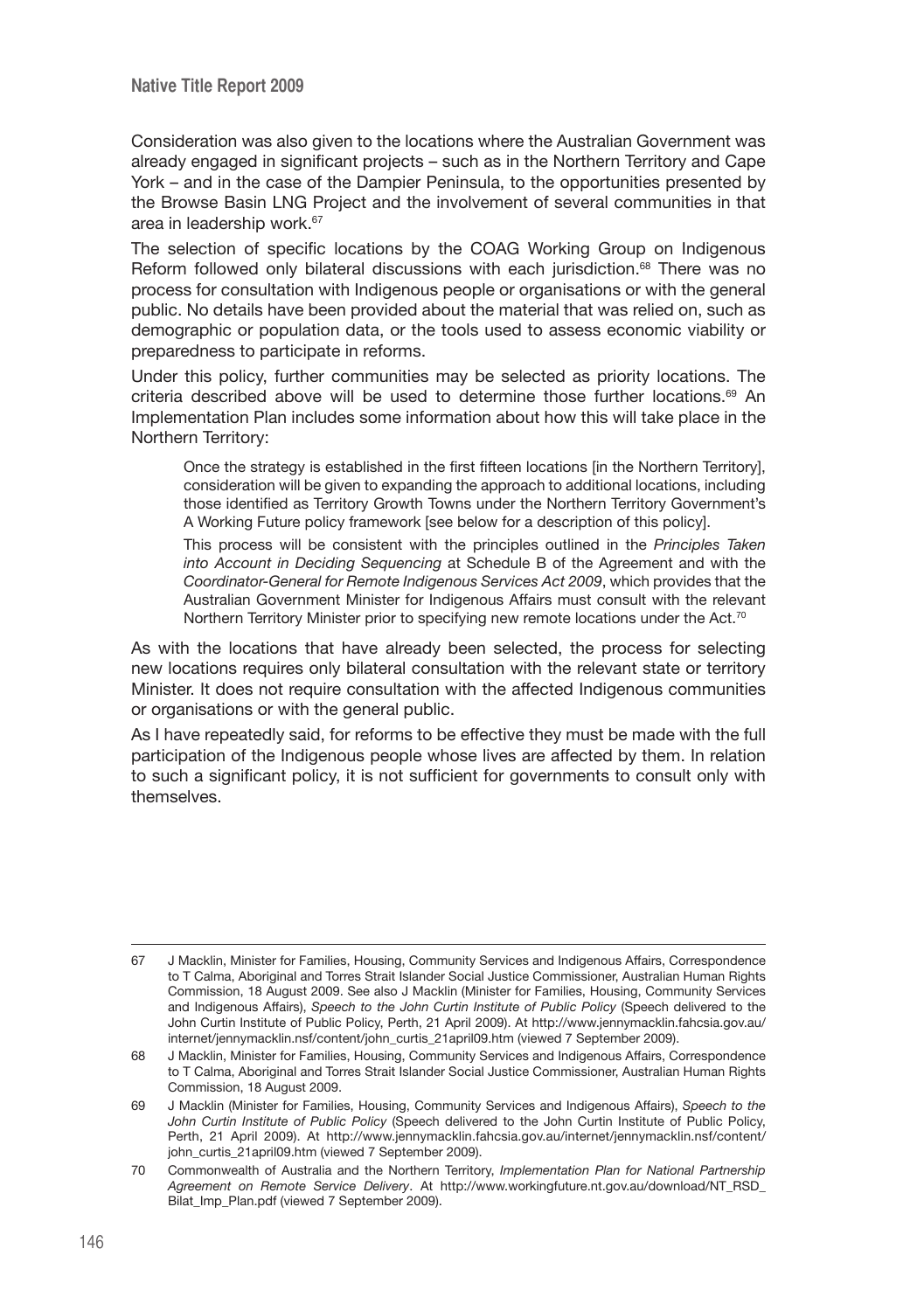Consideration was also given to the locations where the Australian Government was already engaged in significant projects – such as in the Northern Territory and Cape York – and in the case of the Dampier Peninsula, to the opportunities presented by the Browse Basin LNG Project and the involvement of several communities in that area in leadership work.67

The selection of specific locations by the COAG Working Group on Indigenous Reform followed only bilateral discussions with each jurisdiction.<sup>68</sup> There was no process for consultation with Indigenous people or organisations or with the general public. No details have been provided about the material that was relied on, such as demographic or population data, or the tools used to assess economic viability or preparedness to participate in reforms.

Under this policy, further communities may be selected as priority locations. The criteria described above will be used to determine those further locations.<sup>69</sup> An Implementation Plan includes some information about how this will take place in the Northern Territory:

Once the strategy is established in the first fifteen locations [in the Northern Territory], consideration will be given to expanding the approach to additional locations, including those identified as Territory Growth Towns under the Northern Territory Government's A Working Future policy framework [see below for a description of this policy].

This process will be consistent with the principles outlined in the *Principles Taken into Account in Deciding Sequencing* at Schedule B of the Agreement and with the *Coordinator-General for Remote Indigenous Services Act 2009*, which provides that the Australian Government Minister for Indigenous Affairs must consult with the relevant Northern Territory Minister prior to specifying new remote locations under the Act.<sup>70</sup>

As with the locations that have already been selected, the process for selecting new locations requires only bilateral consultation with the relevant state or territory Minister. It does not require consultation with the affected Indigenous communities or organisations or with the general public.

As I have repeatedly said, for reforms to be effective they must be made with the full participation of the Indigenous people whose lives are affected by them. In relation to such a significant policy, it is not sufficient for governments to consult only with themselves.

<sup>67</sup> J Macklin, Minister for Families, Housing, Community Services and Indigenous Affairs, Correspondence to T Calma, Aboriginal and Torres Strait Islander Social Justice Commissioner, Australian Human Rights Commission, 18 August 2009. See also J Macklin (Minister for Families, Housing, Community Services and Indigenous Affairs), *Speech to the John Curtin Institute of Public Policy* (Speech delivered to the John Curtin Institute of Public Policy, Perth, 21 April 2009). At http://www.jennymacklin.fahcsia.gov.au/ internet/jennymacklin.nsf/content/john\_curtis\_21april09.htm (viewed 7 September 2009).

<sup>68</sup> J Macklin, Minister for Families, Housing, Community Services and Indigenous Affairs, Correspondence to T Calma, Aboriginal and Torres Strait Islander Social Justice Commissioner, Australian Human Rights Commission, 18 August 2009.

<sup>69</sup> J Macklin (Minister for Families, Housing, Community Services and Indigenous Affairs), *Speech to the John Curtin Institute of Public Policy* (Speech delivered to the John Curtin Institute of Public Policy, Perth, 21 April 2009). At http://www.jennymacklin.fahcsia.gov.au/internet/jennymacklin.nsf/content/ john\_curtis\_21april09.htm (viewed 7 September 2009).

<sup>70</sup> Commonwealth of Australia and the Northern Territory, *Implementation Plan for National Partnership Agreement on Remote Service Delivery*. At http://www.workingfuture.nt.gov.au/download/NT\_RSD\_ Bilat Imp\_Plan.pdf (viewed 7 September 2009).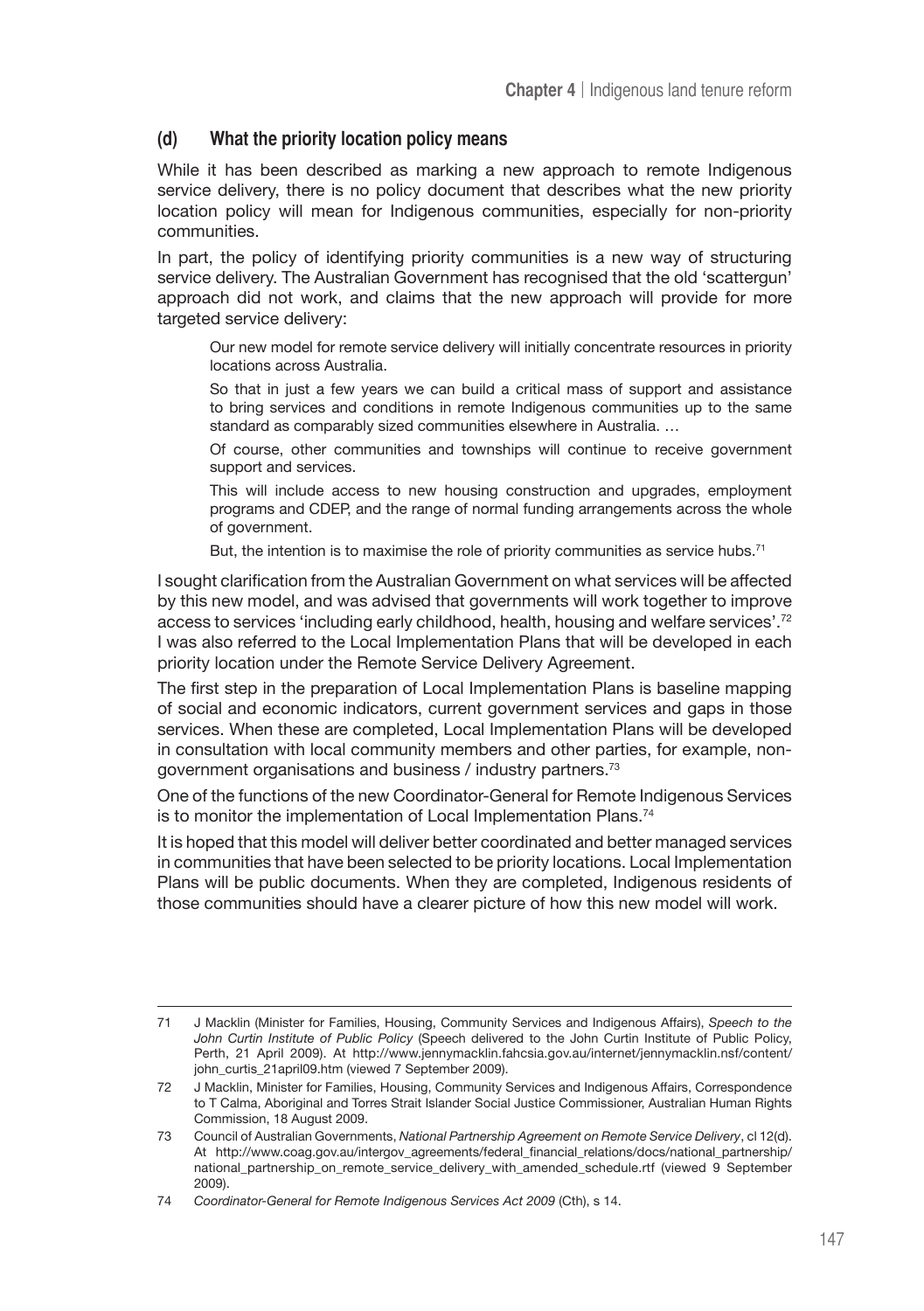# **(d) What the priority location policy means**

While it has been described as marking a new approach to remote Indigenous service delivery, there is no policy document that describes what the new priority location policy will mean for Indigenous communities, especially for non-priority communities.

In part, the policy of identifying priority communities is a new way of structuring service delivery. The Australian Government has recognised that the old 'scattergun' approach did not work, and claims that the new approach will provide for more targeted service delivery:

Our new model for remote service delivery will initially concentrate resources in priority locations across Australia.

So that in just a few years we can build a critical mass of support and assistance to bring services and conditions in remote Indigenous communities up to the same standard as comparably sized communities elsewhere in Australia. …

Of course, other communities and townships will continue to receive government support and services.

This will include access to new housing construction and upgrades, employment programs and CDEP, and the range of normal funding arrangements across the whole of government.

But, the intention is to maximise the role of priority communities as service hubs.<sup>71</sup>

I sought clarification from the Australian Government on what services will be affected by this new model, and was advised that governments will work together to improve access to services 'including early childhood, health, housing and welfare services'.72 I was also referred to the Local Implementation Plans that will be developed in each priority location under the Remote Service Delivery Agreement.

The first step in the preparation of Local Implementation Plans is baseline mapping of social and economic indicators, current government services and gaps in those services. When these are completed, Local Implementation Plans will be developed in consultation with local community members and other parties, for example, nongovernment organisations and business / industry partners.73

One of the functions of the new Coordinator-General for Remote Indigenous Services is to monitor the implementation of Local Implementation Plans.<sup>74</sup>

It is hoped that this model will deliver better coordinated and better managed services in communities that have been selected to be priority locations. Local Implementation Plans will be public documents. When they are completed, Indigenous residents of those communities should have a clearer picture of how this new model will work.

<sup>71</sup> J Macklin (Minister for Families, Housing, Community Services and Indigenous Affairs), *Speech to the John Curtin Institute of Public Policy* (Speech delivered to the John Curtin Institute of Public Policy, Perth, 21 April 2009). At http://www.jennymacklin.fahcsia.gov.au/internet/jennymacklin.nsf/content/ john\_curtis\_21april09.htm (viewed 7 September 2009).

<sup>72</sup> J Macklin, Minister for Families, Housing, Community Services and Indigenous Affairs, Correspondence to T Calma, Aboriginal and Torres Strait Islander Social Justice Commissioner, Australian Human Rights Commission, 18 August 2009.

<sup>73</sup> Council of Australian Governments, *National Partnership Agreement on Remote Service Delivery*, cl 12(d). At http://www.coag.gov.au/intergov\_agreements/federal\_financial\_relations/docs/national\_partnership/ national\_partnership\_on\_remote\_service\_delivery\_with\_amended\_schedule.rtf (viewed 9 September 2009).

<sup>74</sup> *Coordinator-General for Remote Indigenous Services Act 2009* (Cth), s 14.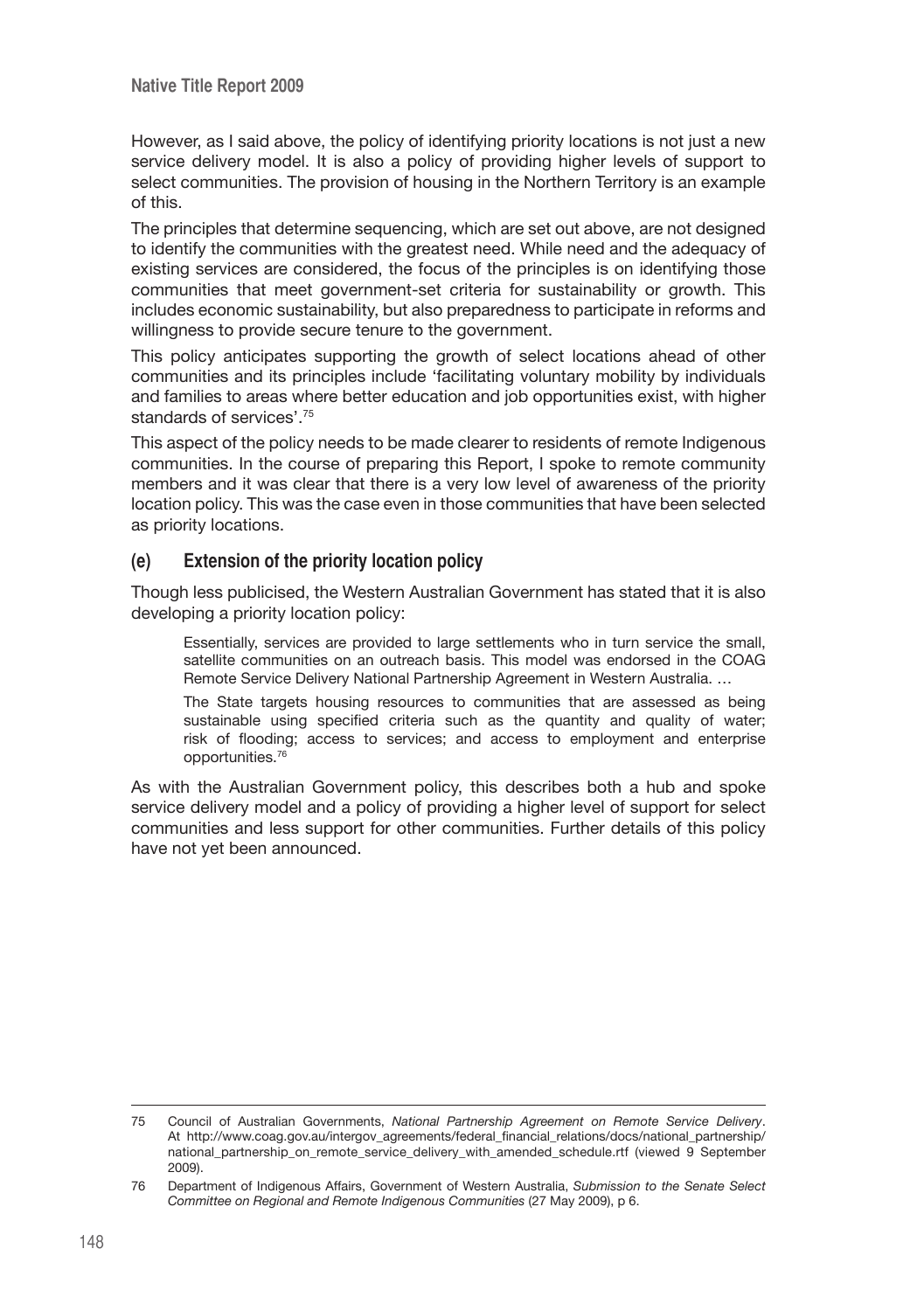However, as I said above, the policy of identifying priority locations is not just a new service delivery model. It is also a policy of providing higher levels of support to select communities. The provision of housing in the Northern Territory is an example of this.

The principles that determine sequencing, which are set out above, are not designed to identify the communities with the greatest need. While need and the adequacy of existing services are considered, the focus of the principles is on identifying those communities that meet government-set criteria for sustainability or growth. This includes economic sustainability, but also preparedness to participate in reforms and willingness to provide secure tenure to the government.

This policy anticipates supporting the growth of select locations ahead of other communities and its principles include 'facilitating voluntary mobility by individuals and families to areas where better education and job opportunities exist, with higher standards of services'.75

This aspect of the policy needs to be made clearer to residents of remote Indigenous communities. In the course of preparing this Report, I spoke to remote community members and it was clear that there is a very low level of awareness of the priority location policy. This was the case even in those communities that have been selected as priority locations.

### **(e) Extension of the priority location policy**

Though less publicised, the Western Australian Government has stated that it is also developing a priority location policy:

Essentially, services are provided to large settlements who in turn service the small, satellite communities on an outreach basis. This model was endorsed in the COAG Remote Service Delivery National Partnership Agreement in Western Australia. …

The State targets housing resources to communities that are assessed as being sustainable using specified criteria such as the quantity and quality of water; risk of flooding; access to services; and access to employment and enterprise opportunities.76

As with the Australian Government policy, this describes both a hub and spoke service delivery model and a policy of providing a higher level of support for select communities and less support for other communities. Further details of this policy have not yet been announced.

<sup>75</sup> Council of Australian Governments, *National Partnership Agreement on Remote Service Delivery*. At http://www.coag.gov.au/intergov\_agreements/federal\_financial\_relations/docs/national\_partnership/ national\_partnership\_on\_remote\_service\_delivery\_with\_amended\_schedule.rtf (viewed 9 September 2009).

<sup>76</sup> Department of Indigenous Affairs, Government of Western Australia, *Submission to the Senate Select Committee on Regional and Remote Indigenous Communities* (27 May 2009), p 6.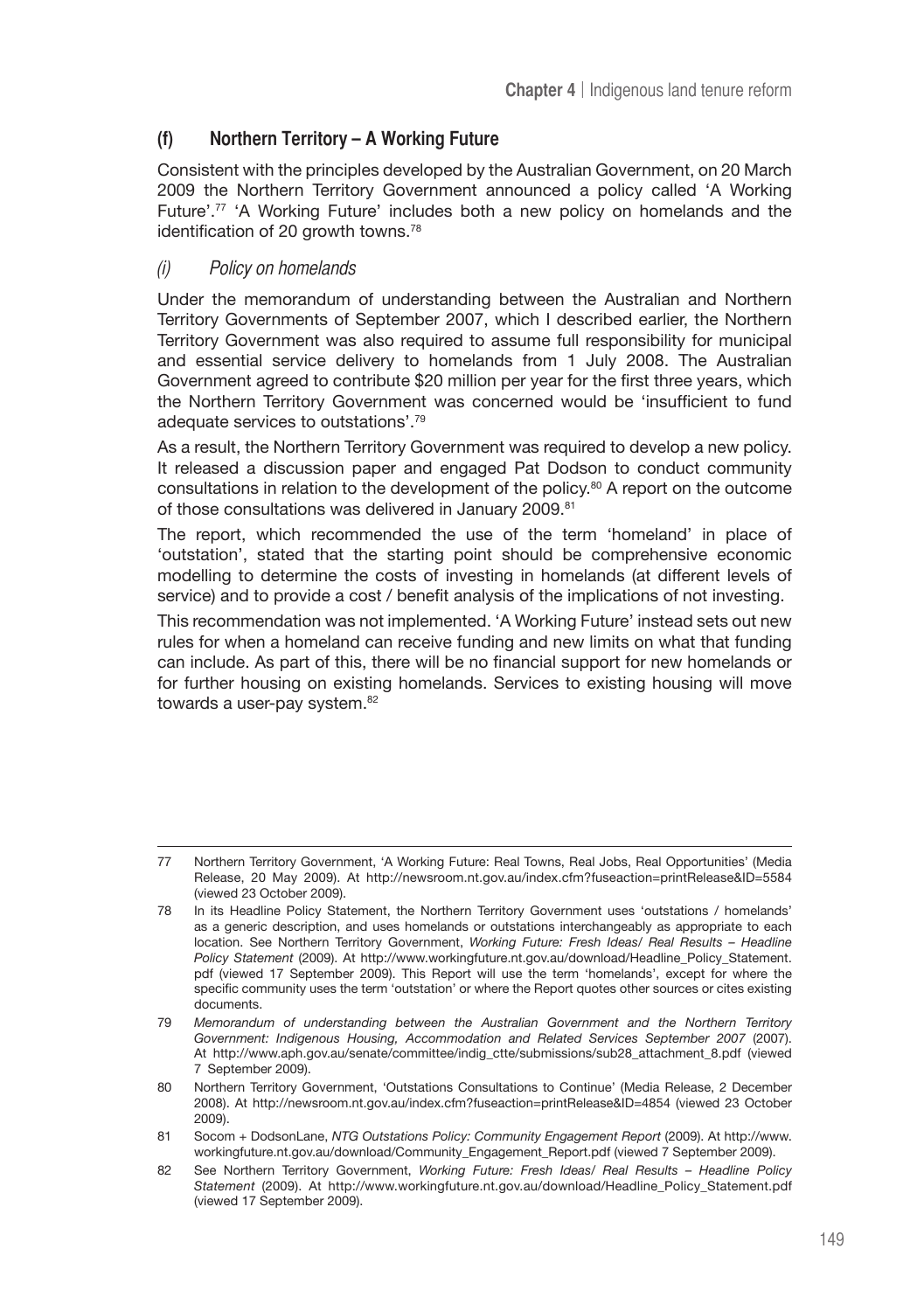# **(f) Northern Territory – A Working Future**

Consistent with the principles developed by the Australian Government, on 20 March 2009 the Northern Territory Government announced a policy called 'A Working Future'.77 'A Working Future' includes both a new policy on homelands and the identification of 20 growth towns.<sup>78</sup>

#### (i) Policy on homelands

Under the memorandum of understanding between the Australian and Northern Territory Governments of September 2007, which I described earlier, the Northern Territory Government was also required to assume full responsibility for municipal and essential service delivery to homelands from 1 July 2008. The Australian Government agreed to contribute \$20 million per year for the first three years, which the Northern Territory Government was concerned would be 'insufficient to fund adequate services to outstations'.79

As a result, the Northern Territory Government was required to develop a new policy. It released a discussion paper and engaged Pat Dodson to conduct community consultations in relation to the development of the policy.80 A report on the outcome of those consultations was delivered in January 2009.<sup>81</sup>

The report, which recommended the use of the term 'homeland' in place of 'outstation', stated that the starting point should be comprehensive economic modelling to determine the costs of investing in homelands (at different levels of service) and to provide a cost / benefit analysis of the implications of not investing.

This recommendation was not implemented. 'A Working Future' instead sets out new rules for when a homeland can receive funding and new limits on what that funding can include. As part of this, there will be no financial support for new homelands or for further housing on existing homelands. Services to existing housing will move towards a user-pay system.<sup>82</sup>

<sup>77</sup> Northern Territory Government, 'A Working Future: Real Towns, Real Jobs, Real Opportunities' (Media Release, 20 May 2009). At http://newsroom.nt.gov.au/index.cfm?fuseaction=printRelease&ID=5584 (viewed 23 October 2009).

<sup>78</sup> In its Headline Policy Statement, the Northern Territory Government uses 'outstations / homelands' as a generic description, and uses homelands or outstations interchangeably as appropriate to each location. See Northern Territory Government, *Working Future: Fresh Ideas/ Real Results – Headline Policy Statement* (2009). At http://www.workingfuture.nt.gov.au/download/Headline\_Policy\_Statement. pdf (viewed 17 September 2009). This Report will use the term 'homelands', except for where the specific community uses the term 'outstation' or where the Report quotes other sources or cites existing documents.

<sup>79</sup> *Memorandum of understanding between the Australian Government and the Northern Territory Government: Indigenous Housing, Accommodation and Related Services September 2007* (2007). At http://www.aph.gov.au/senate/committee/indig\_ctte/submissions/sub28\_attachment\_8.pdf (viewed 7 September 2009).

<sup>80</sup> Northern Territory Government, 'Outstations Consultations to Continue' (Media Release, 2 December 2008). At http://newsroom.nt.gov.au/index.cfm?fuseaction=printRelease&ID=4854 (viewed 23 October 2009).

<sup>81</sup> Socom + DodsonLane, *NTG Outstations Policy: Community Engagement Report* (2009). At http://www. workingfuture.nt.gov.au/download/Community\_Engagement\_Report.pdf (viewed 7 September 2009).

<sup>82</sup> See Northern Territory Government, *Working Future: Fresh Ideas/ Real Results – Headline Policy Statement* (2009). At http://www.workingfuture.nt.gov.au/download/Headline\_Policy\_Statement.pdf (viewed 17 September 2009).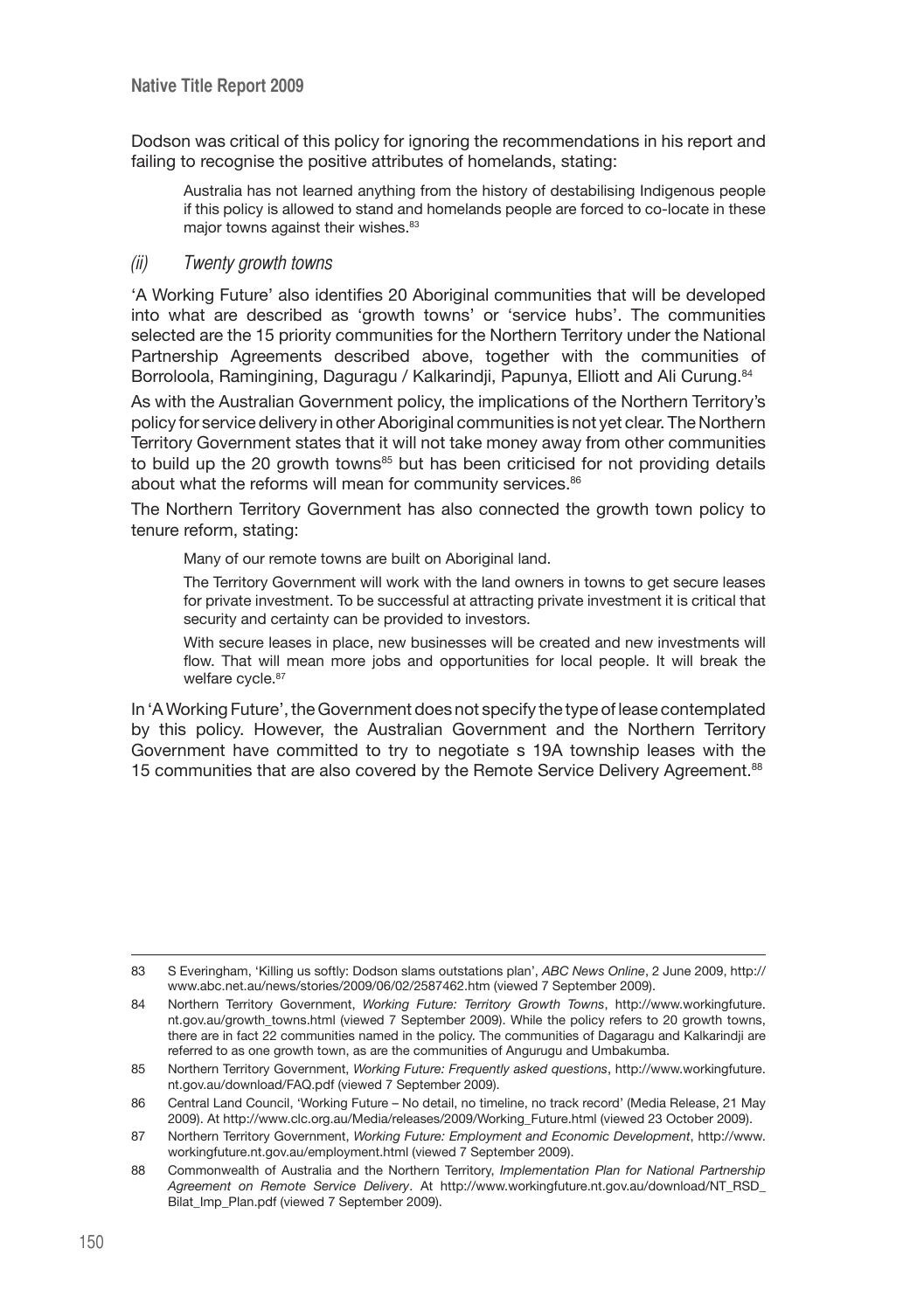Dodson was critical of this policy for ignoring the recommendations in his report and failing to recognise the positive attributes of homelands, stating:

Australia has not learned anything from the history of destabilising Indigenous people if this policy is allowed to stand and homelands people are forced to co-locate in these major towns against their wishes.<sup>83</sup>

#### (ii) Twenty growth towns

'A Working Future' also identifies 20 Aboriginal communities that will be developed into what are described as 'growth towns' or 'service hubs'. The communities selected are the 15 priority communities for the Northern Territory under the National Partnership Agreements described above, together with the communities of Borroloola, Ramingining, Daguragu / Kalkarindji, Papunya, Elliott and Ali Curung.<sup>84</sup>

As with the Australian Government policy, the implications of the Northern Territory's policy for service delivery in other Aboriginal communities is not yet clear. The Northern Territory Government states that it will not take money away from other communities to build up the 20 growth towns<sup>85</sup> but has been criticised for not providing details about what the reforms will mean for community services.<sup>86</sup>

The Northern Territory Government has also connected the growth town policy to tenure reform, stating:

Many of our remote towns are built on Aboriginal land.

The Territory Government will work with the land owners in towns to get secure leases for private investment. To be successful at attracting private investment it is critical that security and certainty can be provided to investors.

With secure leases in place, new businesses will be created and new investments will flow. That will mean more jobs and opportunities for local people. It will break the welfare cycle.<sup>87</sup>

In 'A Working Future', the Government does not specify the type of lease contemplated by this policy. However, the Australian Government and the Northern Territory Government have committed to try to negotiate s 19A township leases with the 15 communities that are also covered by the Remote Service Delivery Agreement.88

<sup>83</sup> S Everingham, 'Killing us softly: Dodson slams outstations plan', *ABC News Online*, 2 June 2009, http:// www.abc.net.au/news/stories/2009/06/02/2587462.htm (viewed 7 September 2009).

<sup>84</sup> Northern Territory Government, *Working Future: Territory Growth Towns*, http://www.workingfuture. nt.gov.au/growth\_towns.html (viewed 7 September 2009). While the policy refers to 20 growth towns, there are in fact 22 communities named in the policy. The communities of Dagaragu and Kalkarindji are referred to as one growth town, as are the communities of Angurugu and Umbakumba.

<sup>85</sup> Northern Territory Government, *Working Future: Frequently asked questions*, http://www.workingfuture. nt.gov.au/download/FAQ.pdf (viewed 7 September 2009).

<sup>86</sup> Central Land Council, 'Working Future – No detail, no timeline, no track record' (Media Release, 21 May 2009). At http://www.clc.org.au/Media/releases/2009/Working\_Future.html (viewed 23 October 2009).

<sup>87</sup> Northern Territory Government, *Working Future: Employment and Economic Development*, http://www. workingfuture.nt.gov.au/employment.html (viewed 7 September 2009).

<sup>88</sup> Commonwealth of Australia and the Northern Territory, *Implementation Plan for National Partnership Agreement on Remote Service Delivery*. At http://www.workingfuture.nt.gov.au/download/NT\_RSD\_ Bilat Imp\_Plan.pdf (viewed 7 September 2009).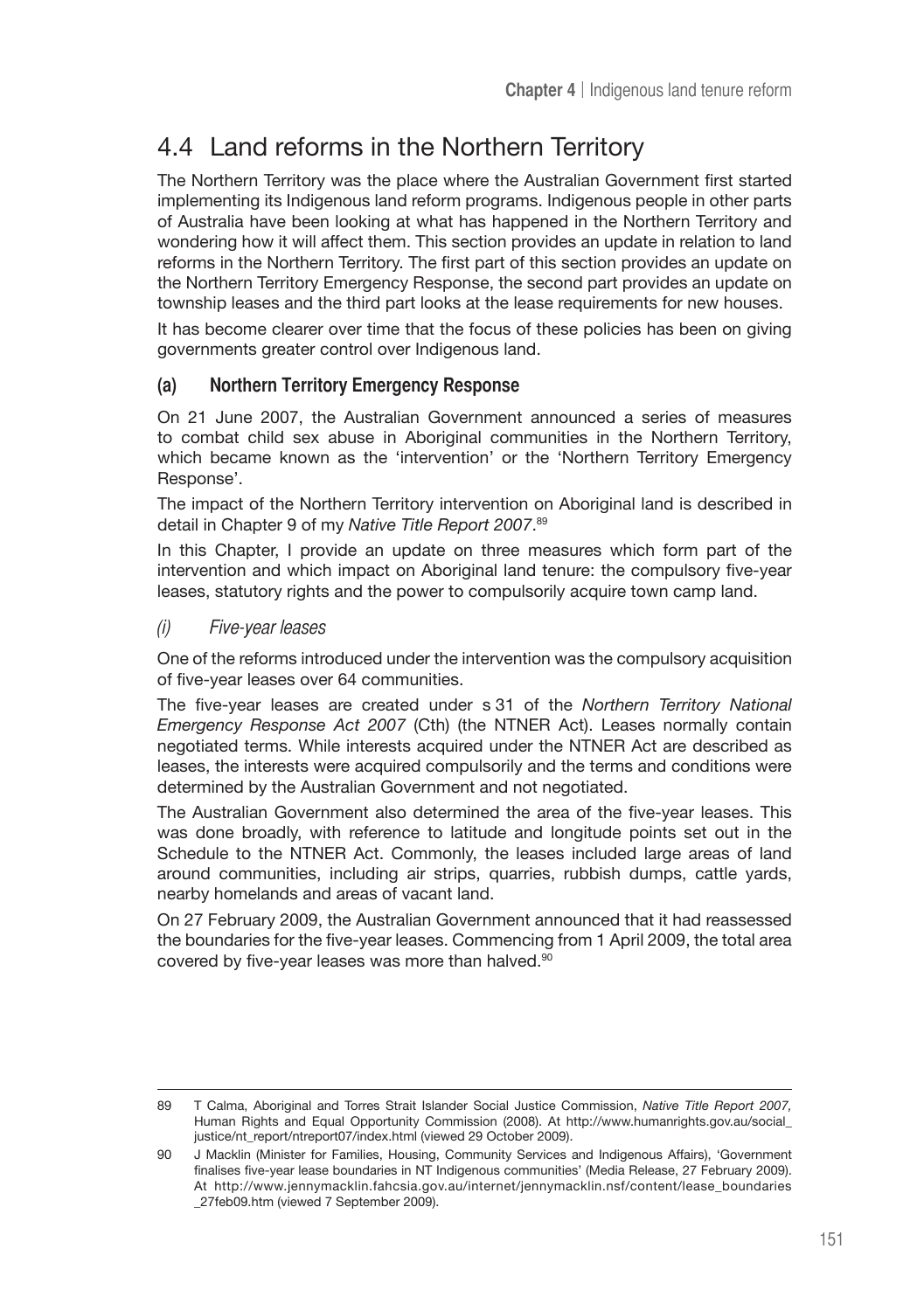# 4.4 Land reforms in the Northern Territory

The Northern Territory was the place where the Australian Government first started implementing its Indigenous land reform programs. Indigenous people in other parts of Australia have been looking at what has happened in the Northern Territory and wondering how it will affect them. This section provides an update in relation to land reforms in the Northern Territory. The first part of this section provides an update on the Northern Territory Emergency Response, the second part provides an update on township leases and the third part looks at the lease requirements for new houses.

It has become clearer over time that the focus of these policies has been on giving governments greater control over Indigenous land.

# **(a) Northern Territory Emergency Response**

On 21 June 2007, the Australian Government announced a series of measures to combat child sex abuse in Aboriginal communities in the Northern Territory, which became known as the 'intervention' or the 'Northern Territory Emergency Response'.

The impact of the Northern Territory intervention on Aboriginal land is described in detail in Chapter 9 of my *Native Title Report 2007*. 89

In this Chapter, I provide an update on three measures which form part of the intervention and which impact on Aboriginal land tenure: the compulsory five-year leases, statutory rights and the power to compulsorily acquire town camp land.

(i) Five-year leases

One of the reforms introduced under the intervention was the compulsory acquisition of five-year leases over 64 communities.

The five-year leases are created under s 31 of the *Northern Territory National Emergency Response Act 2007* (Cth) (the NTNER Act). Leases normally contain negotiated terms. While interests acquired under the NTNER Act are described as leases, the interests were acquired compulsorily and the terms and conditions were determined by the Australian Government and not negotiated.

The Australian Government also determined the area of the five-year leases. This was done broadly, with reference to latitude and longitude points set out in the Schedule to the NTNER Act. Commonly, the leases included large areas of land around communities, including air strips, quarries, rubbish dumps, cattle yards, nearby homelands and areas of vacant land.

On 27 February 2009, the Australian Government announced that it had reassessed the boundaries for the five-year leases. Commencing from 1 April 2009, the total area covered by five-year leases was more than halved.<sup>90</sup>

<sup>89</sup> T Calma, Aboriginal and Torres Strait Islander Social Justice Commission, *Native Title Report 2007,* Human Rights and Equal Opportunity Commission (2008). At http://www.humanrights.gov.au/social\_ justice/nt\_report/ntreport07/index.html (viewed 29 October 2009).

<sup>90</sup> J Macklin (Minister for Families, Housing, Community Services and Indigenous Affairs), 'Government finalises five-year lease boundaries in NT Indigenous communities' (Media Release, 27 February 2009). At http://www.jennymacklin.fahcsia.gov.au/internet/jennymacklin.nsf/content/lease\_boundaries \_27feb09.htm (viewed 7 September 2009).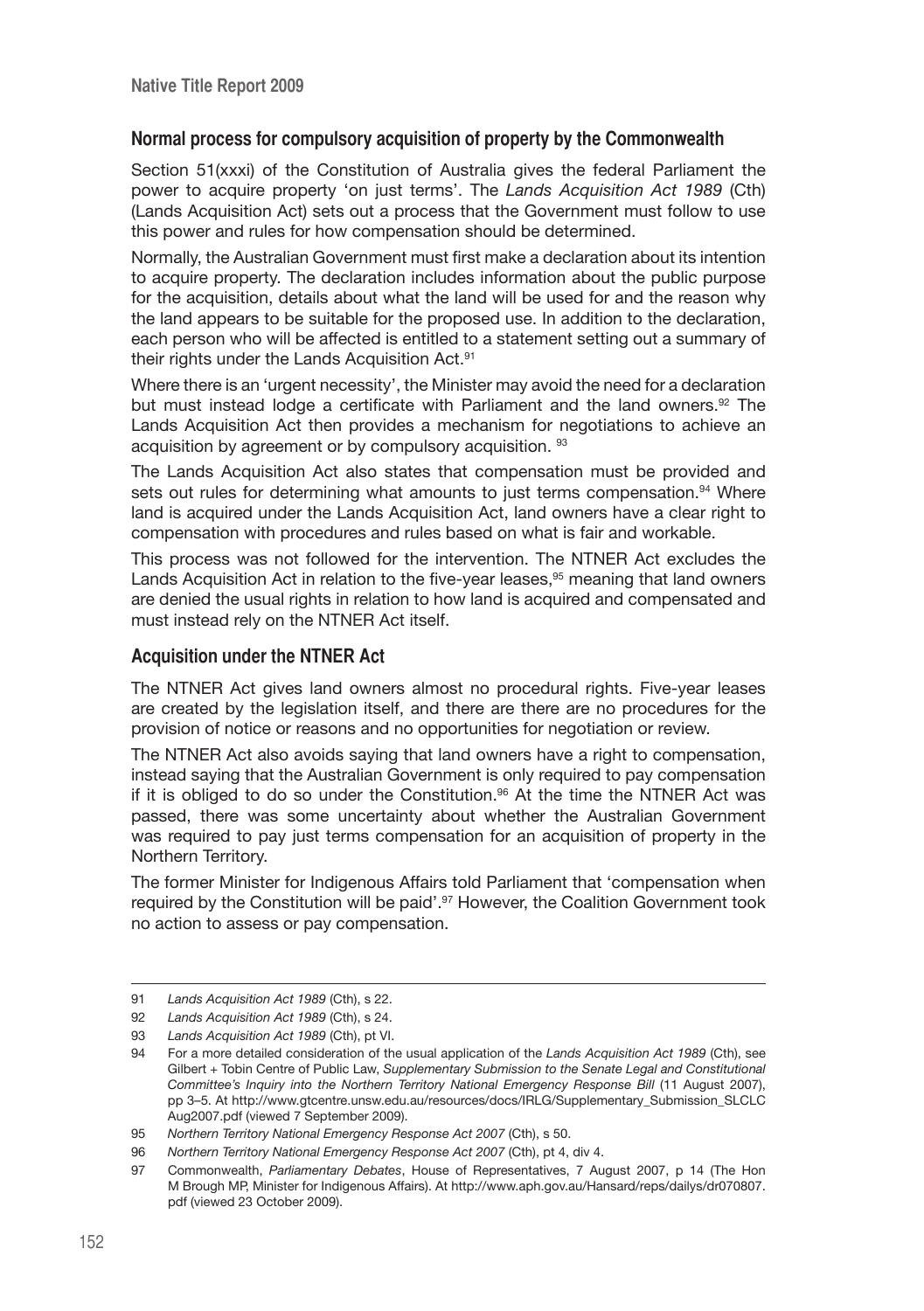#### **Normal process for compulsory acquisition of property by the Commonwealth**

Section 51(xxxi) of the Constitution of Australia gives the federal Parliament the power to acquire property 'on just terms'. The *Lands Acquisition Act 1989* (Cth) (Lands Acquisition Act) sets out a process that the Government must follow to use this power and rules for how compensation should be determined.

Normally, the Australian Government must first make a declaration about its intention to acquire property. The declaration includes information about the public purpose for the acquisition, details about what the land will be used for and the reason why the land appears to be suitable for the proposed use. In addition to the declaration, each person who will be affected is entitled to a statement setting out a summary of their rights under the Lands Acquisition Act.<sup>91</sup>

Where there is an 'urgent necessity', the Minister may avoid the need for a declaration but must instead lodge a certificate with Parliament and the land owners.<sup>92</sup> The Lands Acquisition Act then provides a mechanism for negotiations to achieve an acquisition by agreement or by compulsory acquisition. 93

The Lands Acquisition Act also states that compensation must be provided and sets out rules for determining what amounts to just terms compensation.<sup>94</sup> Where land is acquired under the Lands Acquisition Act, land owners have a clear right to compensation with procedures and rules based on what is fair and workable.

This process was not followed for the intervention. The NTNER Act excludes the Lands Acquisition Act in relation to the five-year leases,<sup>95</sup> meaning that land owners are denied the usual rights in relation to how land is acquired and compensated and must instead rely on the NTNER Act itself.

#### **Acquisition under the NTNER Act**

The NTNER Act gives land owners almost no procedural rights. Five-year leases are created by the legislation itself, and there are there are no procedures for the provision of notice or reasons and no opportunities for negotiation or review.

The NTNER Act also avoids saying that land owners have a right to compensation, instead saying that the Australian Government is only required to pay compensation if it is obliged to do so under the Constitution.<sup>96</sup> At the time the NTNER Act was passed, there was some uncertainty about whether the Australian Government was required to pay just terms compensation for an acquisition of property in the Northern Territory.

The former Minister for Indigenous Affairs told Parliament that 'compensation when required by the Constitution will be paid'.97 However, the Coalition Government took no action to assess or pay compensation.

<sup>91</sup> *Lands Acquisition Act 1989* (Cth), s 22.

<sup>92</sup> *Lands Acquisition Act 1989* (Cth), s 24.

<sup>93</sup> *Lands Acquisition Act 1989* (Cth), pt VI.

<sup>94</sup> For a more detailed consideration of the usual application of the *Lands Acquisition Act 1989* (Cth), see Gilbert + Tobin Centre of Public Law, *Supplementary Submission to the Senate Legal and Constitutional Committee's Inquiry into the Northern Territory National Emergency Response Bill* (11 August 2007), pp 3–5. At http://www.gtcentre.unsw.edu.au/resources/docs/IRLG/Supplementary\_Submission\_SLCLC Aug2007.pdf (viewed 7 September 2009).

<sup>95</sup> Northern Territory National Emergency Response Act 2007 (Cth), s 50.

<sup>96</sup> Northern Territory National Emergency Response Act 2007 (Cth), pt 4, div 4.

<sup>97</sup> Commonwealth, *Parliamentary Debates*, House of Representatives, 7 August 2007, p 14 (The Hon M Brough MP, Minister for Indigenous Affairs). At http://www.aph.gov.au/Hansard/reps/dailys/dr070807. pdf (viewed 23 October 2009).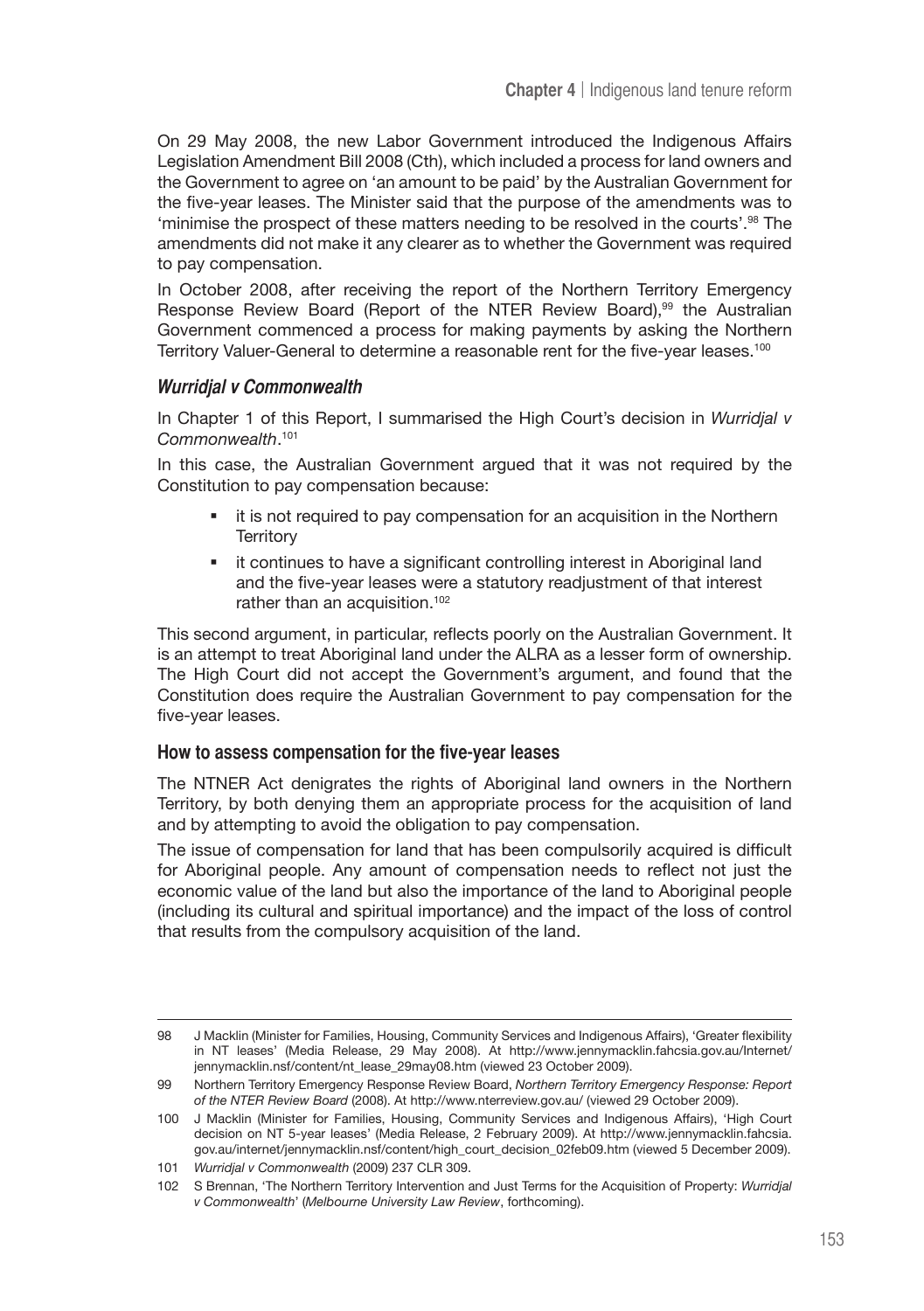On 29 May 2008, the new Labor Government introduced the Indigenous Affairs Legislation Amendment Bill 2008 (Cth), which included a process for land owners and the Government to agree on 'an amount to be paid' by the Australian Government for the five-year leases. The Minister said that the purpose of the amendments was to 'minimise the prospect of these matters needing to be resolved in the courts'.98 The amendments did not make it any clearer as to whether the Government was required to pay compensation.

In October 2008, after receiving the report of the Northern Territory Emergency Response Review Board (Report of the NTER Review Board),<sup>99</sup> the Australian Government commenced a process for making payments by asking the Northern Territory Valuer-General to determine a reasonable rent for the five-year leases.<sup>100</sup>

#### **Wurridjal v Commonwealth**

In Chapter 1 of this Report, I summarised the High Court's decision in *Wurridjal v Commonwealth*. 101

In this case, the Australian Government argued that it was not required by the Constitution to pay compensation because:

- **i** it is not required to pay compensation for an acquisition in the Northern **Territory**
- it continues to have a significant controlling interest in Aboriginal land and the five-year leases were a statutory readjustment of that interest rather than an acquisition.<sup>102</sup>

This second argument, in particular, reflects poorly on the Australian Government. It is an attempt to treat Aboriginal land under the ALRA as a lesser form of ownership. The High Court did not accept the Government's argument, and found that the Constitution does require the Australian Government to pay compensation for the five-year leases.

#### **How to assess compensation for the five-year leases**

The NTNER Act denigrates the rights of Aboriginal land owners in the Northern Territory, by both denying them an appropriate process for the acquisition of land and by attempting to avoid the obligation to pay compensation.

The issue of compensation for land that has been compulsorily acquired is difficult for Aboriginal people. Any amount of compensation needs to reflect not just the economic value of the land but also the importance of the land to Aboriginal people (including its cultural and spiritual importance) and the impact of the loss of control that results from the compulsory acquisition of the land.

<sup>98</sup> J Macklin (Minister for Families, Housing, Community Services and Indigenous Affairs), 'Greater flexibility in NT leases' (Media Release, 29 May 2008). At http://www.jennymacklin.fahcsia.gov.au/Internet/ jennymacklin.nsf/content/nt\_lease\_29may08.htm (viewed 23 October 2009).

<sup>99</sup> Northern Territory Emergency Response Review Board, *Northern Territory Emergency Response: Report of the NTER Review Board* (2008). At http://www.nterreview.gov.au/ (viewed 29 October 2009).

<sup>100</sup> J Macklin (Minister for Families, Housing, Community Services and Indigenous Affairs), 'High Court decision on NT 5-year leases' (Media Release, 2 February 2009). At http://www.jennymacklin.fahcsia. gov.au/internet/jennymacklin.nsf/content/high\_court\_decision\_02feb09.htm (viewed 5 December 2009).

<sup>101</sup> *Wurridjal v Commonwealth* (2009) 237 CLR 309.

<sup>102</sup> S Brennan, 'The Northern Territory Intervention and Just Terms for the Acquisition of Property: *Wurridjal v Commonwealth*' (*Melbourne University Law Review*, forthcoming).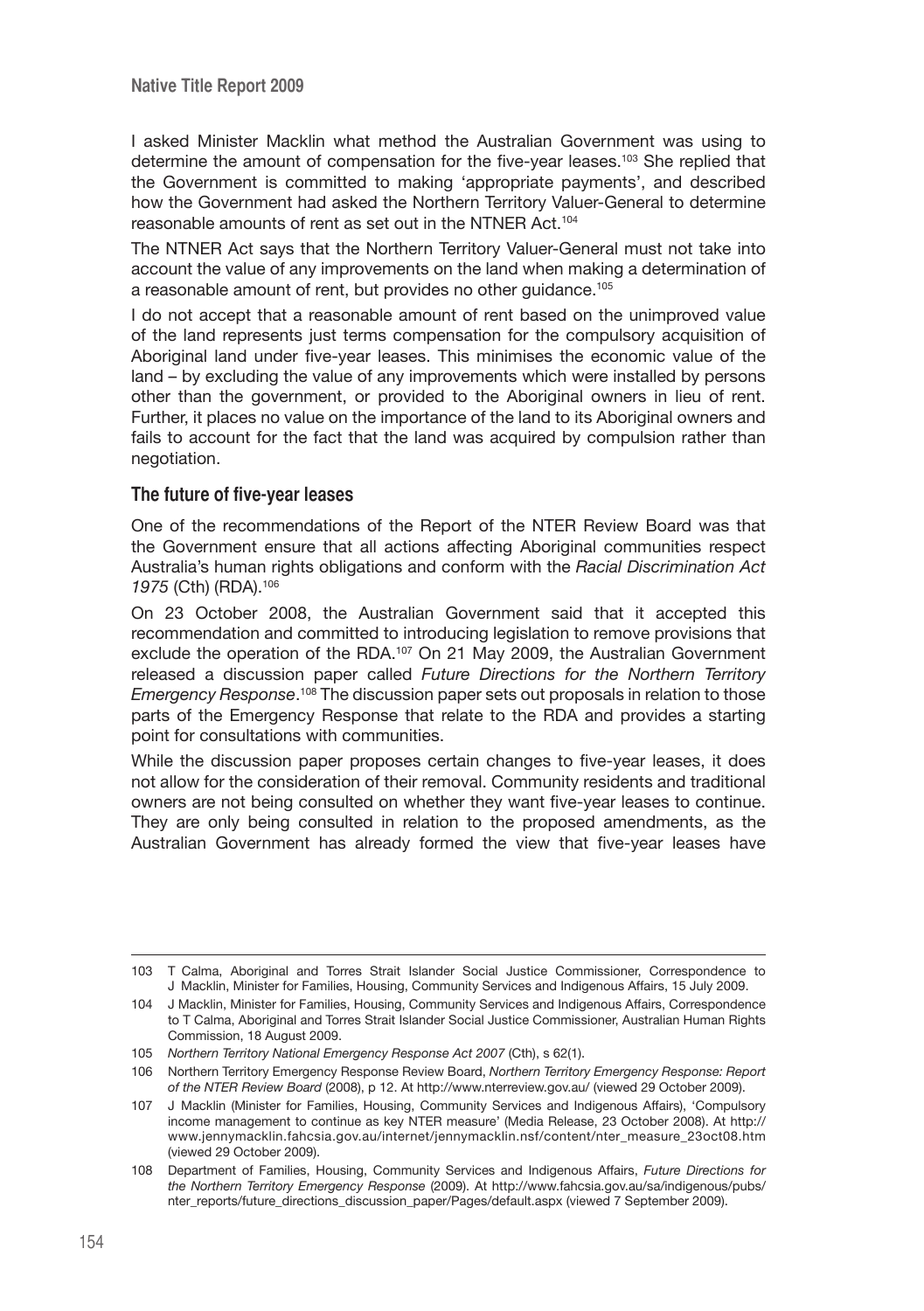I asked Minister Macklin what method the Australian Government was using to determine the amount of compensation for the five-year leases.103 She replied that the Government is committed to making 'appropriate payments', and described how the Government had asked the Northern Territory Valuer-General to determine reasonable amounts of rent as set out in the NTNER Act.104

The NTNER Act says that the Northern Territory Valuer-General must not take into account the value of any improvements on the land when making a determination of a reasonable amount of rent, but provides no other guidance.105

I do not accept that a reasonable amount of rent based on the unimproved value of the land represents just terms compensation for the compulsory acquisition of Aboriginal land under five-year leases. This minimises the economic value of the land – by excluding the value of any improvements which were installed by persons other than the government, or provided to the Aboriginal owners in lieu of rent. Further, it places no value on the importance of the land to its Aboriginal owners and fails to account for the fact that the land was acquired by compulsion rather than negotiation.

#### **The future of five-year leases**

One of the recommendations of the Report of the NTER Review Board was that the Government ensure that all actions affecting Aboriginal communities respect Australia's human rights obligations and conform with the *Racial Discrimination Act 1975* (Cth) (RDA).106

On 23 October 2008, the Australian Government said that it accepted this recommendation and committed to introducing legislation to remove provisions that exclude the operation of the RDA.107 On 21 May 2009, the Australian Government released a discussion paper called *Future Directions for the Northern Territory Emergency Response*. 108 The discussion paper sets out proposals in relation to those parts of the Emergency Response that relate to the RDA and provides a starting point for consultations with communities.

While the discussion paper proposes certain changes to five-year leases, it does not allow for the consideration of their removal. Community residents and traditional owners are not being consulted on whether they want five-year leases to continue. They are only being consulted in relation to the proposed amendments, as the Australian Government has already formed the view that five-year leases have

<sup>103</sup> T Calma, Aboriginal and Torres Strait Islander Social Justice Commissioner, Correspondence to J Macklin, Minister for Families, Housing, Community Services and Indigenous Affairs, 15 July 2009.

<sup>104</sup> J Macklin, Minister for Families, Housing, Community Services and Indigenous Affairs, Correspondence to T Calma, Aboriginal and Torres Strait Islander Social Justice Commissioner, Australian Human Rights Commission, 18 August 2009.

<sup>105</sup> *Northern Territory National Emergency Response Act 2007* (Cth), s 62(1).

<sup>106</sup> Northern Territory Emergency Response Review Board, *Northern Territory Emergency Response: Report of the NTER Review Board* (2008), p 12. At http://www.nterreview.gov.au/ (viewed 29 October 2009).

<sup>107</sup> J Macklin (Minister for Families, Housing, Community Services and Indigenous Affairs), 'Compulsory income management to continue as key NTER measure' (Media Release, 23 October 2008). At http:// www.jennymacklin.fahcsia.gov.au/internet/jennymacklin.nsf/content/nter\_measure\_23oct08.htm (viewed 29 October 2009).

<sup>108</sup> Department of Families, Housing, Community Services and Indigenous Affairs, *Future Directions for the Northern Territory Emergency Response* (2009). At http://www.fahcsia.gov.au/sa/indigenous/pubs/ nter\_reports/future\_directions\_discussion\_paper/Pages/default.aspx (viewed 7 September 2009).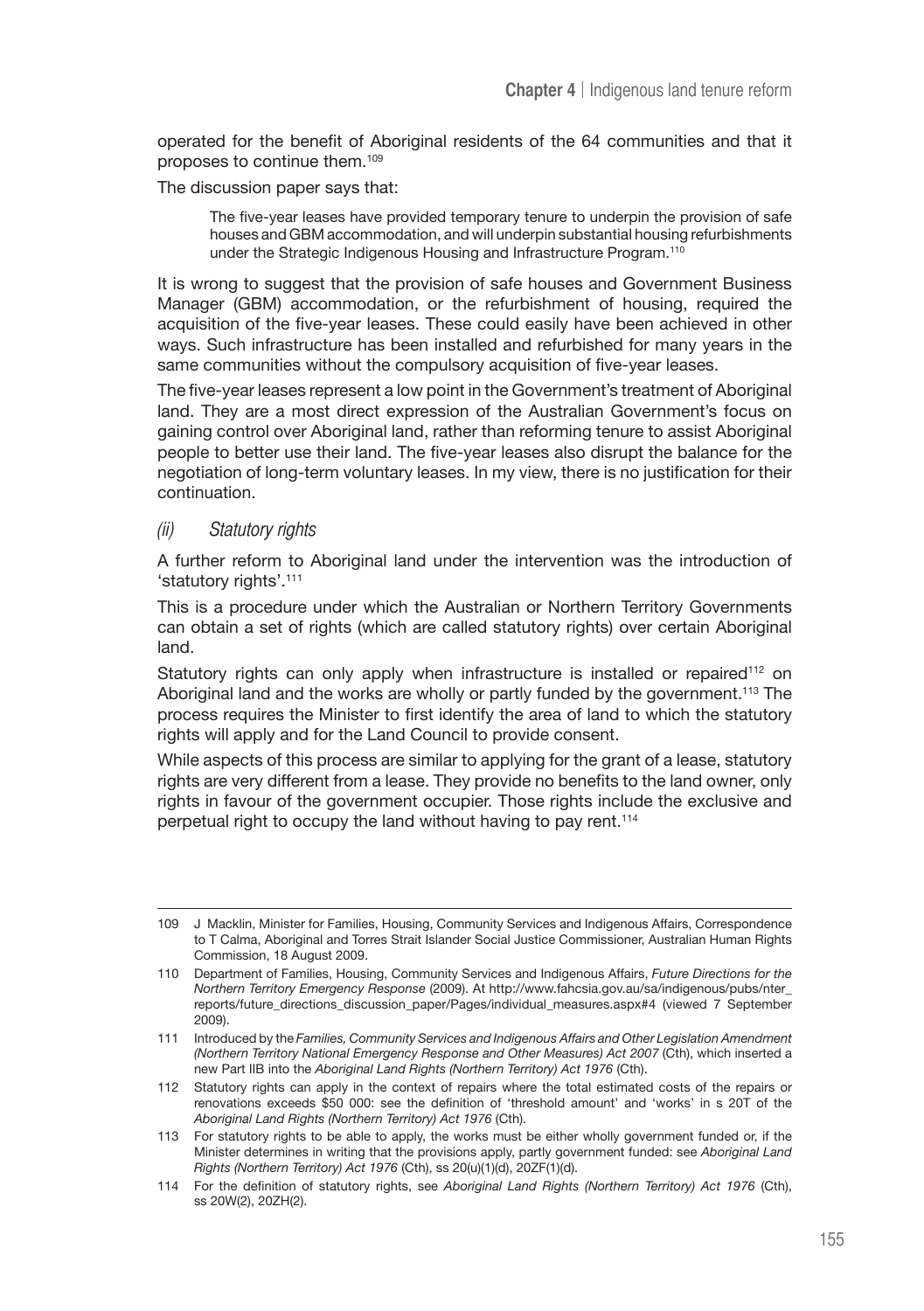operated for the benefit of Aboriginal residents of the 64 communities and that it proposes to continue them.109

The discussion paper says that:

The five-year leases have provided temporary tenure to underpin the provision of safe houses and GBM accommodation, and will underpin substantial housing refurbishments under the Strategic Indigenous Housing and Infrastructure Program.<sup>110</sup>

It is wrong to suggest that the provision of safe houses and Government Business Manager (GBM) accommodation, or the refurbishment of housing, required the acquisition of the five-year leases. These could easily have been achieved in other ways. Such infrastructure has been installed and refurbished for many years in the same communities without the compulsory acquisition of five-year leases.

The five-year leases represent a low point in the Government's treatment of Aboriginal land. They are a most direct expression of the Australian Government's focus on gaining control over Aboriginal land, rather than reforming tenure to assist Aboriginal people to better use their land. The five-year leases also disrupt the balance for the negotiation of long-term voluntary leases. In my view, there is no justification for their continuation.

#### (ii) Statutory rights

A further reform to Aboriginal land under the intervention was the introduction of 'statutory rights'.111

This is a procedure under which the Australian or Northern Territory Governments can obtain a set of rights (which are called statutory rights) over certain Aboriginal land.

Statutory rights can only apply when infrastructure is installed or repaired<sup>112</sup> on Aboriginal land and the works are wholly or partly funded by the government.113 The process requires the Minister to first identify the area of land to which the statutory rights will apply and for the Land Council to provide consent.

While aspects of this process are similar to applying for the grant of a lease, statutory rights are very different from a lease. They provide no benefits to the land owner, only rights in favour of the government occupier. Those rights include the exclusive and perpetual right to occupy the land without having to pay rent.114

<sup>109</sup> J Macklin, Minister for Families, Housing, Community Services and Indigenous Affairs, Correspondence to T Calma, Aboriginal and Torres Strait Islander Social Justice Commissioner, Australian Human Rights Commission, 18 August 2009.

<sup>110</sup> Department of Families, Housing, Community Services and Indigenous Affairs, *Future Directions for the Northern Territory Emergency Response* (2009). At http://www.fahcsia.gov.au/sa/indigenous/pubs/nter\_ reports/future\_directions\_discussion\_paper/Pages/individual\_measures.aspx#4 (viewed 7 September 2009).

<sup>111</sup> Introduced by the *Families, Community Services and Indigenous Affairs and Other Legislation Amendment (Northern Territory National Emergency Response and Other Measures) Act 2007* (Cth), which inserted a new Part IIB into the *Aboriginal Land Rights (Northern Territory) Act 1976* (Cth).

<sup>112</sup> Statutory rights can apply in the context of repairs where the total estimated costs of the repairs or renovations exceeds \$50 000: see the definition of 'threshold amount' and 'works' in s 20T of the *Aboriginal Land Rights (Northern Territory) Act 1976* (Cth).

<sup>113</sup> For statutory rights to be able to apply, the works must be either wholly government funded or, if the Minister determines in writing that the provisions apply, partly government funded: see *Aboriginal Land Rights (Northern Territory) Act 1976* (Cth), ss 20(u)(1)(d), 20ZF(1)(d).

<sup>114</sup> For the definition of statutory rights, see *Aboriginal Land Rights (Northern Territory) Act 1976* (Cth), ss 20W(2), 20ZH(2).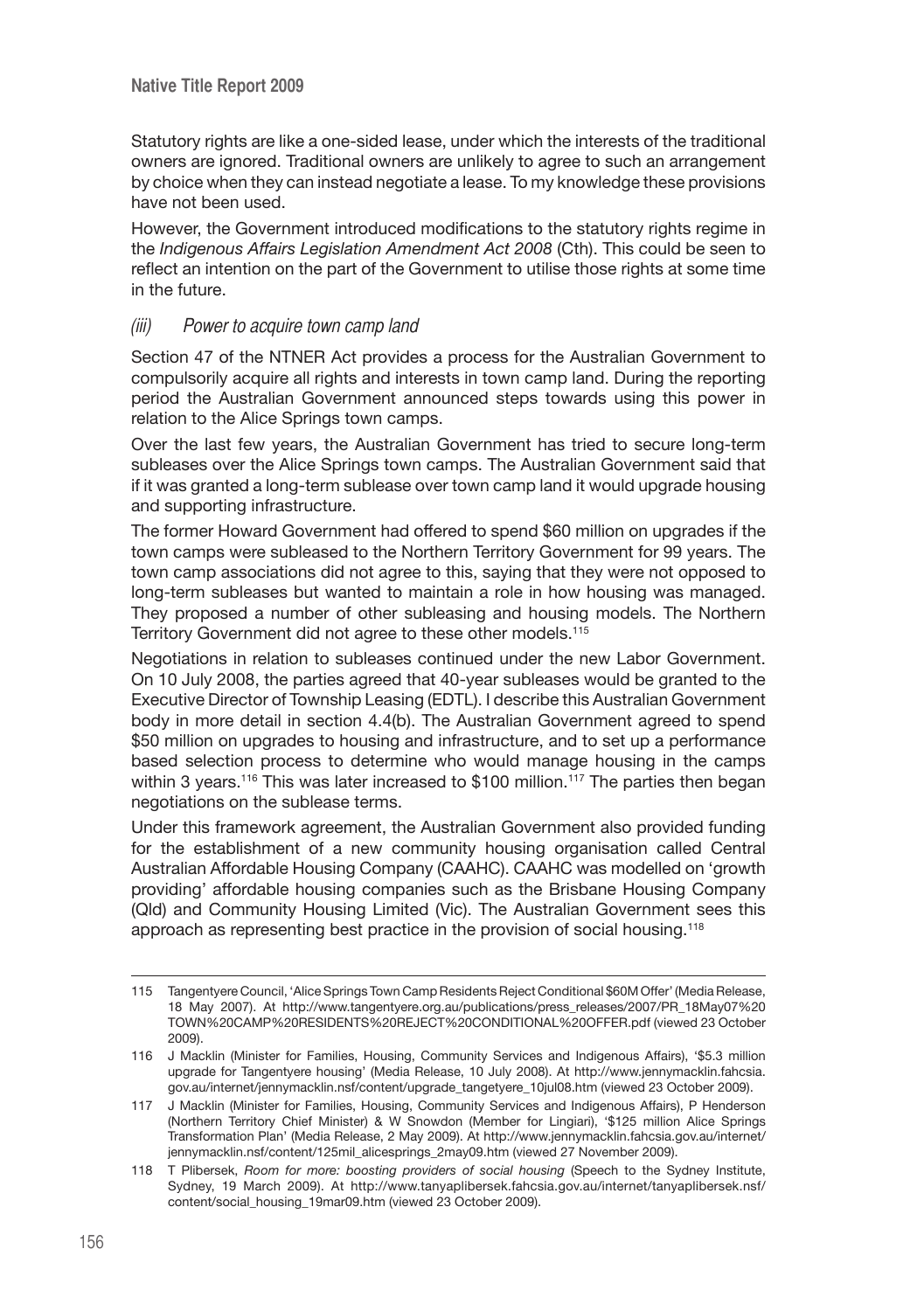Statutory rights are like a one-sided lease, under which the interests of the traditional owners are ignored. Traditional owners are unlikely to agree to such an arrangement by choice when they can instead negotiate a lease. To my knowledge these provisions have not been used.

However, the Government introduced modifications to the statutory rights regime in the *Indigenous Affairs Legislation Amendment Act 2008* (Cth). This could be seen to reflect an intention on the part of the Government to utilise those rights at some time in the future.

#### (iii) Power to acquire town camp land

Section 47 of the NTNER Act provides a process for the Australian Government to compulsorily acquire all rights and interests in town camp land. During the reporting period the Australian Government announced steps towards using this power in relation to the Alice Springs town camps.

Over the last few years, the Australian Government has tried to secure long-term subleases over the Alice Springs town camps. The Australian Government said that if it was granted a long-term sublease over town camp land it would upgrade housing and supporting infrastructure.

The former Howard Government had offered to spend \$60 million on upgrades if the town camps were subleased to the Northern Territory Government for 99 years. The town camp associations did not agree to this, saying that they were not opposed to long-term subleases but wanted to maintain a role in how housing was managed. They proposed a number of other subleasing and housing models. The Northern Territory Government did not agree to these other models.115

Negotiations in relation to subleases continued under the new Labor Government. On 10 July 2008, the parties agreed that 40-year subleases would be granted to the Executive Director of Township Leasing (EDTL). I describe this Australian Government body in more detail in section 4.4(b). The Australian Government agreed to spend \$50 million on upgrades to housing and infrastructure, and to set up a performance based selection process to determine who would manage housing in the camps within 3 years.<sup>116</sup> This was later increased to \$100 million.<sup>117</sup> The parties then began negotiations on the sublease terms.

Under this framework agreement, the Australian Government also provided funding for the establishment of a new community housing organisation called Central Australian Affordable Housing Company (CAAHC). CAAHC was modelled on 'growth providing' affordable housing companies such as the Brisbane Housing Company (Qld) and Community Housing Limited (Vic). The Australian Government sees this approach as representing best practice in the provision of social housing.<sup>118</sup>

<sup>115</sup> Tangentyere Council, 'Alice Springs Town Camp Residents Reject Conditional \$60M Offer' (Media Release, 18 May 2007). At http://www.tangentyere.org.au/publications/press\_releases/2007/PR\_18May07%20 TOWN%20CAMP%20RESIDENTS%20REJECT%20CONDITIONAL%20OFFER.pdf (viewed 23 October 2009).

<sup>116</sup> J Macklin (Minister for Families, Housing, Community Services and Indigenous Affairs), '\$5.3 million upgrade for Tangentyere housing' (Media Release, 10 July 2008). At http://www.jennymacklin.fahcsia. gov.au/internet/jennymacklin.nsf/content/upgrade\_tangetyere\_10jul08.htm (viewed 23 October 2009).

<sup>117</sup> J Macklin (Minister for Families, Housing, Community Services and Indigenous Affairs), P Henderson (Northern Territory Chief Minister) & W Snowdon (Member for Lingiari), '\$125 million Alice Springs Transformation Plan' (Media Release, 2 May 2009). At http://www.jennymacklin.fahcsia.gov.au/internet/ jennymacklin.nsf/content/125mil\_alicesprings\_2may09.htm (viewed 27 November 2009).

<sup>118</sup> T Plibersek, *Room for more: boosting providers of social housing* (Speech to the Sydney Institute, Sydney, 19 March 2009). At http://www.tanyaplibersek.fahcsia.gov.au/internet/tanyaplibersek.nsf/ content/social\_housing\_19mar09.htm (viewed 23 October 2009).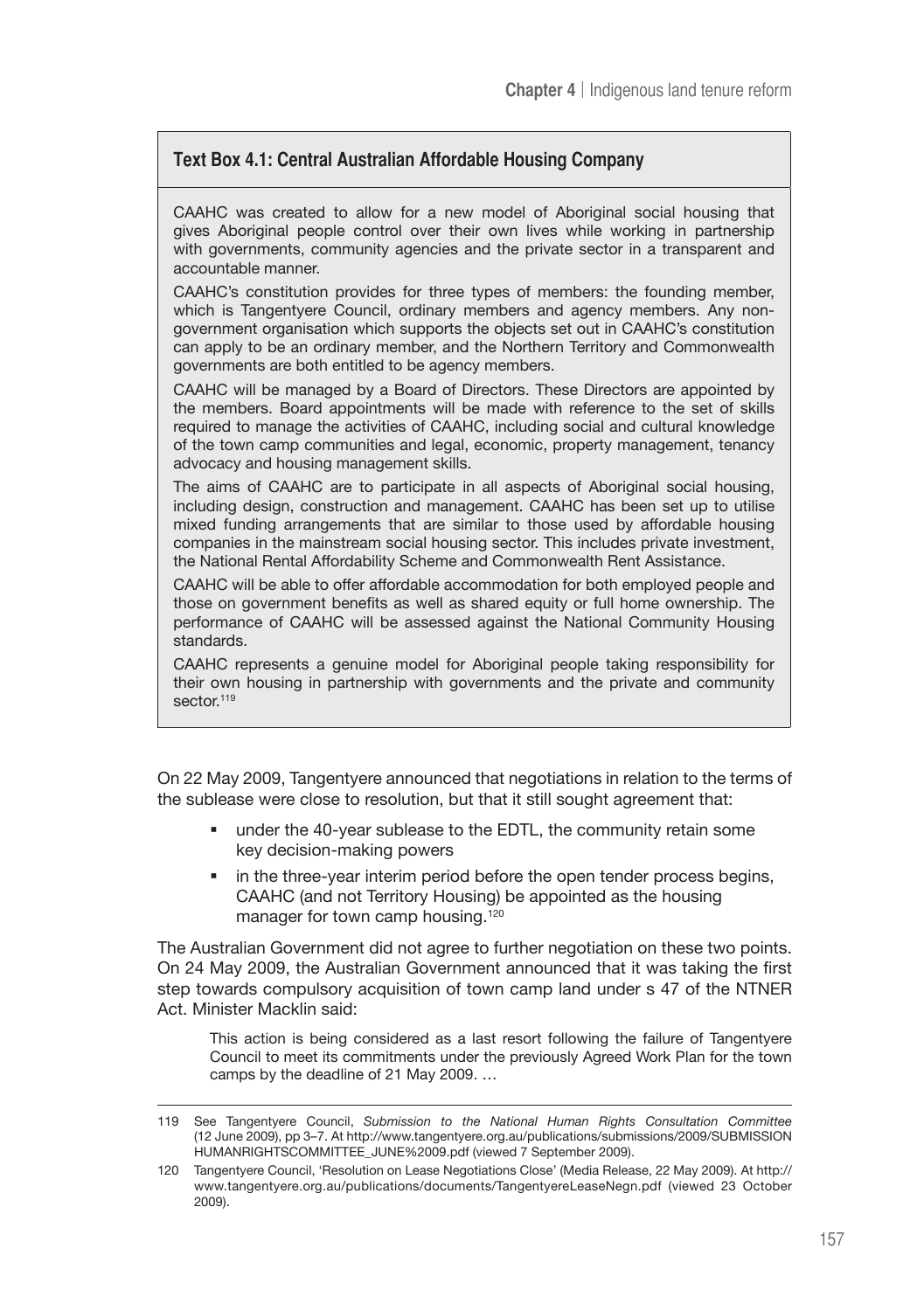# **Text Box 4.1: Central Australian Affordable Housing Company**

CAAHC was created to allow for a new model of Aboriginal social housing that gives Aboriginal people control over their own lives while working in partnership with governments, community agencies and the private sector in a transparent and accountable manner.

CAAHC's constitution provides for three types of members: the founding member, which is Tangentyere Council, ordinary members and agency members. Any nongovernment organisation which supports the objects set out in CAAHC's constitution can apply to be an ordinary member, and the Northern Territory and Commonwealth governments are both entitled to be agency members.

CAAHC will be managed by a Board of Directors. These Directors are appointed by the members. Board appointments will be made with reference to the set of skills required to manage the activities of CAAHC, including social and cultural knowledge of the town camp communities and legal, economic, property management, tenancy advocacy and housing management skills.

The aims of CAAHC are to participate in all aspects of Aboriginal social housing, including design, construction and management. CAAHC has been set up to utilise mixed funding arrangements that are similar to those used by affordable housing companies in the mainstream social housing sector. This includes private investment, the National Rental Affordability Scheme and Commonwealth Rent Assistance.

CAAHC will be able to offer affordable accommodation for both employed people and those on government benefits as well as shared equity or full home ownership. The performance of CAAHC will be assessed against the National Community Housing standards.

CAAHC represents a genuine model for Aboriginal people taking responsibility for their own housing in partnership with governments and the private and community sector.<sup>119</sup>

On 22 May 2009, Tangentyere announced that negotiations in relation to the terms of the sublease were close to resolution, but that it still sought agreement that:

- under the 40-year sublease to the EDTL, the community retain some key decision-making powers
- in the three-year interim period before the open tender process begins, CAAHC (and not Territory Housing) be appointed as the housing manager for town camp housing.<sup>120</sup>

The Australian Government did not agree to further negotiation on these two points. On 24 May 2009, the Australian Government announced that it was taking the first step towards compulsory acquisition of town camp land under s 47 of the NTNER Act. Minister Macklin said:

This action is being considered as a last resort following the failure of Tangentyere Council to meet its commitments under the previously Agreed Work Plan for the town camps by the deadline of 21 May 2009. …

<sup>119</sup> See Tangentyere Council, *Submission to the National Human Rights Consultation Committee* (12 June 2009), pp 3–7. At http://www.tangentyere.org.au/publications/submissions/2009/SUBMISSION HUMANRIGHTSCOMMITTEE\_JUNE%2009.pdf (viewed 7 September 2009).

<sup>120</sup> Tangentyere Council, 'Resolution on Lease Negotiations Close' (Media Release, 22 May 2009). At http:// www.tangentyere.org.au/publications/documents/TangentyereLeaseNegn.pdf (viewed 23 October 2009).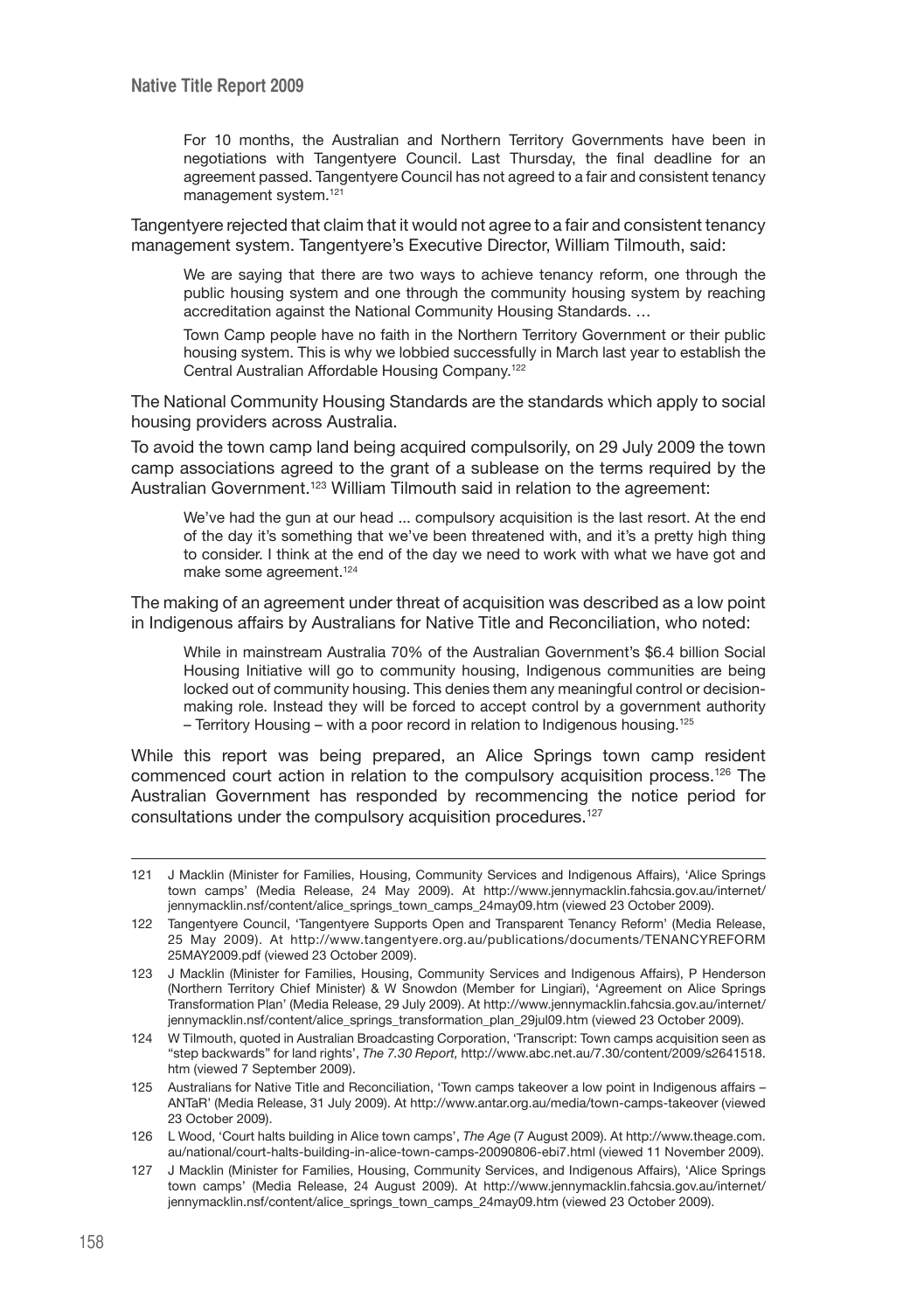For 10 months, the Australian and Northern Territory Governments have been in negotiations with Tangentyere Council. Last Thursday, the final deadline for an agreement passed. Tangentyere Council has not agreed to a fair and consistent tenancy management system.<sup>121</sup>

Tangentyere rejected that claim that it would not agree to a fair and consistent tenancy management system. Tangentyere's Executive Director, William Tilmouth, said:

We are saying that there are two ways to achieve tenancy reform, one through the public housing system and one through the community housing system by reaching accreditation against the National Community Housing Standards. …

Town Camp people have no faith in the Northern Territory Government or their public housing system. This is why we lobbied successfully in March last year to establish the Central Australian Affordable Housing Company.122

The National Community Housing Standards are the standards which apply to social housing providers across Australia.

To avoid the town camp land being acquired compulsorily, on 29 July 2009 the town camp associations agreed to the grant of a sublease on the terms required by the Australian Government.<sup>123</sup> William Tilmouth said in relation to the agreement:

We've had the gun at our head ... compulsory acquisition is the last resort. At the end of the day it's something that we've been threatened with, and it's a pretty high thing to consider. I think at the end of the day we need to work with what we have got and make some agreement.<sup>124</sup>

The making of an agreement under threat of acquisition was described as a low point in Indigenous affairs by Australians for Native Title and Reconciliation, who noted:

While in mainstream Australia 70% of the Australian Government's \$6.4 billion Social Housing Initiative will go to community housing, Indigenous communities are being locked out of community housing. This denies them any meaningful control or decisionmaking role. Instead they will be forced to accept control by a government authority – Territory Housing – with a poor record in relation to Indigenous housing.125

While this report was being prepared, an Alice Springs town camp resident commenced court action in relation to the compulsory acquisition process.<sup>126</sup> The Australian Government has responded by recommencing the notice period for consultations under the compulsory acquisition procedures.127

125 Australians for Native Title and Reconciliation, 'Town camps takeover a low point in Indigenous affairs – ANTaR' (Media Release, 31 July 2009). At http://www.antar.org.au/media/town-camps-takeover (viewed 23 October 2009).

<sup>121</sup> J Macklin (Minister for Families, Housing, Community Services and Indigenous Affairs), 'Alice Springs town camps' (Media Release, 24 May 2009). At http://www.jennymacklin.fahcsia.gov.au/internet/ jennymacklin.nsf/content/alice\_springs\_town\_camps\_24may09.htm (viewed 23 October 2009).

<sup>122</sup> Tangentyere Council, 'Tangentyere Supports Open and Transparent Tenancy Reform' (Media Release, 25 May 2009). At http://www.tangentyere.org.au/publications/documents/TENANCYREFORM 25MAY2009.pdf (viewed 23 October 2009).

<sup>123</sup> J Macklin (Minister for Families, Housing, Community Services and Indigenous Affairs), P Henderson (Northern Territory Chief Minister) & W Snowdon (Member for Lingiari), 'Agreement on Alice Springs Transformation Plan' (Media Release, 29 July 2009). At http://www.jennymacklin.fahcsia.gov.au/internet/ jennymacklin.nsf/content/alice\_springs\_transformation\_plan\_29jul09.htm (viewed 23 October 2009).

<sup>124</sup> W Tilmouth, quoted in Australian Broadcasting Corporation, 'Transcript: Town camps acquisition seen as "step backwards" for land rights', *The 7.30 Report,* http://www.abc.net.au/7.30/content/2009/s2641518. htm (viewed 7 September 2009).

<sup>126</sup> L Wood, 'Court halts building in Alice town camps', *The Age* (7 August 2009). At http://www.theage.com. au/national/court-halts-building-in-alice-town-camps-20090806-ebi7.html (viewed 11 November 2009).

<sup>127</sup> J Macklin (Minister for Families, Housing, Community Services, and Indigenous Affairs), 'Alice Springs town camps' (Media Release, 24 August 2009). At http://www.jennymacklin.fahcsia.gov.au/internet/ jennymacklin.nsf/content/alice\_springs\_town\_camps\_24may09.htm (viewed 23 October 2009).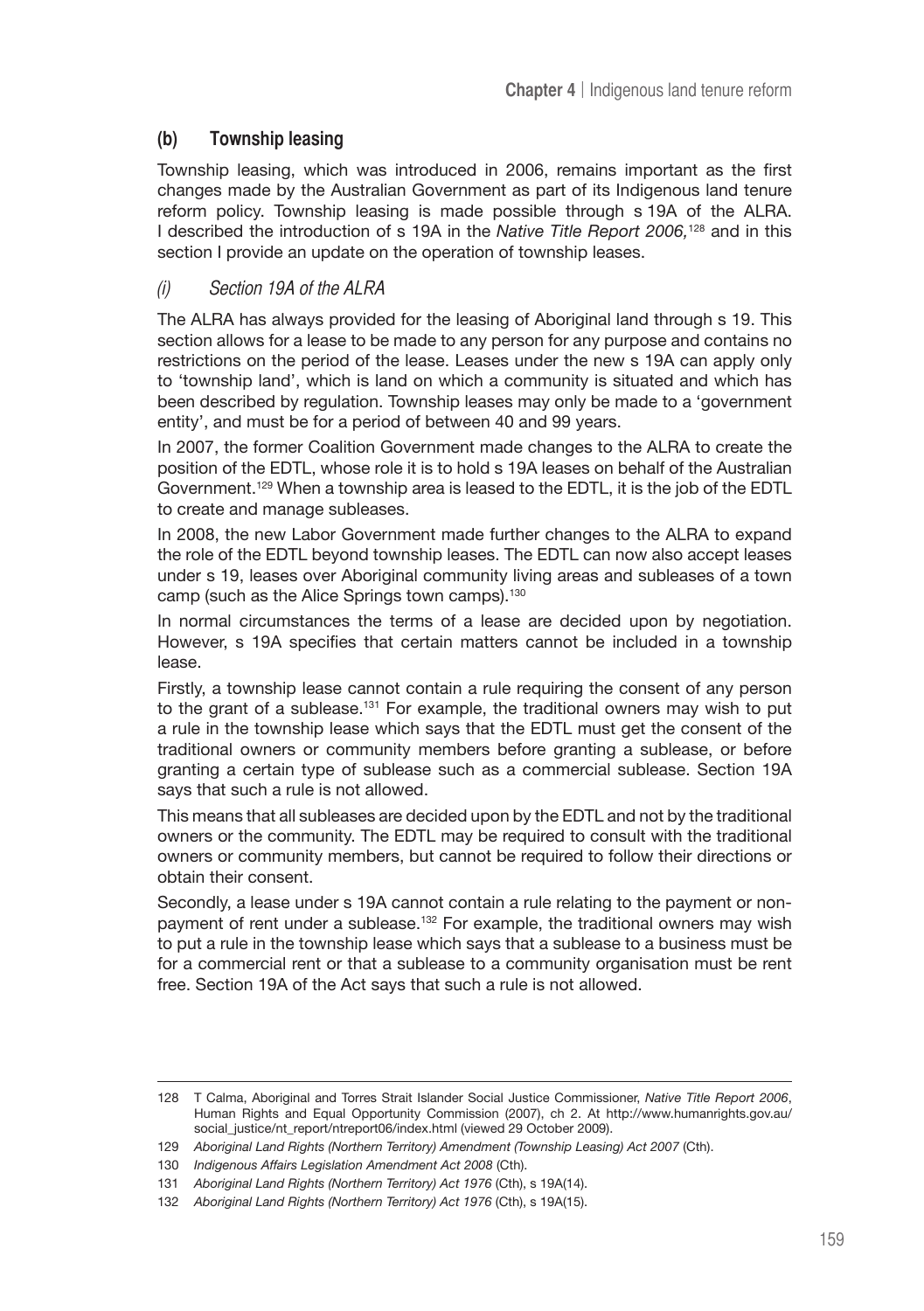# **(b) Township leasing**

Township leasing, which was introduced in 2006, remains important as the first changes made by the Australian Government as part of its Indigenous land tenure reform policy. Township leasing is made possible through s 19A of the ALRA. I described the introduction of s 19A in the *Native Title Report 2006,*128 and in this section I provide an update on the operation of township leases.

# (i) Section 19A of the ALRA

The ALRA has always provided for the leasing of Aboriginal land through s 19. This section allows for a lease to be made to any person for any purpose and contains no restrictions on the period of the lease. Leases under the new s 19A can apply only to 'township land', which is land on which a community is situated and which has been described by regulation. Township leases may only be made to a 'government entity', and must be for a period of between 40 and 99 years.

In 2007, the former Coalition Government made changes to the ALRA to create the position of the EDTL, whose role it is to hold s 19A leases on behalf of the Australian Government.129 When a township area is leased to the EDTL, it is the job of the EDTL to create and manage subleases.

In 2008, the new Labor Government made further changes to the ALRA to expand the role of the EDTL beyond township leases. The EDTL can now also accept leases under s 19, leases over Aboriginal community living areas and subleases of a town camp (such as the Alice Springs town camps).<sup>130</sup>

In normal circumstances the terms of a lease are decided upon by negotiation. However, s 19A specifies that certain matters cannot be included in a township lease.

Firstly, a township lease cannot contain a rule requiring the consent of any person to the grant of a sublease.<sup>131</sup> For example, the traditional owners may wish to put a rule in the township lease which says that the EDTL must get the consent of the traditional owners or community members before granting a sublease, or before granting a certain type of sublease such as a commercial sublease. Section 19A says that such a rule is not allowed.

This means that all subleases are decided upon by the EDTL and not by the traditional owners or the community. The EDTL may be required to consult with the traditional owners or community members, but cannot be required to follow their directions or obtain their consent.

Secondly, a lease under s 19A cannot contain a rule relating to the payment or nonpayment of rent under a sublease.<sup>132</sup> For example, the traditional owners may wish to put a rule in the township lease which says that a sublease to a business must be for a commercial rent or that a sublease to a community organisation must be rent free. Section 19A of the Act says that such a rule is not allowed.

<sup>128</sup> T Calma, Aboriginal and Torres Strait Islander Social Justice Commissioner, *Native Title Report 2006*, Human Rights and Equal Opportunity Commission (2007), ch 2. At http://www.humanrights.gov.au/ social\_justice/nt\_report/ntreport06/index.html (viewed 29 October 2009).

<sup>129</sup> *Aboriginal Land Rights (Northern Territory) Amendment (Township Leasing) Act 2007* (Cth).

<sup>130</sup> *Indigenous Affairs Legislation Amendment Act 2008* (Cth).

<sup>131</sup> *Aboriginal Land Rights (Northern Territory) Act 1976* (Cth), s 19A(14).

<sup>132</sup> *Aboriginal Land Rights (Northern Territory) Act 1976* (Cth), s 19A(15).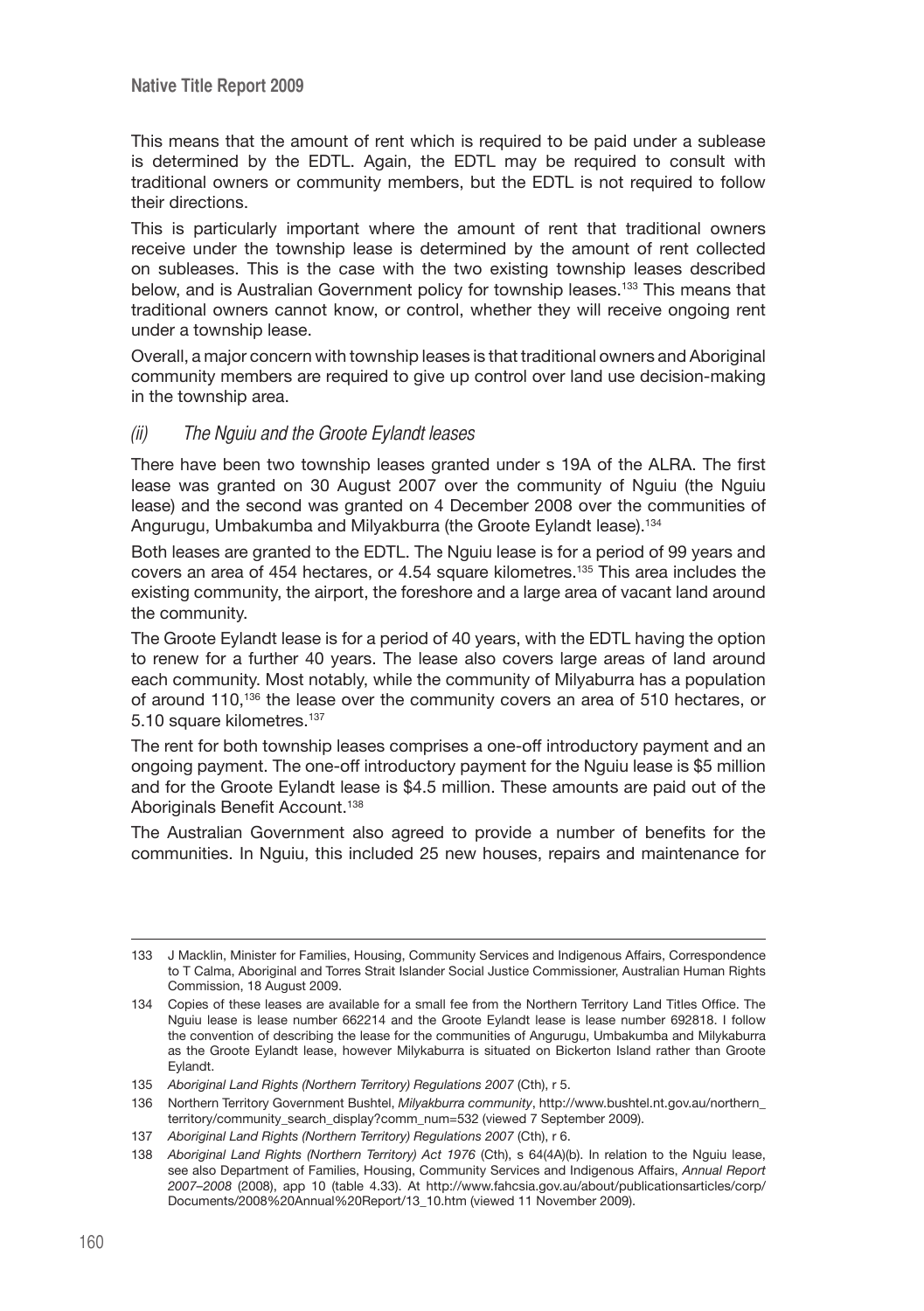This means that the amount of rent which is required to be paid under a sublease is determined by the EDTL. Again, the EDTL may be required to consult with traditional owners or community members, but the EDTL is not required to follow their directions.

This is particularly important where the amount of rent that traditional owners receive under the township lease is determined by the amount of rent collected on subleases. This is the case with the two existing township leases described below, and is Australian Government policy for township leases.133 This means that traditional owners cannot know, or control, whether they will receive ongoing rent under a township lease.

Overall, a major concern with township leases is that traditional owners and Aboriginal community members are required to give up control over land use decision-making in the township area.

#### (ii) The Nguiu and the Groote Eylandt leases

There have been two township leases granted under s 19A of the ALRA. The first lease was granted on 30 August 2007 over the community of Nguiu (the Nguiu lease) and the second was granted on 4 December 2008 over the communities of Angurugu, Umbakumba and Milyakburra (the Groote Eylandt lease).134

Both leases are granted to the EDTL. The Nguiu lease is for a period of 99 years and covers an area of 454 hectares, or 4.54 square kilometres.135 This area includes the existing community, the airport, the foreshore and a large area of vacant land around the community.

The Groote Eylandt lease is for a period of 40 years, with the EDTL having the option to renew for a further 40 years. The lease also covers large areas of land around each community. Most notably, while the community of Milyaburra has a population of around 110,136 the lease over the community covers an area of 510 hectares, or 5.10 square kilometres.<sup>137</sup>

The rent for both township leases comprises a one-off introductory payment and an ongoing payment. The one-off introductory payment for the Nguiu lease is \$5 million and for the Groote Eylandt lease is \$4.5 million. These amounts are paid out of the Aboriginals Benefit Account.<sup>138</sup>

The Australian Government also agreed to provide a number of benefits for the communities. In Nguiu, this included 25 new houses, repairs and maintenance for

<sup>133</sup> J Macklin, Minister for Families, Housing, Community Services and Indigenous Affairs, Correspondence to T Calma, Aboriginal and Torres Strait Islander Social Justice Commissioner, Australian Human Rights Commission, 18 August 2009.

<sup>134</sup> Copies of these leases are available for a small fee from the Northern Territory Land Titles Office. The Nguiu lease is lease number 662214 and the Groote Eylandt lease is lease number 692818. I follow the convention of describing the lease for the communities of Angurugu, Umbakumba and Milykaburra as the Groote Eylandt lease, however Milykaburra is situated on Bickerton Island rather than Groote Eylandt.

<sup>135</sup> *Aboriginal Land Rights (Northern Territory) Regulations 2007* (Cth), r 5.

<sup>136</sup> Northern Territory Government Bushtel, *Milyakburra community*, http://www.bushtel.nt.gov.au/northern\_ territory/community\_search\_display?comm\_num=532 (viewed 7 September 2009).

<sup>137</sup> *Aboriginal Land Rights (Northern Territory) Regulations 2007* (Cth), r 6.

<sup>138</sup> *Aboriginal Land Rights (Northern Territory) Act 1976* (Cth), s 64(4A)(b). In relation to the Nguiu lease, see also Department of Families, Housing, Community Services and Indigenous Affairs, *Annual Report 2007–2008* (2008), app 10 (table 4.33). At http://www.fahcsia.gov.au/about/publicationsarticles/corp/ Documents/2008%20Annual%20Report/13\_10.htm (viewed 11 November 2009).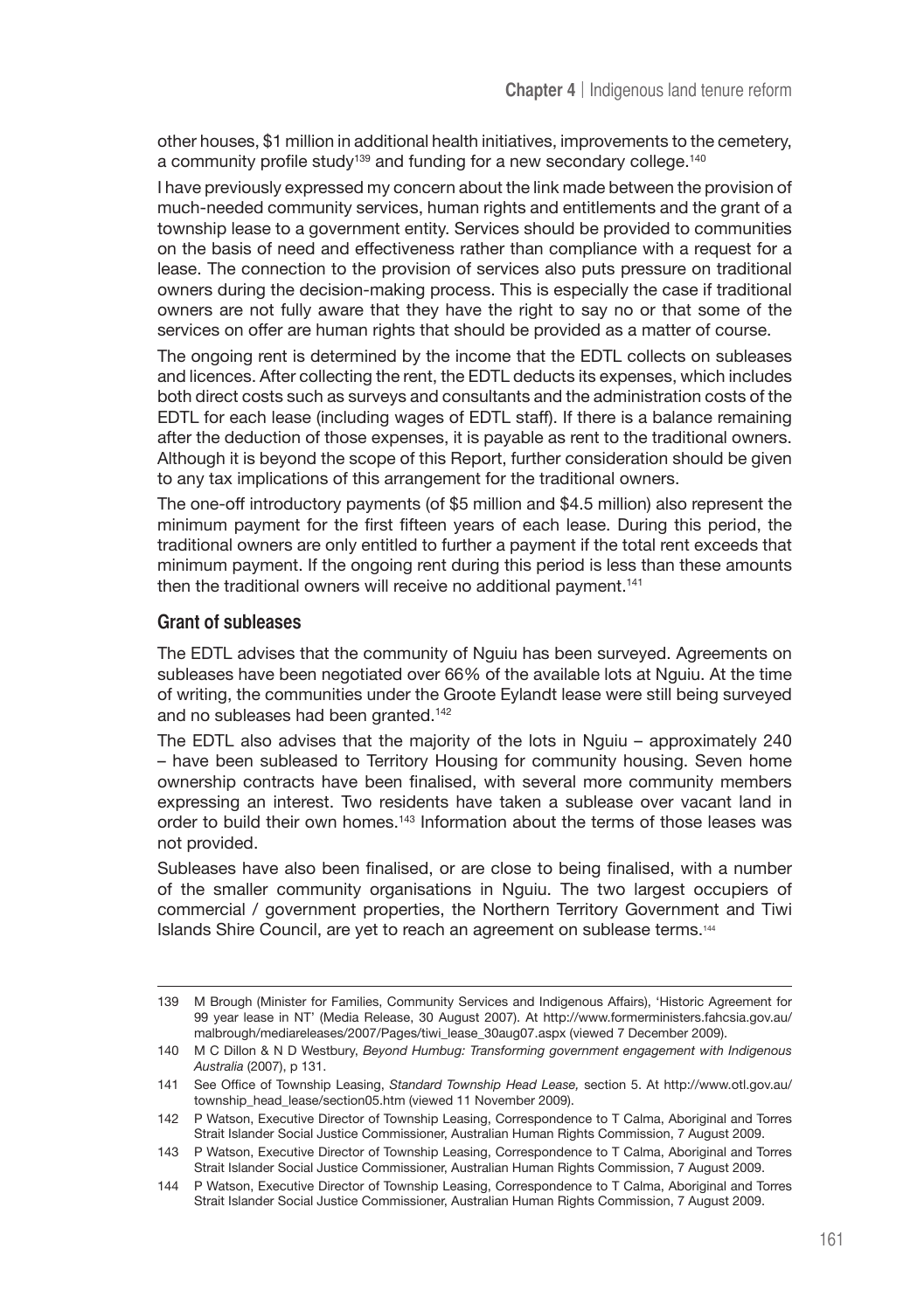other houses, \$1 million in additional health initiatives, improvements to the cemetery, a community profile study<sup>139</sup> and funding for a new secondary college.<sup>140</sup>

I have previously expressed my concern about the link made between the provision of much-needed community services, human rights and entitlements and the grant of a township lease to a government entity. Services should be provided to communities on the basis of need and effectiveness rather than compliance with a request for a lease. The connection to the provision of services also puts pressure on traditional owners during the decision-making process. This is especially the case if traditional owners are not fully aware that they have the right to say no or that some of the services on offer are human rights that should be provided as a matter of course.

The ongoing rent is determined by the income that the EDTL collects on subleases and licences. After collecting the rent, the EDTL deducts its expenses, which includes both direct costs such as surveys and consultants and the administration costs of the EDTL for each lease (including wages of EDTL staff). If there is a balance remaining after the deduction of those expenses, it is payable as rent to the traditional owners. Although it is beyond the scope of this Report, further consideration should be given to any tax implications of this arrangement for the traditional owners.

The one-off introductory payments (of \$5 million and \$4.5 million) also represent the minimum payment for the first fifteen years of each lease. During this period, the traditional owners are only entitled to further a payment if the total rent exceeds that minimum payment. If the ongoing rent during this period is less than these amounts then the traditional owners will receive no additional payment.<sup>141</sup>

#### **Grant of subleases**

The EDTL advises that the community of Nguiu has been surveyed. Agreements on subleases have been negotiated over 66% of the available lots at Nguiu. At the time of writing, the communities under the Groote Eylandt lease were still being surveyed and no subleases had been granted.<sup>142</sup>

The EDTL also advises that the majority of the lots in Nguiu – approximately 240 – have been subleased to Territory Housing for community housing. Seven home ownership contracts have been finalised, with several more community members expressing an interest. Two residents have taken a sublease over vacant land in order to build their own homes.<sup>143</sup> Information about the terms of those leases was not provided.

Subleases have also been finalised, or are close to being finalised, with a number of the smaller community organisations in Nguiu. The two largest occupiers of commercial / government properties, the Northern Territory Government and Tiwi Islands Shire Council, are yet to reach an agreement on sublease terms.144

<sup>139</sup> M Brough (Minister for Families, Community Services and Indigenous Affairs), 'Historic Agreement for 99 year lease in NT' (Media Release, 30 August 2007). At http://www.formerministers.fahcsia.gov.au/ malbrough/mediareleases/2007/Pages/tiwi\_lease\_30aug07.aspx (viewed 7 December 2009).

<sup>140</sup> M C Dillon & N D Westbury, *Beyond Humbug: Transforming government engagement with Indigenous Australia* (2007), p 131.

<sup>141</sup> See Office of Township Leasing, *Standard Township Head Lease,* section 5. At http://www.otl.gov.au/ township\_head\_lease/section05.htm (viewed 11 November 2009).

<sup>142</sup> P Watson, Executive Director of Township Leasing, Correspondence to T Calma, Aboriginal and Torres Strait Islander Social Justice Commissioner, Australian Human Rights Commission, 7 August 2009.

<sup>143</sup> P Watson, Executive Director of Township Leasing, Correspondence to T Calma, Aboriginal and Torres Strait Islander Social Justice Commissioner, Australian Human Rights Commission, 7 August 2009.

<sup>144</sup> P Watson, Executive Director of Township Leasing, Correspondence to T Calma, Aboriginal and Torres Strait Islander Social Justice Commissioner, Australian Human Rights Commission, 7 August 2009.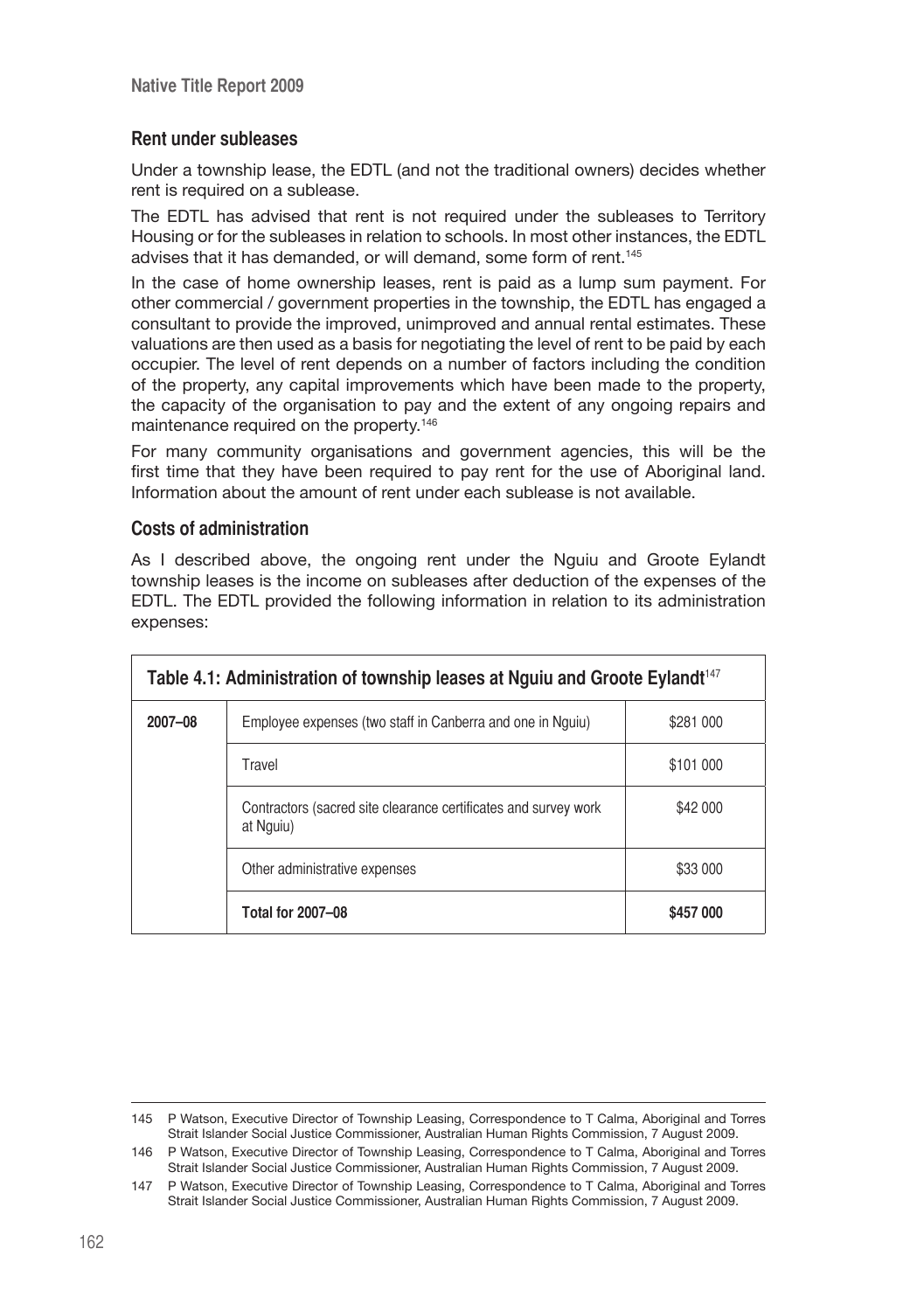# **Rent under subleases**

Under a township lease, the EDTL (and not the traditional owners) decides whether rent is required on a sublease.

The EDTL has advised that rent is not required under the subleases to Territory Housing or for the subleases in relation to schools. In most other instances, the EDTL advises that it has demanded, or will demand, some form of rent.<sup>145</sup>

In the case of home ownership leases, rent is paid as a lump sum payment. For other commercial / government properties in the township, the EDTL has engaged a consultant to provide the improved, unimproved and annual rental estimates. These valuations are then used as a basis for negotiating the level of rent to be paid by each occupier. The level of rent depends on a number of factors including the condition of the property, any capital improvements which have been made to the property, the capacity of the organisation to pay and the extent of any ongoing repairs and maintenance required on the property.146

For many community organisations and government agencies, this will be the first time that they have been required to pay rent for the use of Aboriginal land. Information about the amount of rent under each sublease is not available.

#### **Costs of administration**

As I described above, the ongoing rent under the Nguiu and Groote Eylandt township leases is the income on subleases after deduction of the expenses of the EDTL. The EDTL provided the following information in relation to its administration expenses:

| Table 4.1: Administration of township leases at Nguiu and Groote Eylandt <sup>147</sup> |                                                                              |           |
|-----------------------------------------------------------------------------------------|------------------------------------------------------------------------------|-----------|
| 2007-08                                                                                 | Employee expenses (two staff in Canberra and one in Nguiu)                   | \$281 000 |
|                                                                                         | Travel                                                                       | \$101 000 |
|                                                                                         | Contractors (sacred site clearance certificates and survey work<br>at Nguiu) | \$42 000  |
|                                                                                         | Other administrative expenses                                                | \$33 000  |
|                                                                                         | <b>Total for 2007-08</b>                                                     | \$457 000 |

<sup>145</sup> P Watson, Executive Director of Township Leasing, Correspondence to T Calma, Aboriginal and Torres Strait Islander Social Justice Commissioner, Australian Human Rights Commission, 7 August 2009.

<sup>146</sup> P Watson, Executive Director of Township Leasing, Correspondence to T Calma, Aboriginal and Torres Strait Islander Social Justice Commissioner, Australian Human Rights Commission, 7 August 2009.

<sup>147</sup> P Watson, Executive Director of Township Leasing, Correspondence to T Calma, Aboriginal and Torres Strait Islander Social Justice Commissioner, Australian Human Rights Commission, 7 August 2009.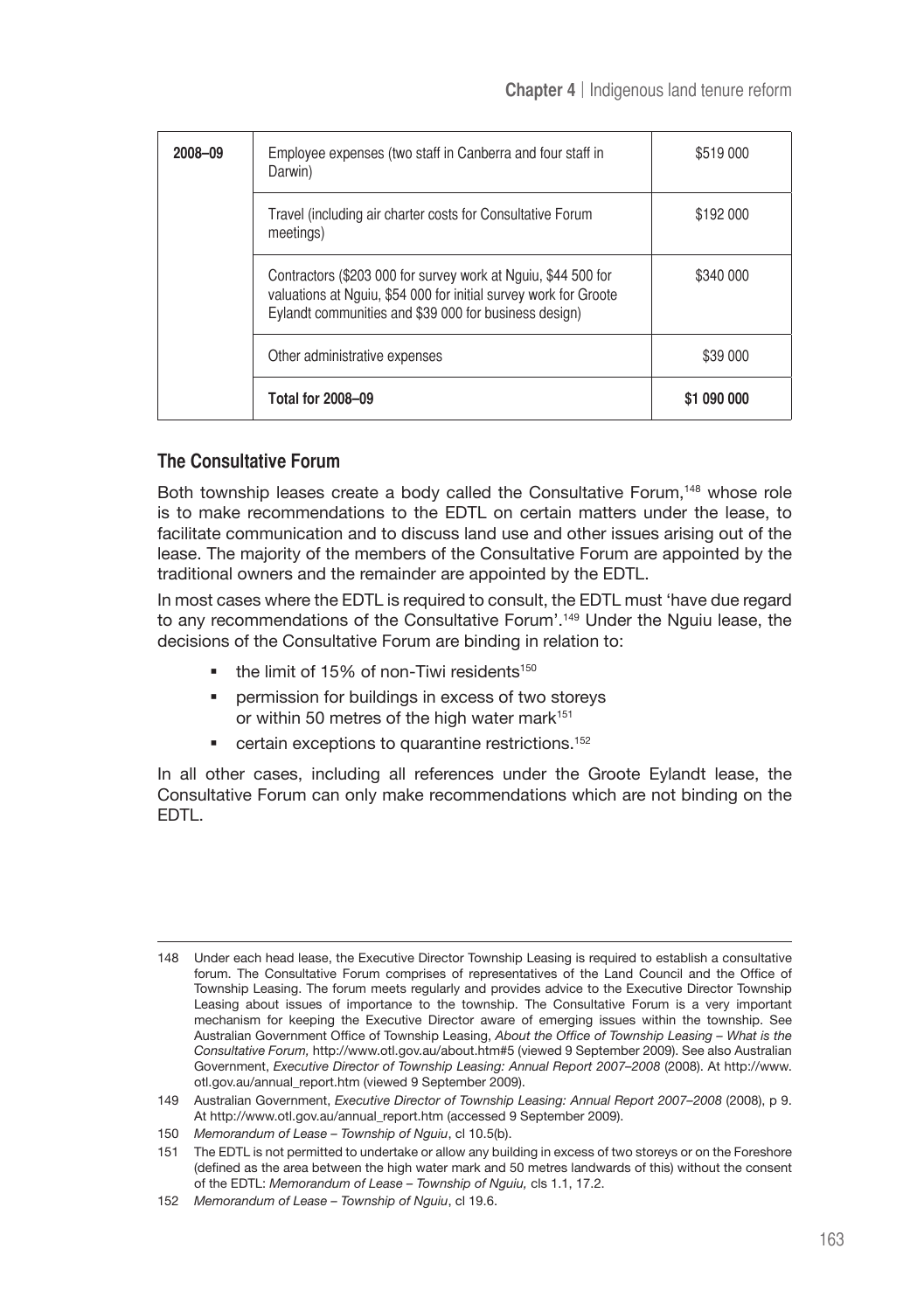| 2008-09 | Employee expenses (two staff in Canberra and four staff in<br>Darwin)                                                                                                                      | \$519 000   |
|---------|--------------------------------------------------------------------------------------------------------------------------------------------------------------------------------------------|-------------|
|         | Travel (including air charter costs for Consultative Forum<br>meetings)                                                                                                                    | \$192 000   |
|         | Contractors (\$203 000 for survey work at Nguiu, \$44 500 for<br>valuations at Nguiu, \$54 000 for initial survey work for Groote<br>Eylandt communities and \$39 000 for business design) | \$340 000   |
|         | Other administrative expenses                                                                                                                                                              | \$39 000    |
|         | <b>Total for 2008-09</b>                                                                                                                                                                   | \$1 090 000 |

# **The Consultative Forum**

Both township leases create a body called the Consultative Forum,<sup>148</sup> whose role is to make recommendations to the EDTL on certain matters under the lease, to facilitate communication and to discuss land use and other issues arising out of the lease. The majority of the members of the Consultative Forum are appointed by the traditional owners and the remainder are appointed by the EDTL.

In most cases where the EDTL is required to consult, the EDTL must 'have due regard to any recommendations of the Consultative Forum'.149 Under the Nguiu lease, the decisions of the Consultative Forum are binding in relation to:

- $\blacksquare$  the limit of 15% of non-Tiwi residents<sup>150</sup>
- permission for buildings in excess of two storeys or within 50 metres of the high water mark<sup>151</sup>
- **•** certain exceptions to quarantine restrictions.<sup>152</sup>

In all other cases, including all references under the Groote Eylandt lease, the Consultative Forum can only make recommendations which are not binding on the EDTL.

<sup>148</sup> Under each head lease, the Executive Director Township Leasing is required to establish a consultative forum. The Consultative Forum comprises of representatives of the Land Council and the Office of Township Leasing. The forum meets regularly and provides advice to the Executive Director Township Leasing about issues of importance to the township. The Consultative Forum is a very important mechanism for keeping the Executive Director aware of emerging issues within the township. See Australian Government Office of Township Leasing, *About the Office of Township Leasing – What is the Consultative Forum,* http://www.otl.gov.au/about.htm#5 (viewed 9 September 2009). See also Australian Government, *Executive Director of Township Leasing: Annual Report 2007–2008* (2008). At http://www. otl.gov.au/annual\_report.htm (viewed 9 September 2009).

<sup>149</sup> Australian Government, *Executive Director of Township Leasing: Annual Report 2007–2008* (2008), p 9. At http://www.otl.gov.au/annual\_report.htm (accessed 9 September 2009).

<sup>150</sup> *Memorandum of Lease – Township of Nguiu*, cl 10.5(b).

<sup>151</sup> The EDTL is not permitted to undertake or allow any building in excess of two storeys or on the Foreshore (defined as the area between the high water mark and 50 metres landwards of this) without the consent of the EDTL: *Memorandum of Lease – Township of Nguiu,* cls 1.1, 17.2.

<sup>152</sup> *Memorandum of Lease – Township of Nguiu*, cl 19.6.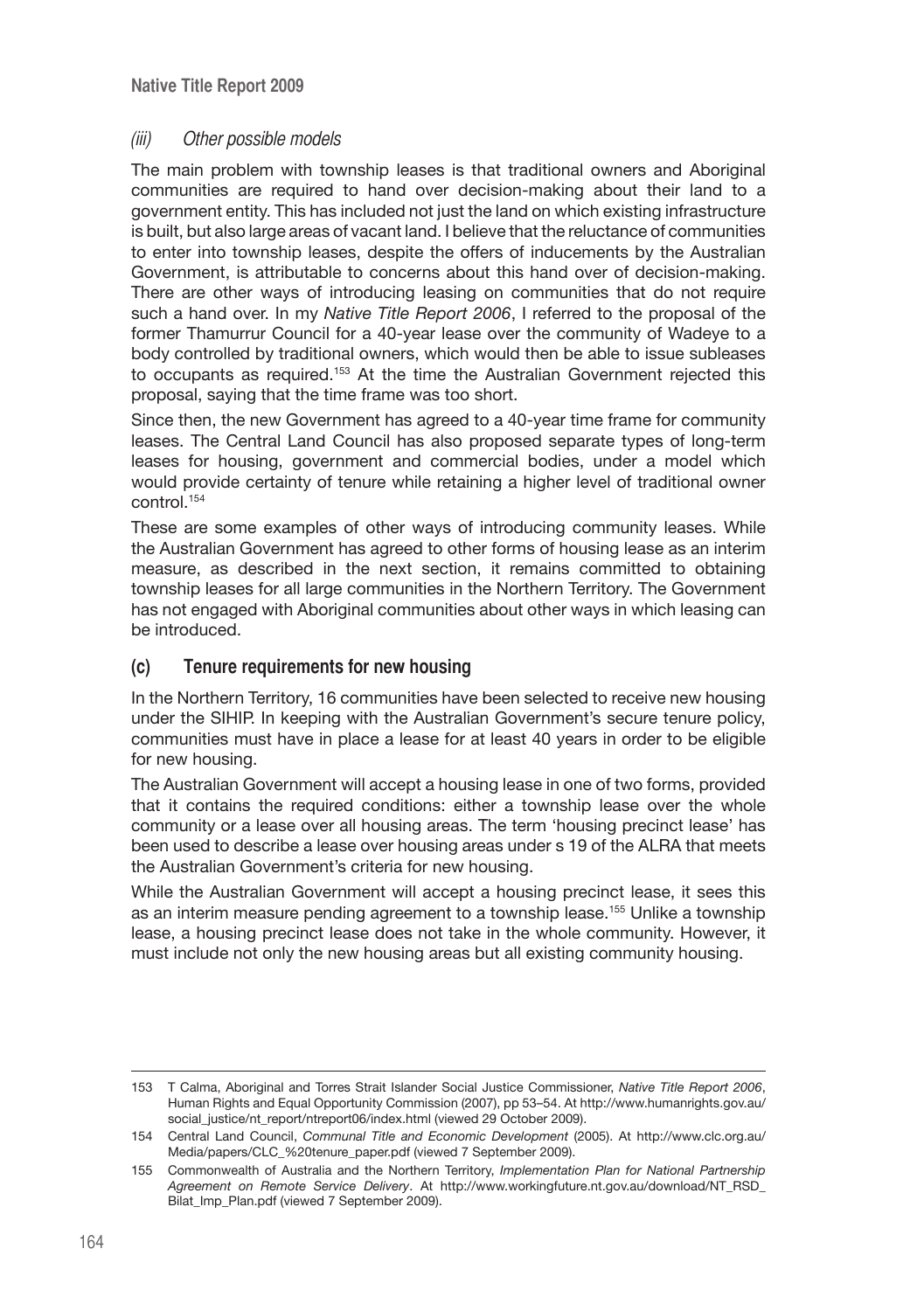# (iii) Other possible models

The main problem with township leases is that traditional owners and Aboriginal communities are required to hand over decision-making about their land to a government entity. This has included not just the land on which existing infrastructure is built, but also large areas of vacant land. I believe that the reluctance of communities to enter into township leases, despite the offers of inducements by the Australian Government, is attributable to concerns about this hand over of decision-making. There are other ways of introducing leasing on communities that do not require such a hand over. In my *Native Title Report 2006*, I referred to the proposal of the former Thamurrur Council for a 40-year lease over the community of Wadeye to a body controlled by traditional owners, which would then be able to issue subleases to occupants as required.<sup>153</sup> At the time the Australian Government rejected this proposal, saying that the time frame was too short.

Since then, the new Government has agreed to a 40-year time frame for community leases. The Central Land Council has also proposed separate types of long-term leases for housing, government and commercial bodies, under a model which would provide certainty of tenure while retaining a higher level of traditional owner control.154

These are some examples of other ways of introducing community leases. While the Australian Government has agreed to other forms of housing lease as an interim measure, as described in the next section, it remains committed to obtaining township leases for all large communities in the Northern Territory. The Government has not engaged with Aboriginal communities about other ways in which leasing can be introduced.

# **(c) Tenure requirements for new housing**

In the Northern Territory, 16 communities have been selected to receive new housing under the SIHIP. In keeping with the Australian Government's secure tenure policy, communities must have in place a lease for at least 40 years in order to be eligible for new housing.

The Australian Government will accept a housing lease in one of two forms, provided that it contains the required conditions: either a township lease over the whole community or a lease over all housing areas. The term 'housing precinct lease' has been used to describe a lease over housing areas under s 19 of the ALRA that meets the Australian Government's criteria for new housing.

While the Australian Government will accept a housing precinct lease, it sees this as an interim measure pending agreement to a township lease.155 Unlike a township lease, a housing precinct lease does not take in the whole community. However, it must include not only the new housing areas but all existing community housing.

<sup>153</sup> T Calma, Aboriginal and Torres Strait Islander Social Justice Commissioner, *Native Title Report 2006*, Human Rights and Equal Opportunity Commission (2007), pp 53–54. At http://www.humanrights.gov.au/ social\_justice/nt\_report/ntreport06/index.html (viewed 29 October 2009).

<sup>154</sup> Central Land Council, *Communal Title and Economic Development* (2005). At http://www.clc.org.au/ Media/papers/CLC\_%20tenure\_paper.pdf (viewed 7 September 2009).

<sup>155</sup> Commonwealth of Australia and the Northern Territory, *Implementation Plan for National Partnership Agreement on Remote Service Delivery*. At http://www.workingfuture.nt.gov.au/download/NT\_RSD\_ Bilat Imp\_Plan.pdf (viewed 7 September 2009).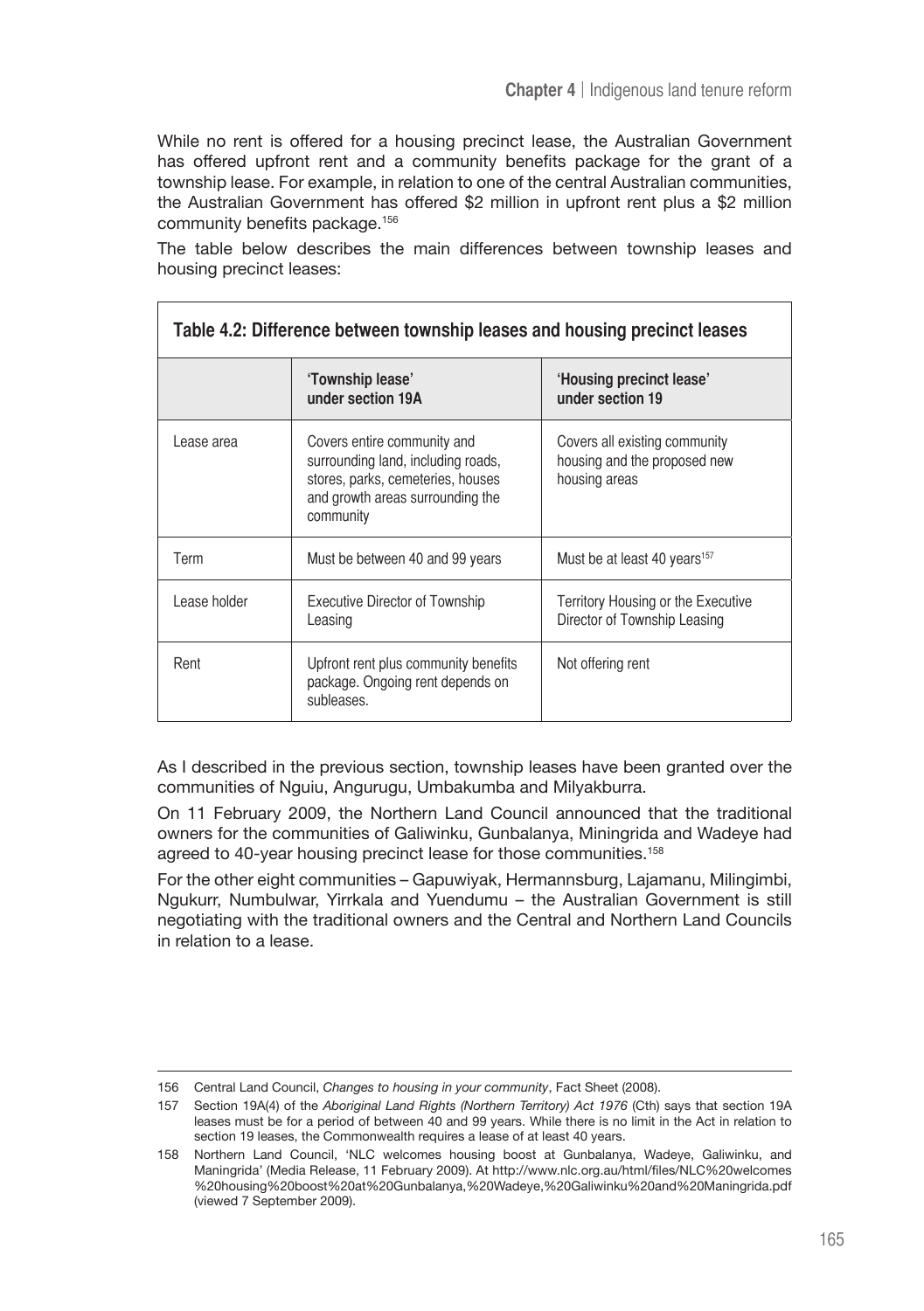While no rent is offered for a housing precinct lease, the Australian Government has offered upfront rent and a community benefits package for the grant of a township lease. For example, in relation to one of the central Australian communities, the Australian Government has offered \$2 million in upfront rent plus a \$2 million community benefits package.<sup>156</sup>

The table below describes the main differences between township leases and housing precinct leases:

| Table 4.2: Difference between township leases and housing precinct leases |                                                                                                                                                         |                                                                                |
|---------------------------------------------------------------------------|---------------------------------------------------------------------------------------------------------------------------------------------------------|--------------------------------------------------------------------------------|
|                                                                           | 'Township lease'<br>under section 19A                                                                                                                   | 'Housing precinct lease'<br>under section 19                                   |
| Lease area                                                                | Covers entire community and<br>surrounding land, including roads,<br>stores, parks, cemeteries, houses<br>and growth areas surrounding the<br>community | Covers all existing community<br>housing and the proposed new<br>housing areas |
| Term                                                                      | Must be between 40 and 99 years                                                                                                                         | Must be at least 40 years <sup>157</sup>                                       |
| Lease holder                                                              | <b>Executive Director of Township</b><br>Leasing                                                                                                        | Territory Housing or the Executive<br>Director of Township Leasing             |
| Rent                                                                      | Upfront rent plus community benefits<br>package. Ongoing rent depends on<br>subleases.                                                                  | Not offering rent                                                              |

As I described in the previous section, township leases have been granted over the communities of Nguiu, Angurugu, Umbakumba and Milyakburra.

On 11 February 2009, the Northern Land Council announced that the traditional owners for the communities of Galiwinku, Gunbalanya, Miningrida and Wadeye had agreed to 40-year housing precinct lease for those communities.<sup>158</sup>

For the other eight communities – Gapuwiyak, Hermannsburg, Lajamanu, Milingimbi, Ngukurr, Numbulwar, Yirrkala and Yuendumu – the Australian Government is still negotiating with the traditional owners and the Central and Northern Land Councils in relation to a lease.

<sup>156</sup> Central Land Council, *Changes to housing in your community*, Fact Sheet (2008).

<sup>157</sup> Section 19A(4) of the *Aboriginal Land Rights (Northern Territory) Act 1976* (Cth) says that section 19A leases must be for a period of between 40 and 99 years. While there is no limit in the Act in relation to section 19 leases, the Commonwealth requires a lease of at least 40 years.

<sup>158</sup> Northern Land Council, 'NLC welcomes housing boost at Gunbalanya, Wadeye, Galiwinku, and Maningrida' (Media Release, 11 February 2009). At http://www.nlc.org.au/html/files/NLC%20welcomes %20housing%20boost%20at%20Gunbalanya,%20Wadeye,%20Galiwinku%20and%20Maningrida.pdf (viewed 7 September 2009).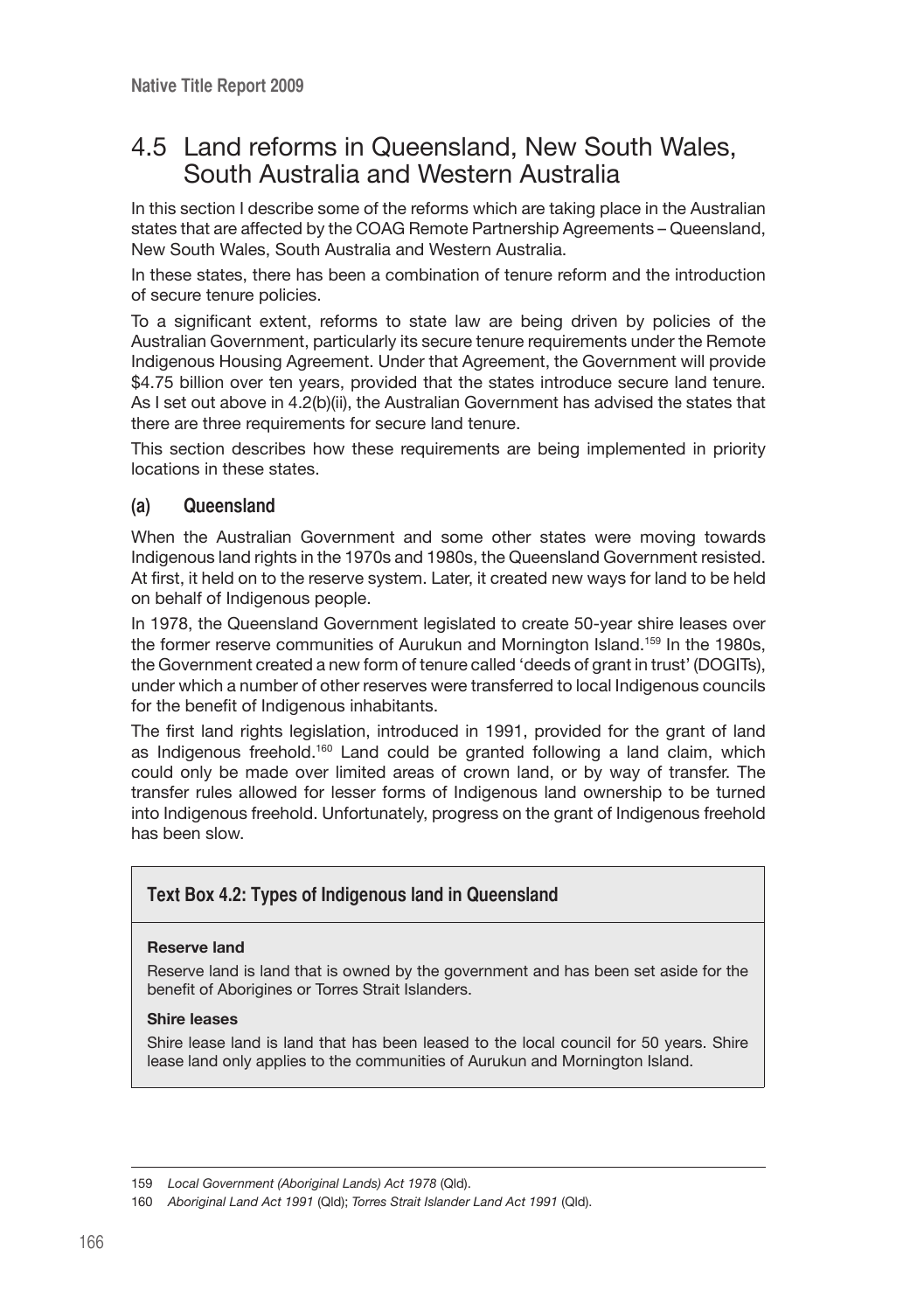# 4.5 Land reforms in Queensland, New South Wales, South Australia and Western Australia

In this section I describe some of the reforms which are taking place in the Australian states that are affected by the COAG Remote Partnership Agreements – Queensland, New South Wales, South Australia and Western Australia.

In these states, there has been a combination of tenure reform and the introduction of secure tenure policies.

To a significant extent, reforms to state law are being driven by policies of the Australian Government, particularly its secure tenure requirements under the Remote Indigenous Housing Agreement. Under that Agreement, the Government will provide \$4.75 billion over ten years, provided that the states introduce secure land tenure. As I set out above in 4.2(b)(ii), the Australian Government has advised the states that there are three requirements for secure land tenure.

This section describes how these requirements are being implemented in priority locations in these states.

# **(a) Queensland**

When the Australian Government and some other states were moving towards Indigenous land rights in the 1970s and 1980s, the Queensland Government resisted. At first, it held on to the reserve system. Later, it created new ways for land to be held on behalf of Indigenous people.

In 1978, the Queensland Government legislated to create 50-year shire leases over the former reserve communities of Aurukun and Mornington Island.159 In the 1980s, the Government created a new form of tenure called 'deeds of grant in trust' (DOGITs), under which a number of other reserves were transferred to local Indigenous councils for the benefit of Indigenous inhabitants.

The first land rights legislation, introduced in 1991, provided for the grant of land as Indigenous freehold.<sup>160</sup> Land could be granted following a land claim, which could only be made over limited areas of crown land, or by way of transfer. The transfer rules allowed for lesser forms of Indigenous land ownership to be turned into Indigenous freehold. Unfortunately, progress on the grant of Indigenous freehold has been slow.

# **Text Box 4.2: Types of Indigenous land in Queensland**

#### **Reserve land**

Reserve land is land that is owned by the government and has been set aside for the benefit of Aborigines or Torres Strait Islanders.

#### **Shire leases**

Shire lease land is land that has been leased to the local council for 50 years. Shire lease land only applies to the communities of Aurukun and Mornington Island.

<sup>159</sup> *Local Government (Aboriginal Lands) Act 1978* (Qld).

<sup>160</sup> *Aboriginal Land Act 1991* (Qld); *Torres Strait Islander Land Act 1991* (Qld).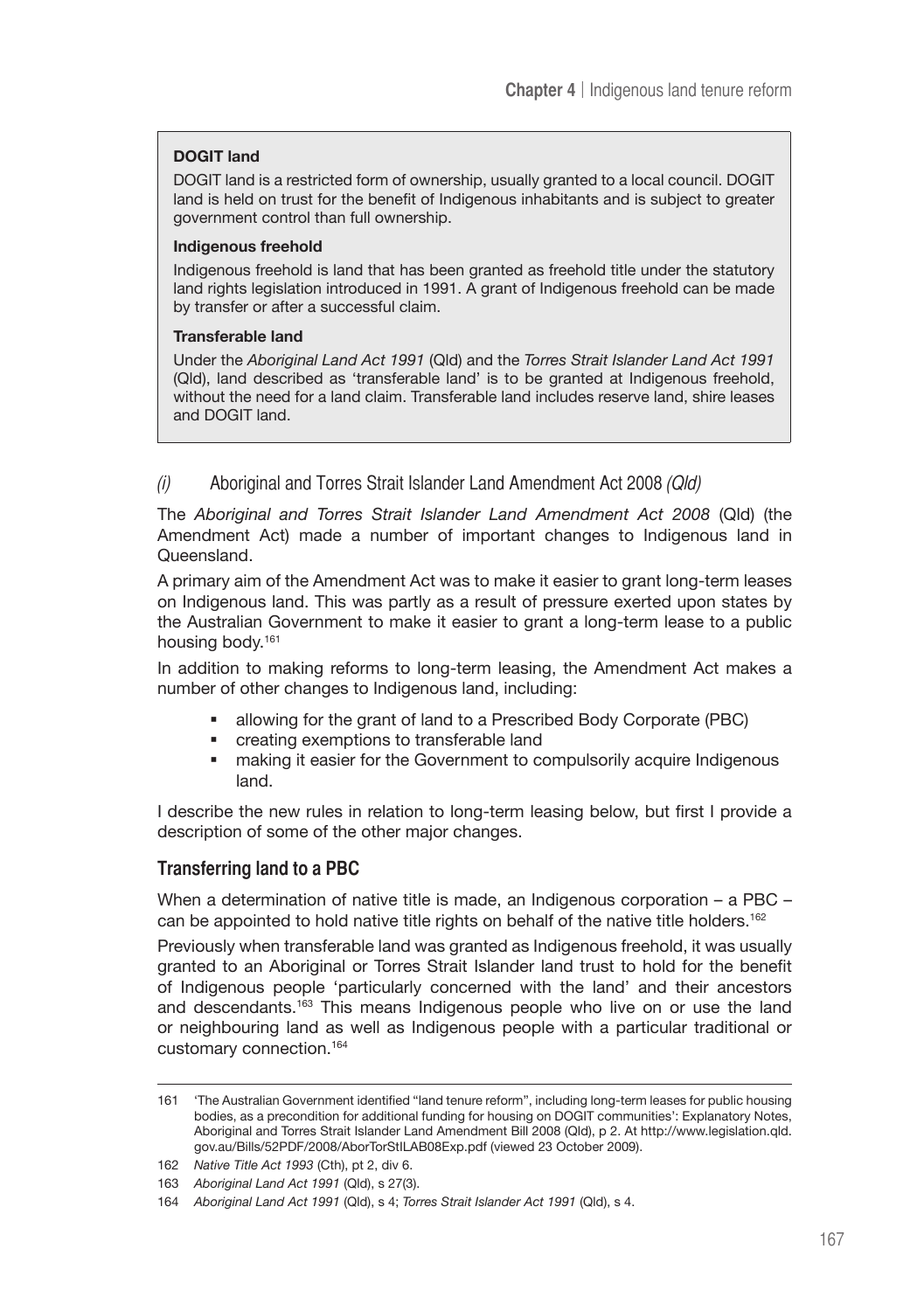#### **DOGIT land**

DOGIT land is a restricted form of ownership, usually granted to a local council. DOGIT land is held on trust for the benefit of Indigenous inhabitants and is subject to greater government control than full ownership.

#### **Indigenous freehold**

Indigenous freehold is land that has been granted as freehold title under the statutory land rights legislation introduced in 1991. A grant of Indigenous freehold can be made by transfer or after a successful claim.

#### **Transferable land**

Under the *Aboriginal Land Act 1991* (Qld) and the *Torres Strait Islander Land Act 1991* (Qld), land described as 'transferable land' is to be granted at Indigenous freehold, without the need for a land claim. Transferable land includes reserve land, shire leases and DOGIT land.

# (i) Aboriginal and Torres Strait Islander Land Amendment Act 2008 (Qld)

The *Aboriginal and Torres Strait Islander Land Amendment Act 2008* (Qld) (the Amendment Act) made a number of important changes to Indigenous land in Queensland.

A primary aim of the Amendment Act was to make it easier to grant long-term leases on Indigenous land. This was partly as a result of pressure exerted upon states by the Australian Government to make it easier to grant a long-term lease to a public housing body.161

In addition to making reforms to long-term leasing, the Amendment Act makes a number of other changes to Indigenous land, including:

- allowing for the grant of land to a Prescribed Body Corporate (PBC)
- creating exemptions to transferable land
- making it easier for the Government to compulsorily acquire Indigenous land.

I describe the new rules in relation to long-term leasing below, but first I provide a description of some of the other major changes.

### **Transferring land to a PBC**

When a determination of native title is made, an Indigenous corporation – a PBC – can be appointed to hold native title rights on behalf of the native title holders.<sup>162</sup>

Previously when transferable land was granted as Indigenous freehold, it was usually granted to an Aboriginal or Torres Strait Islander land trust to hold for the benefit of Indigenous people 'particularly concerned with the land' and their ancestors and descendants.163 This means Indigenous people who live on or use the land or neighbouring land as well as Indigenous people with a particular traditional or customary connection.164

<sup>161</sup> 'The Australian Government identified "land tenure reform", including long-term leases for public housing bodies, as a precondition for additional funding for housing on DOGIT communities': Explanatory Notes, Aboriginal and Torres Strait Islander Land Amendment Bill 2008 (Qld), p 2. At http://www.legislation.qld. gov.au/Bills/52PDF/2008/AborTorStILAB08Exp.pdf (viewed 23 October 2009).

<sup>162</sup> *Native Title Act 1993* (Cth), pt 2, div 6.

<sup>163</sup> *Aboriginal Land Act 1991* (Qld), s 27(3).

<sup>164</sup> *Aboriginal Land Act 1991* (Qld), s 4; *Torres Strait Islander Act 1991* (Qld), s 4.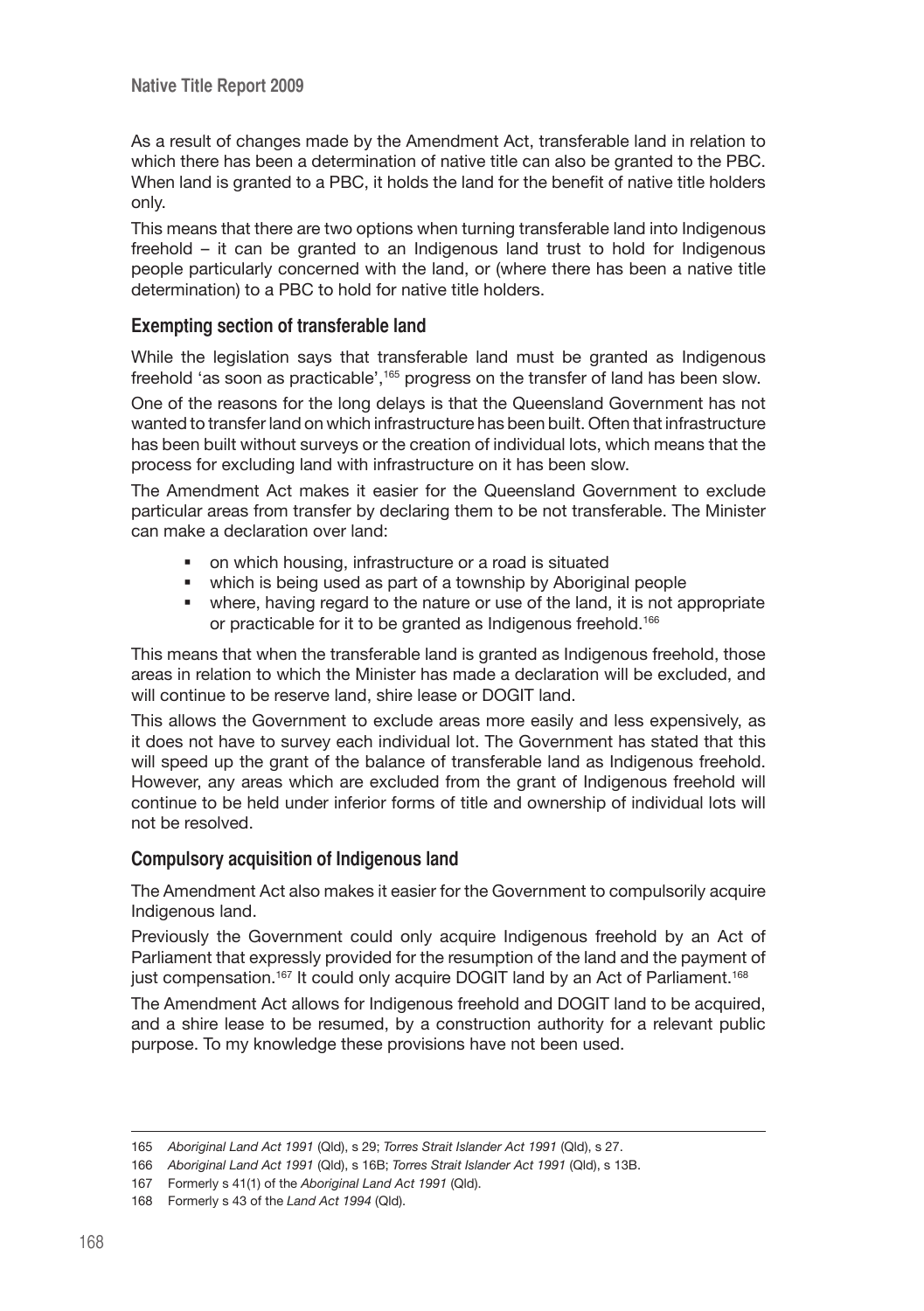As a result of changes made by the Amendment Act, transferable land in relation to which there has been a determination of native title can also be granted to the PBC. When land is granted to a PBC, it holds the land for the benefit of native title holders only.

This means that there are two options when turning transferable land into Indigenous freehold – it can be granted to an Indigenous land trust to hold for Indigenous people particularly concerned with the land, or (where there has been a native title determination) to a PBC to hold for native title holders.

#### **Exempting section of transferable land**

While the legislation says that transferable land must be granted as Indigenous freehold 'as soon as practicable',<sup>165</sup> progress on the transfer of land has been slow.

One of the reasons for the long delays is that the Queensland Government has not wanted to transfer land on which infrastructure has been built. Often that infrastructure has been built without surveys or the creation of individual lots, which means that the process for excluding land with infrastructure on it has been slow.

The Amendment Act makes it easier for the Queensland Government to exclude particular areas from transfer by declaring them to be not transferable. The Minister can make a declaration over land:

- on which housing, infrastructure or a road is situated
- which is being used as part of a township by Aboriginal people
- where, having regard to the nature or use of the land, it is not appropriate or practicable for it to be granted as Indigenous freehold.<sup>166</sup>

This means that when the transferable land is granted as Indigenous freehold, those areas in relation to which the Minister has made a declaration will be excluded, and will continue to be reserve land, shire lease or DOGIT land.

This allows the Government to exclude areas more easily and less expensively, as it does not have to survey each individual lot. The Government has stated that this will speed up the grant of the balance of transferable land as Indigenous freehold. However, any areas which are excluded from the grant of Indigenous freehold will continue to be held under inferior forms of title and ownership of individual lots will not be resolved.

#### **Compulsory acquisition of Indigenous land**

The Amendment Act also makes it easier for the Government to compulsorily acquire Indigenous land.

Previously the Government could only acquire Indigenous freehold by an Act of Parliament that expressly provided for the resumption of the land and the payment of just compensation.<sup>167</sup> It could only acquire DOGIT land by an Act of Parliament.<sup>168</sup>

The Amendment Act allows for Indigenous freehold and DOGIT land to be acquired, and a shire lease to be resumed, by a construction authority for a relevant public purpose. To my knowledge these provisions have not been used.

<sup>165</sup> *Aboriginal Land Act 1991* (Qld), s 29; *Torres Strait Islander Act 1991* (Qld), s 27.

<sup>166</sup> *Aboriginal Land Act 1991* (Qld), s 16B; *Torres Strait Islander Act 1991* (Qld), s 13B.

<sup>167</sup> Formerly s 41(1) of the *Aboriginal Land Act 1991* (Qld).

<sup>168</sup> Formerly s 43 of the *Land Act 1994* (Qld).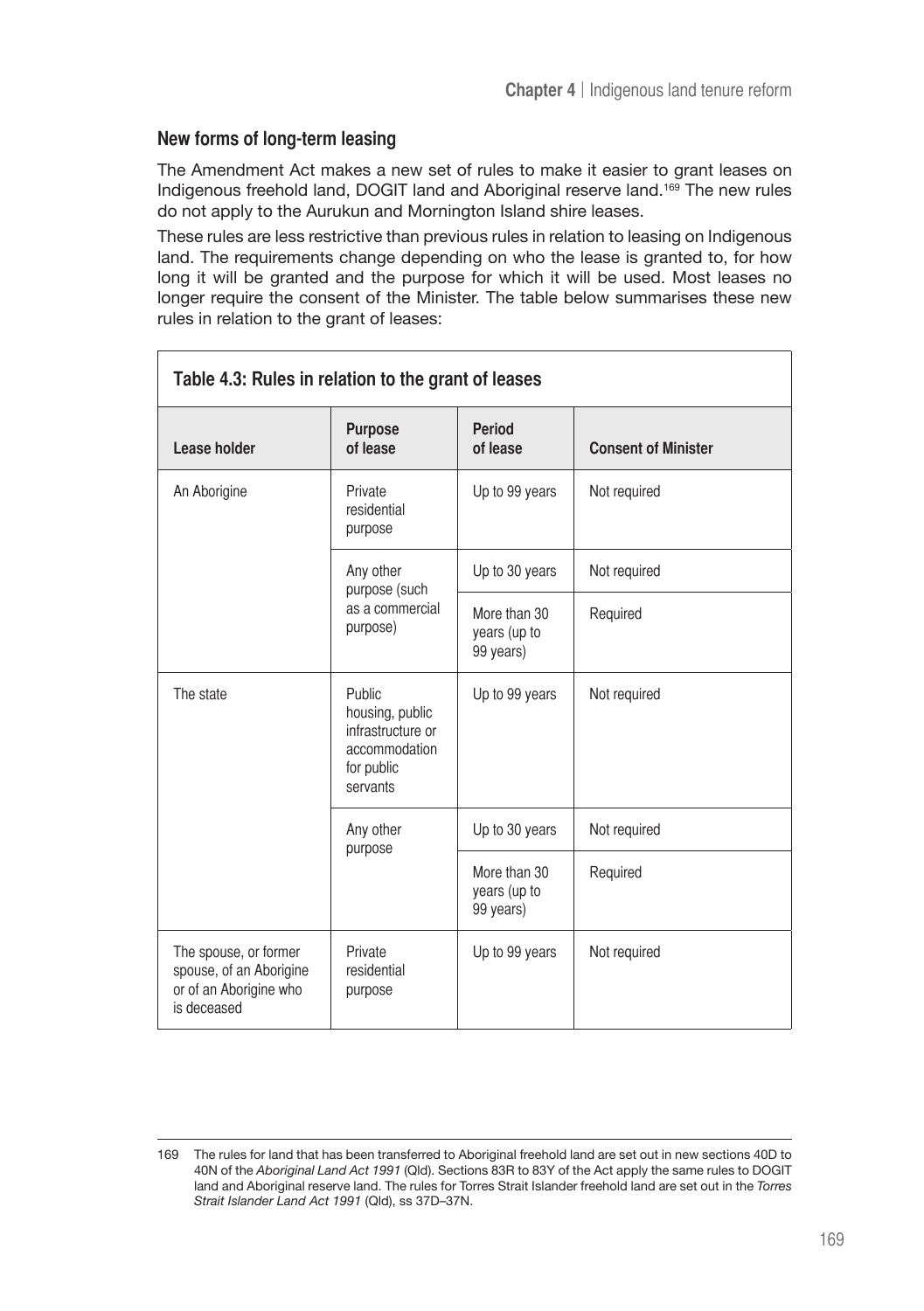# **New forms of long-term leasing**

The Amendment Act makes a new set of rules to make it easier to grant leases on Indigenous freehold land, DOGIT land and Aboriginal reserve land.<sup>169</sup> The new rules do not apply to the Aurukun and Mornington Island shire leases.

These rules are less restrictive than previous rules in relation to leasing on Indigenous land. The requirements change depending on who the lease is granted to, for how long it will be granted and the purpose for which it will be used. Most leases no longer require the consent of the Minister. The table below summarises these new rules in relation to the grant of leases:

| Table 4.3: Rules in relation to the grant of leases                                       |                                                                                           |                                           |                            |
|-------------------------------------------------------------------------------------------|-------------------------------------------------------------------------------------------|-------------------------------------------|----------------------------|
| Lease holder                                                                              | <b>Purpose</b><br>of lease                                                                | <b>Period</b><br>of lease                 | <b>Consent of Minister</b> |
| An Aborigine                                                                              | Private<br>residential<br>purpose                                                         | Up to 99 years                            | Not required               |
|                                                                                           | Any other<br>purpose (such                                                                | Up to 30 years                            | Not required               |
|                                                                                           | as a commercial<br>purpose)                                                               | More than 30<br>years (up to<br>99 years) | Required                   |
| The state                                                                                 | Public<br>housing, public<br>infrastructure or<br>accommodation<br>for public<br>servants | Up to 99 years                            | Not required               |
|                                                                                           | Any other<br>purpose                                                                      | Up to 30 years                            | Not required               |
|                                                                                           |                                                                                           | More than 30<br>years (up to<br>99 years) | Required                   |
| The spouse, or former<br>spouse, of an Aborigine<br>or of an Aborigine who<br>is deceased | Private<br>residential<br>purpose                                                         | Up to 99 years                            | Not required               |

<sup>169</sup> The rules for land that has been transferred to Aboriginal freehold land are set out in new sections 40D to 40N of the *Aboriginal Land Act 1991* (Qld). Sections 83R to 83Y of the Act apply the same rules to DOGIT land and Aboriginal reserve land. The rules for Torres Strait Islander freehold land are set out in the *Torres Strait Islander Land Act 1991* (Qld), ss 37D–37N.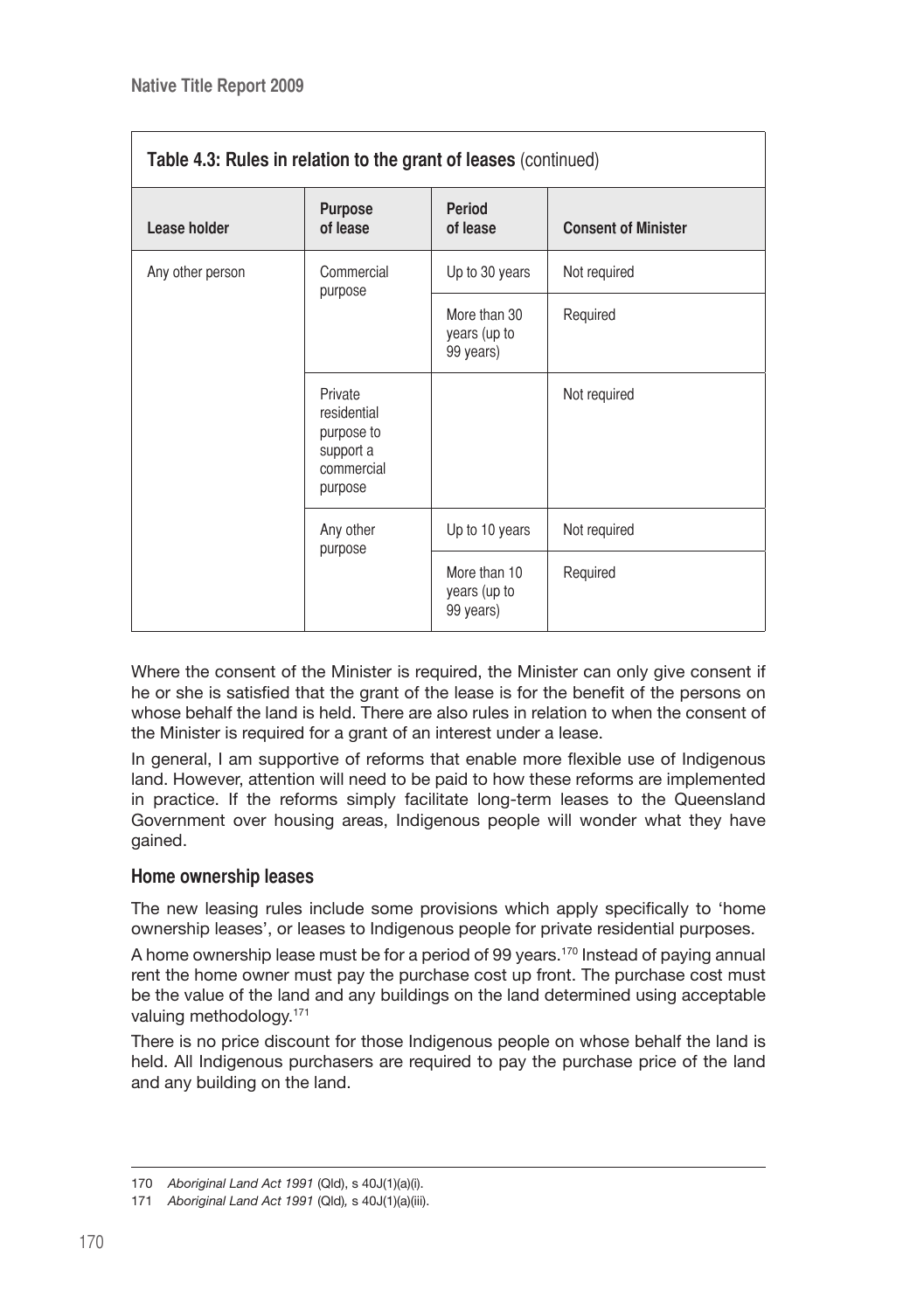| Table 4.3: Rules in relation to the grant of leases (continued) |                                                                            |                                           |                            |
|-----------------------------------------------------------------|----------------------------------------------------------------------------|-------------------------------------------|----------------------------|
| Lease holder                                                    | <b>Purpose</b><br>of lease                                                 | <b>Period</b><br>of lease                 | <b>Consent of Minister</b> |
| Any other person                                                | Commercial<br>purpose                                                      | Up to 30 years                            | Not required               |
|                                                                 |                                                                            | More than 30<br>years (up to<br>99 years) | Required                   |
|                                                                 | Private<br>residential<br>purpose to<br>support a<br>commercial<br>purpose |                                           | Not required               |
|                                                                 | Any other                                                                  | Up to 10 years                            | Not required               |
|                                                                 | purpose                                                                    | More than 10<br>years (up to<br>99 years) | Required                   |

Where the consent of the Minister is required, the Minister can only give consent if he or she is satisfied that the grant of the lease is for the benefit of the persons on whose behalf the land is held. There are also rules in relation to when the consent of the Minister is required for a grant of an interest under a lease.

In general, I am supportive of reforms that enable more flexible use of Indigenous land. However, attention will need to be paid to how these reforms are implemented in practice. If the reforms simply facilitate long-term leases to the Queensland Government over housing areas, Indigenous people will wonder what they have gained.

### **Home ownership leases**

The new leasing rules include some provisions which apply specifically to 'home ownership leases', or leases to Indigenous people for private residential purposes.

A home ownership lease must be for a period of 99 years.170 Instead of paying annual rent the home owner must pay the purchase cost up front. The purchase cost must be the value of the land and any buildings on the land determined using acceptable valuing methodology.<sup>171</sup>

There is no price discount for those Indigenous people on whose behalf the land is held. All Indigenous purchasers are required to pay the purchase price of the land and any building on the land.

<sup>170</sup> *Aboriginal Land Act 1991* (Qld), s 40J(1)(a)(i).

<sup>171</sup> *Aboriginal Land Act 1991* (Qld)*,* s 40J(1)(a)(iii).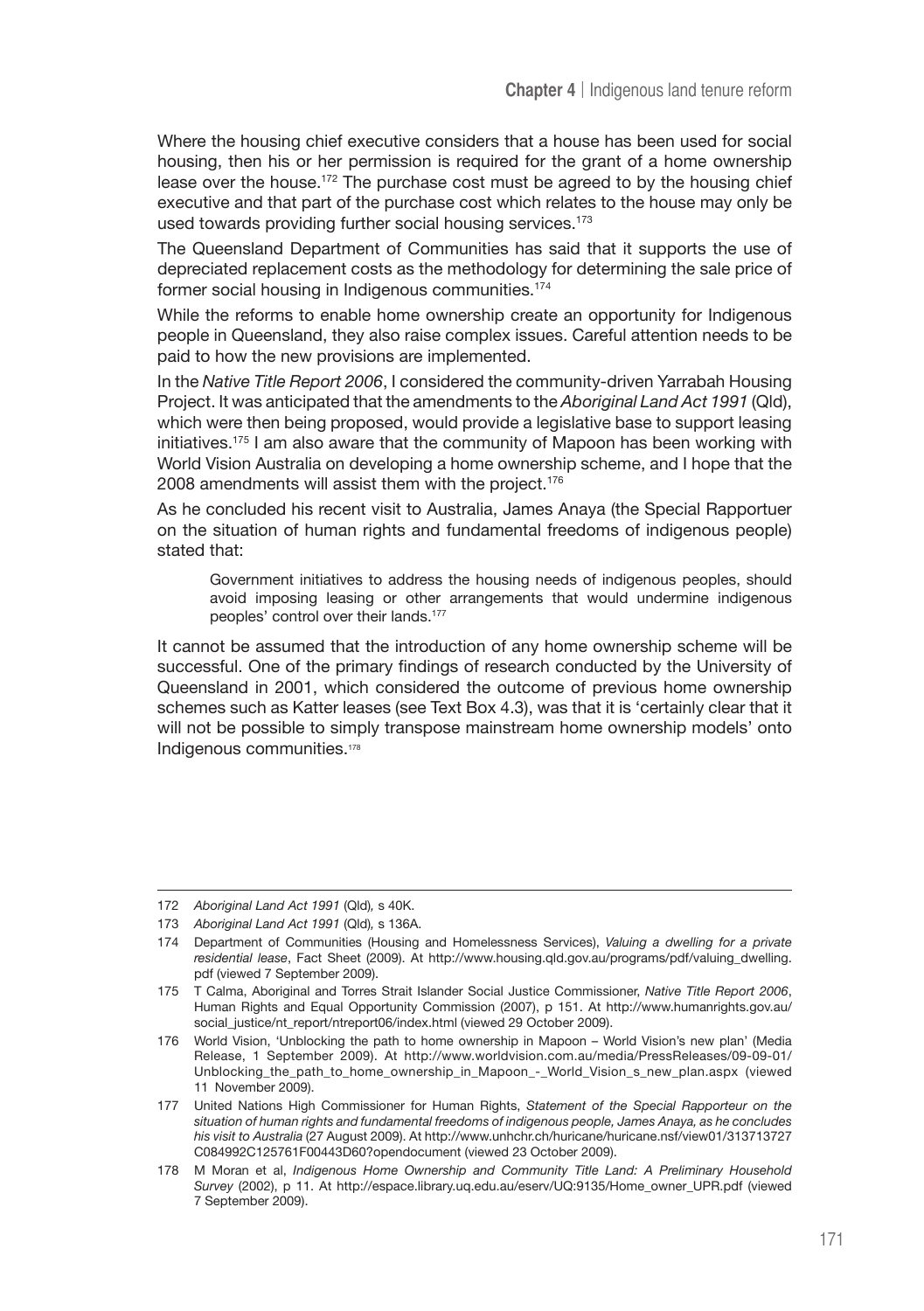Where the housing chief executive considers that a house has been used for social housing, then his or her permission is required for the grant of a home ownership lease over the house.<sup>172</sup> The purchase cost must be agreed to by the housing chief executive and that part of the purchase cost which relates to the house may only be used towards providing further social housing services.<sup>173</sup>

The Queensland Department of Communities has said that it supports the use of depreciated replacement costs as the methodology for determining the sale price of former social housing in Indigenous communities.174

While the reforms to enable home ownership create an opportunity for Indigenous people in Queensland, they also raise complex issues. Careful attention needs to be paid to how the new provisions are implemented.

In the *Native Title Report 2006*, I considered the community-driven Yarrabah Housing Project. It was anticipated that the amendments to the *Aboriginal Land Act 1991* (Qld), which were then being proposed, would provide a legislative base to support leasing initiatives.<sup>175</sup> I am also aware that the community of Mapoon has been working with World Vision Australia on developing a home ownership scheme, and I hope that the 2008 amendments will assist them with the project.<sup>176</sup>

As he concluded his recent visit to Australia, James Anaya (the Special Rapportuer on the situation of human rights and fundamental freedoms of indigenous people) stated that:

Government initiatives to address the housing needs of indigenous peoples, should avoid imposing leasing or other arrangements that would undermine indigenous peoples' control over their lands.<sup>177</sup>

It cannot be assumed that the introduction of any home ownership scheme will be successful. One of the primary findings of research conducted by the University of Queensland in 2001, which considered the outcome of previous home ownership schemes such as Katter leases (see Text Box 4.3), was that it is 'certainly clear that it will not be possible to simply transpose mainstream home ownership models' onto Indigenous communities.178

<sup>172</sup> *Aboriginal Land Act 1991* (Qld)*,* s 40K.

<sup>173</sup> *Aboriginal Land Act 1991* (Qld)*,* s 136A.

<sup>174</sup> Department of Communities (Housing and Homelessness Services), *Valuing a dwelling for a private residential lease*, Fact Sheet (2009). At http://www.housing.qld.gov.au/programs/pdf/valuing\_dwelling. pdf (viewed 7 September 2009).

<sup>175</sup> T Calma, Aboriginal and Torres Strait Islander Social Justice Commissioner, *Native Title Report 2006*, Human Rights and Equal Opportunity Commission (2007), p 151. At http://www.humanrights.gov.au/ social\_justice/nt\_report/ntreport06/index.html (viewed 29 October 2009).

<sup>176</sup> World Vision, 'Unblocking the path to home ownership in Mapoon – World Vision's new plan' (Media Release, 1 September 2009). At http://www.worldvision.com.au/media/PressReleases/09-09-01/ Unblocking\_the\_path\_to\_home\_ownership\_in\_Mapoon\_-\_World\_Vision\_s\_new\_plan.aspx (viewed 11 November 2009).

<sup>177</sup> United Nations High Commissioner for Human Rights, *Statement of the Special Rapporteur on the situation of human rights and fundamental freedoms of indigenous people, James Anaya, as he concludes his visit to Australia* (27 August 2009). At http://www.unhchr.ch/huricane/huricane.nsf/view01/313713727 C084992C125761F00443D60?opendocument (viewed 23 October 2009).

<sup>178</sup> M Moran et al, *Indigenous Home Ownership and Community Title Land: A Preliminary Household Survey* (2002), p 11. At http://espace.library.uq.edu.au/eserv/UQ:9135/Home\_owner\_UPR.pdf (viewed 7 September 2009).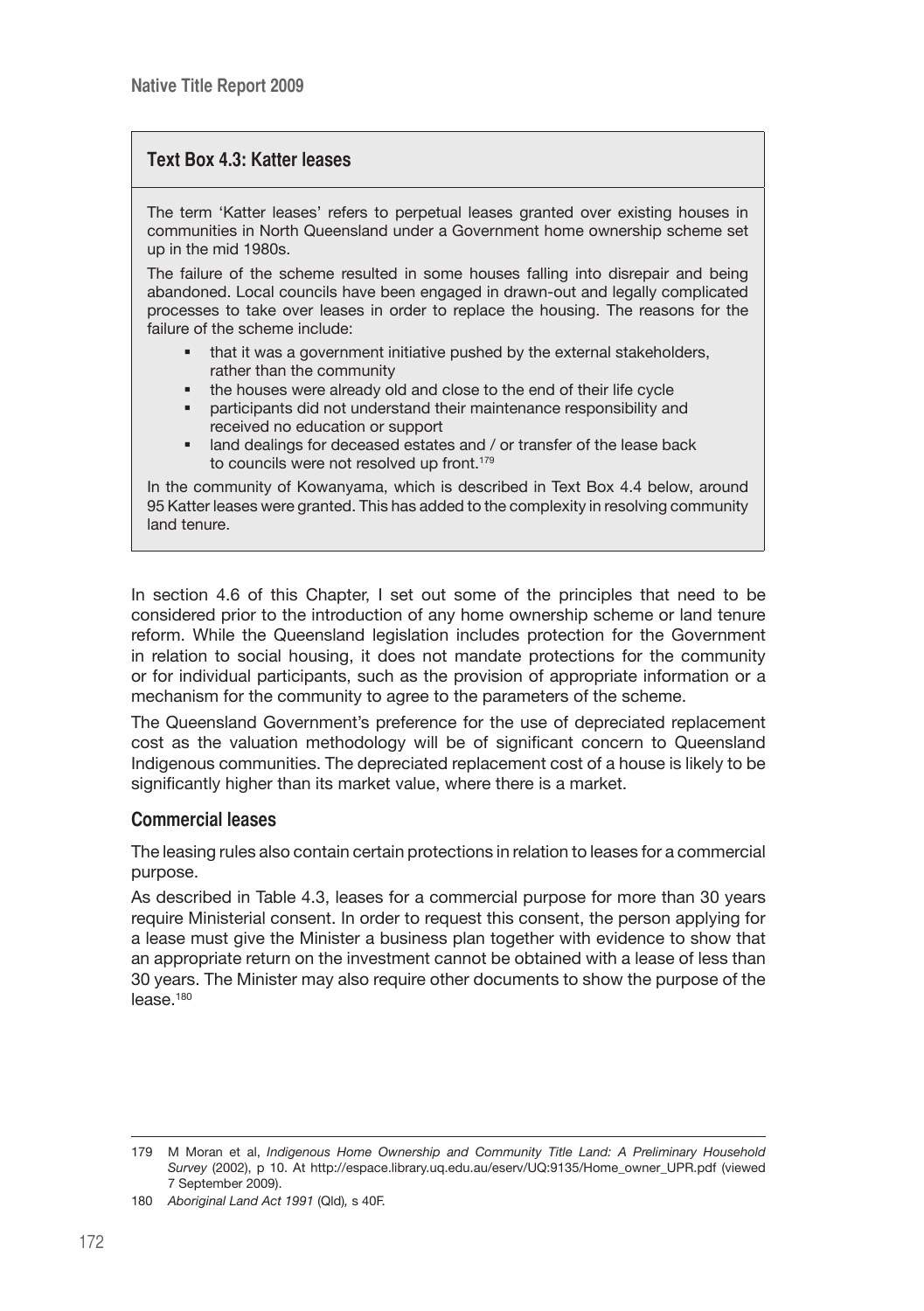# **Text Box 4.3: Katter leases**

The term 'Katter leases' refers to perpetual leases granted over existing houses in communities in North Queensland under a Government home ownership scheme set up in the mid 1980s.

The failure of the scheme resulted in some houses falling into disrepair and being abandoned. Local councils have been engaged in drawn-out and legally complicated processes to take over leases in order to replace the housing. The reasons for the failure of the scheme include:

- that it was a government initiative pushed by the external stakeholders, rather than the community
- the houses were already old and close to the end of their life cycle
- participants did not understand their maintenance responsibility and received no education or support
- land dealings for deceased estates and / or transfer of the lease back to councils were not resolved up front.<sup>179</sup>

In the community of Kowanyama, which is described in Text Box 4.4 below, around 95 Katter leases were granted. This has added to the complexity in resolving community land tenure.

In section 4.6 of this Chapter, I set out some of the principles that need to be considered prior to the introduction of any home ownership scheme or land tenure reform. While the Queensland legislation includes protection for the Government in relation to social housing, it does not mandate protections for the community or for individual participants, such as the provision of appropriate information or a mechanism for the community to agree to the parameters of the scheme.

The Queensland Government's preference for the use of depreciated replacement cost as the valuation methodology will be of significant concern to Queensland Indigenous communities. The depreciated replacement cost of a house is likely to be significantly higher than its market value, where there is a market.

### **Commercial leases**

The leasing rules also contain certain protections in relation to leases for a commercial purpose.

As described in Table 4.3, leases for a commercial purpose for more than 30 years require Ministerial consent. In order to request this consent, the person applying for a lease must give the Minister a business plan together with evidence to show that an appropriate return on the investment cannot be obtained with a lease of less than 30 years. The Minister may also require other documents to show the purpose of the lease.<sup>180</sup>

<sup>179</sup> M Moran et al, *Indigenous Home Ownership and Community Title Land: A Preliminary Household Survey* (2002), p 10. At http://espace.library.uq.edu.au/eserv/UQ:9135/Home\_owner\_UPR.pdf (viewed 7 September 2009).

<sup>180</sup> *Aboriginal Land Act 1991* (Qld)*,* s 40F.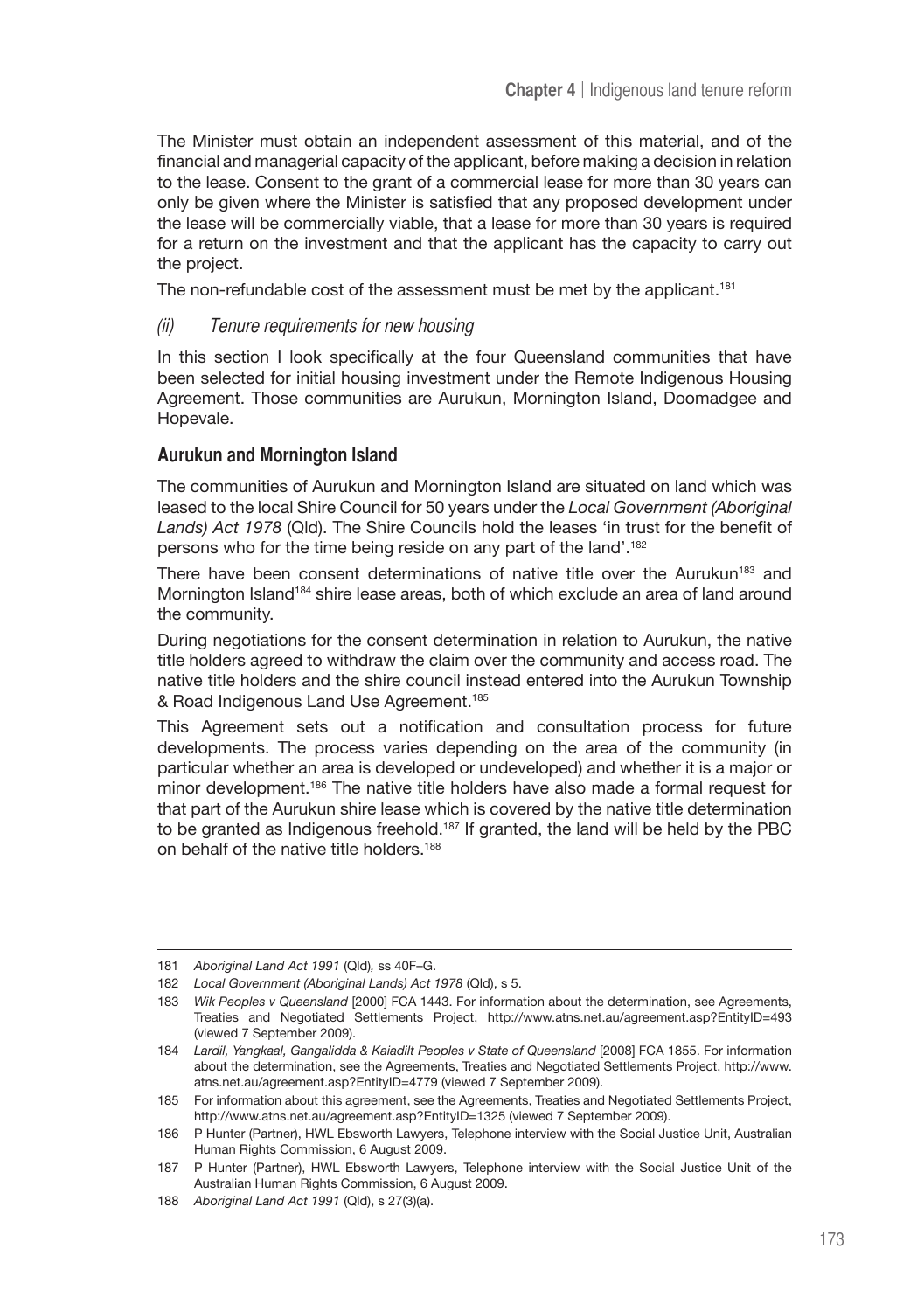The Minister must obtain an independent assessment of this material, and of the financial and managerial capacity of the applicant, before making a decision in relation to the lease. Consent to the grant of a commercial lease for more than 30 years can only be given where the Minister is satisfied that any proposed development under the lease will be commercially viable, that a lease for more than 30 years is required for a return on the investment and that the applicant has the capacity to carry out the project.

The non-refundable cost of the assessment must be met by the applicant.<sup>181</sup>

(ii) Tenure requirements for new housing

In this section I look specifically at the four Queensland communities that have been selected for initial housing investment under the Remote Indigenous Housing Agreement. Those communities are Aurukun, Mornington Island, Doomadgee and Hopevale.

#### **Aurukun and Mornington Island**

The communities of Aurukun and Mornington Island are situated on land which was leased to the local Shire Council for 50 years under the *Local Government (Aboriginal Lands) Act 1978* (Qld). The Shire Councils hold the leases 'in trust for the benefit of persons who for the time being reside on any part of the land'.182

There have been consent determinations of native title over the Aurukun<sup>183</sup> and Mornington Island<sup>184</sup> shire lease areas, both of which exclude an area of land around the community.

During negotiations for the consent determination in relation to Aurukun, the native title holders agreed to withdraw the claim over the community and access road. The native title holders and the shire council instead entered into the Aurukun Township & Road Indigenous Land Use Agreement.185

This Agreement sets out a notification and consultation process for future developments. The process varies depending on the area of the community (in particular whether an area is developed or undeveloped) and whether it is a major or minor development.186 The native title holders have also made a formal request for that part of the Aurukun shire lease which is covered by the native title determination to be granted as Indigenous freehold.<sup>187</sup> If granted, the land will be held by the PBC on behalf of the native title holders.<sup>188</sup>

<sup>181</sup> *Aboriginal Land Act 1991* (Qld)*,* ss 40F–G.

<sup>182</sup> *Local Government (Aboriginal Lands) Act 1978* (Qld), s 5.

<sup>183</sup> *Wik Peoples v Queensland* [2000] FCA 1443. For information about the determination, see Agreements, Treaties and Negotiated Settlements Project, http://www.atns.net.au/agreement.asp?EntityID=493 (viewed 7 September 2009).

<sup>184</sup> *Lardil, Yangkaal, Gangalidda & Kaiadilt Peoples v State of Queensland* [2008] FCA 1855. For information about the determination, see the Agreements, Treaties and Negotiated Settlements Project, http://www. atns.net.au/agreement.asp?EntityID=4779 (viewed 7 September 2009).

<sup>185</sup> For information about this agreement, see the Agreements, Treaties and Negotiated Settlements Project, http://www.atns.net.au/agreement.asp?EntityID=1325 (viewed 7 September 2009).

<sup>186</sup> P Hunter (Partner), HWL Ebsworth Lawyers, Telephone interview with the Social Justice Unit, Australian Human Rights Commission, 6 August 2009.

<sup>187</sup> P Hunter (Partner), HWL Ebsworth Lawyers, Telephone interview with the Social Justice Unit of the Australian Human Rights Commission, 6 August 2009.

<sup>188</sup> *Aboriginal Land Act 1991* (Qld), s 27(3)(a).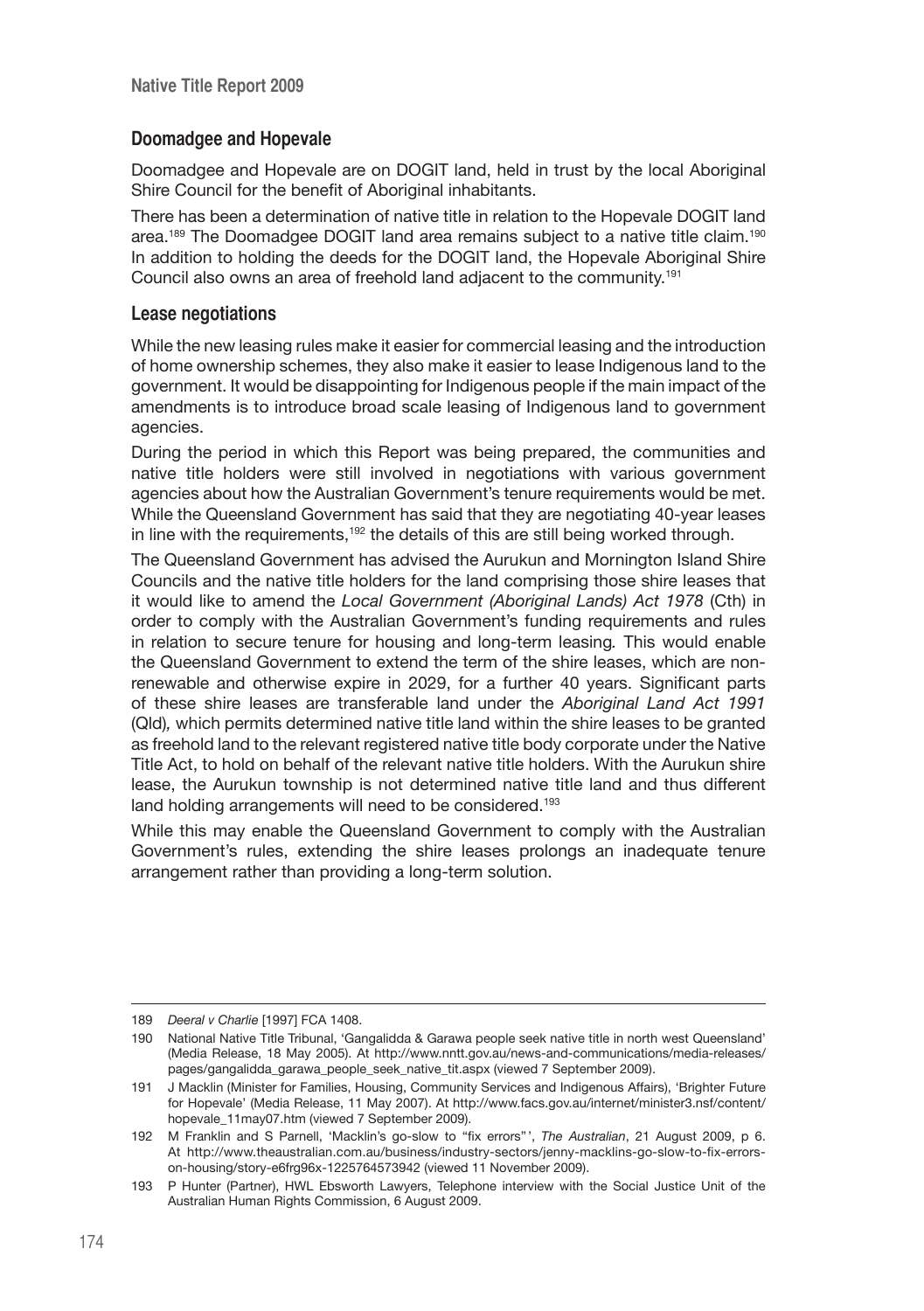# **Doomadgee and Hopevale**

Doomadgee and Hopevale are on DOGIT land, held in trust by the local Aboriginal Shire Council for the benefit of Aboriginal inhabitants.

There has been a determination of native title in relation to the Hopevale DOGIT land area.189 The Doomadgee DOGIT land area remains subject to a native title claim.190 In addition to holding the deeds for the DOGIT land, the Hopevale Aboriginal Shire Council also owns an area of freehold land adjacent to the community.191

#### **Lease negotiations**

While the new leasing rules make it easier for commercial leasing and the introduction of home ownership schemes, they also make it easier to lease Indigenous land to the government. It would be disappointing for Indigenous people if the main impact of the amendments is to introduce broad scale leasing of Indigenous land to government agencies.

During the period in which this Report was being prepared, the communities and native title holders were still involved in negotiations with various government agencies about how the Australian Government's tenure requirements would be met. While the Queensland Government has said that they are negotiating 40-year leases in line with the requirements, $192$  the details of this are still being worked through.

The Queensland Government has advised the Aurukun and Mornington Island Shire Councils and the native title holders for the land comprising those shire leases that it would like to amend the *Local Government (Aboriginal Lands) Act 1978* (Cth) in order to comply with the Australian Government's funding requirements and rules in relation to secure tenure for housing and long-term leasing*.* This would enable the Queensland Government to extend the term of the shire leases, which are nonrenewable and otherwise expire in 2029, for a further 40 years. Significant parts of these shire leases are transferable land under the *Aboriginal Land Act 1991*  (Qld)*,* which permits determined native title land within the shire leases to be granted as freehold land to the relevant registered native title body corporate under the Native Title Act, to hold on behalf of the relevant native title holders. With the Aurukun shire lease, the Aurukun township is not determined native title land and thus different land holding arrangements will need to be considered.<sup>193</sup>

While this may enable the Queensland Government to comply with the Australian Government's rules, extending the shire leases prolongs an inadequate tenure arrangement rather than providing a long-term solution.

<sup>189</sup> *Deeral v Charlie* [1997] FCA 1408.

<sup>190</sup> National Native Title Tribunal, 'Gangalidda & Garawa people seek native title in north west Queensland' (Media Release, 18 May 2005). At http://www.nntt.gov.au/news-and-communications/media-releases/ pages/gangalidda\_garawa\_people\_seek\_native\_tit.aspx (viewed 7 September 2009).

<sup>191</sup> J Macklin (Minister for Families, Housing, Community Services and Indigenous Affairs), 'Brighter Future for Hopevale' (Media Release, 11 May 2007). At http://www.facs.gov.au/internet/minister3.nsf/content/ hopevale\_11may07.htm (viewed 7 September 2009).

<sup>192</sup> M Franklin and S Parnell, 'Macklin's go-slow to "fix errors" ', *The Australian*, 21 August 2009, p 6. At http://www.theaustralian.com.au/business/industry-sectors/jenny-macklins-go-slow-to-fix-errorson-housing/story-e6frg96x-1225764573942 (viewed 11 November 2009).

<sup>193</sup> P Hunter (Partner), HWL Ebsworth Lawyers, Telephone interview with the Social Justice Unit of the Australian Human Rights Commission, 6 August 2009.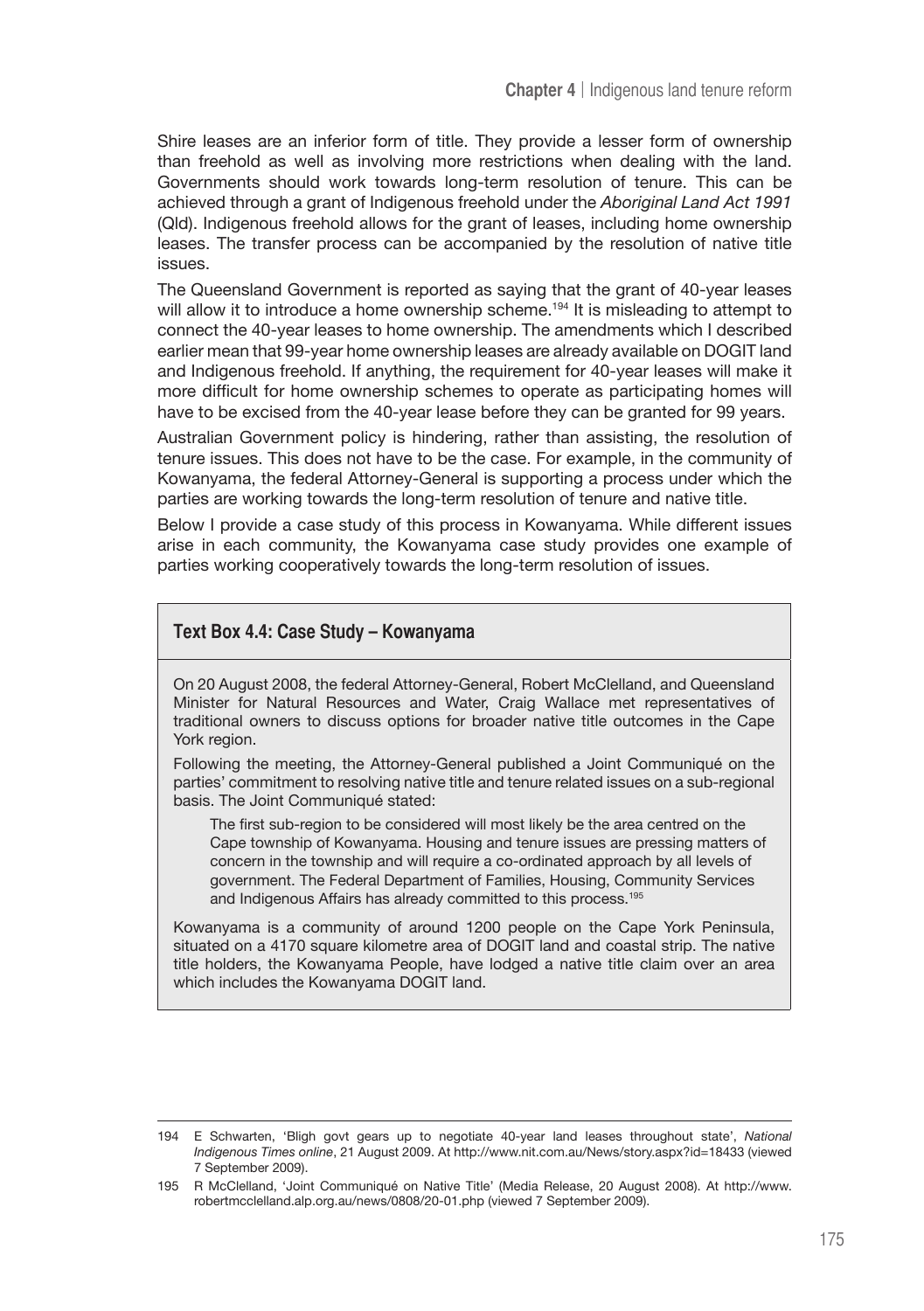Shire leases are an inferior form of title. They provide a lesser form of ownership than freehold as well as involving more restrictions when dealing with the land. Governments should work towards long-term resolution of tenure. This can be achieved through a grant of Indigenous freehold under the *Aboriginal Land Act 1991*  (Qld). Indigenous freehold allows for the grant of leases, including home ownership leases. The transfer process can be accompanied by the resolution of native title issues.

The Queensland Government is reported as saying that the grant of 40-year leases will allow it to introduce a home ownership scheme.<sup>194</sup> It is misleading to attempt to connect the 40-year leases to home ownership. The amendments which I described earlier mean that 99-year home ownership leases are already available on DOGIT land and Indigenous freehold. If anything, the requirement for 40-year leases will make it more difficult for home ownership schemes to operate as participating homes will have to be excised from the 40-year lease before they can be granted for 99 years.

Australian Government policy is hindering, rather than assisting, the resolution of tenure issues. This does not have to be the case. For example, in the community of Kowanyama, the federal Attorney-General is supporting a process under which the parties are working towards the long-term resolution of tenure and native title.

Below I provide a case study of this process in Kowanyama. While different issues arise in each community, the Kowanyama case study provides one example of parties working cooperatively towards the long-term resolution of issues.

#### **Text Box 4.4: Case Study – Kowanyama**

On 20 August 2008, the federal Attorney-General, Robert McClelland, and Queensland Minister for Natural Resources and Water, Craig Wallace met representatives of traditional owners to discuss options for broader native title outcomes in the Cape York region.

Following the meeting, the Attorney-General published a Joint Communiqué on the parties' commitment to resolving native title and tenure related issues on a sub-regional basis. The Joint Communiqué stated:

The first sub-region to be considered will most likely be the area centred on the Cape township of Kowanyama. Housing and tenure issues are pressing matters of concern in the township and will require a co-ordinated approach by all levels of government. The Federal Department of Families, Housing, Community Services and Indigenous Affairs has already committed to this process.195

Kowanyama is a community of around 1200 people on the Cape York Peninsula, situated on a 4170 square kilometre area of DOGIT land and coastal strip. The native title holders, the Kowanyama People, have lodged a native title claim over an area which includes the Kowanyama DOGIT land.

<sup>194</sup> E Schwarten, 'Bligh govt gears up to negotiate 40-year land leases throughout state', *National Indigenous Times online*, 21 August 2009. At http://www.nit.com.au/News/story.aspx?id=18433 (viewed 7 September 2009).

<sup>195</sup> R McClelland, 'Joint Communiqué on Native Title' (Media Release, 20 August 2008). At http://www. robertmcclelland.alp.org.au/news/0808/20-01.php (viewed 7 September 2009).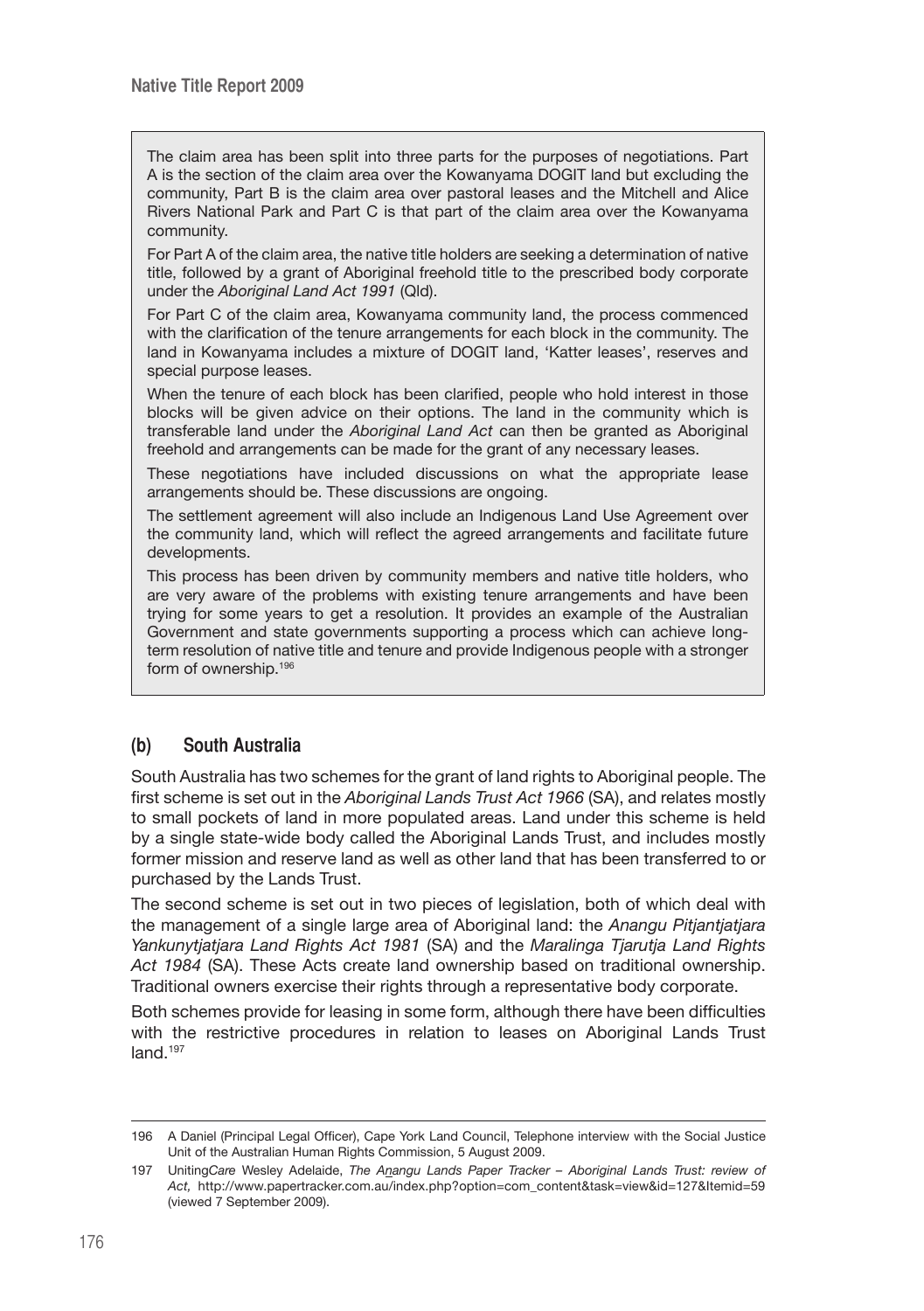The claim area has been split into three parts for the purposes of negotiations. Part A is the section of the claim area over the Kowanyama DOGIT land but excluding the community, Part B is the claim area over pastoral leases and the Mitchell and Alice Rivers National Park and Part C is that part of the claim area over the Kowanyama community.

For Part A of the claim area, the native title holders are seeking a determination of native title, followed by a grant of Aboriginal freehold title to the prescribed body corporate under the *Aboriginal Land Act 1991* (Qld).

For Part C of the claim area, Kowanyama community land, the process commenced with the clarification of the tenure arrangements for each block in the community. The land in Kowanyama includes a mixture of DOGIT land, 'Katter leases', reserves and special purpose leases.

When the tenure of each block has been clarified, people who hold interest in those blocks will be given advice on their options. The land in the community which is transferable land under the *Aboriginal Land Act* can then be granted as Aboriginal freehold and arrangements can be made for the grant of any necessary leases.

These negotiations have included discussions on what the appropriate lease arrangements should be. These discussions are ongoing.

The settlement agreement will also include an Indigenous Land Use Agreement over the community land, which will reflect the agreed arrangements and facilitate future developments.

This process has been driven by community members and native title holders, who are very aware of the problems with existing tenure arrangements and have been trying for some years to get a resolution. It provides an example of the Australian Government and state governments supporting a process which can achieve longterm resolution of native title and tenure and provide Indigenous people with a stronger form of ownership.196

### **(b) South Australia**

South Australia has two schemes for the grant of land rights to Aboriginal people. The first scheme is set out in the *Aboriginal Lands Trust Act 1966* (SA), and relates mostly to small pockets of land in more populated areas. Land under this scheme is held by a single state-wide body called the Aboriginal Lands Trust, and includes mostly former mission and reserve land as well as other land that has been transferred to or purchased by the Lands Trust.

The second scheme is set out in two pieces of legislation, both of which deal with the management of a single large area of Aboriginal land: the *Anangu Pitjantjatjara Yankunytjatjara Land Rights Act 1981* (SA) and the *Maralinga Tjarutja Land Rights Act 1984* (SA). These Acts create land ownership based on traditional ownership. Traditional owners exercise their rights through a representative body corporate.

Both schemes provide for leasing in some form, although there have been difficulties with the restrictive procedures in relation to leases on Aboriginal Lands Trust land.<sup>197</sup>

<sup>196</sup> A Daniel (Principal Legal Officer), Cape York Land Council, Telephone interview with the Social Justice Unit of the Australian Human Rights Commission, 5 August 2009.

<sup>197</sup> Uniting*Care* Wesley Adelaide, *The Anangu Lands Paper Tracker – Aboriginal Lands Trust: review of Act,* http://www.papertracker.com.au/index.php?option=com\_content&task=view&id=127&Itemid=59 (viewed 7 September 2009).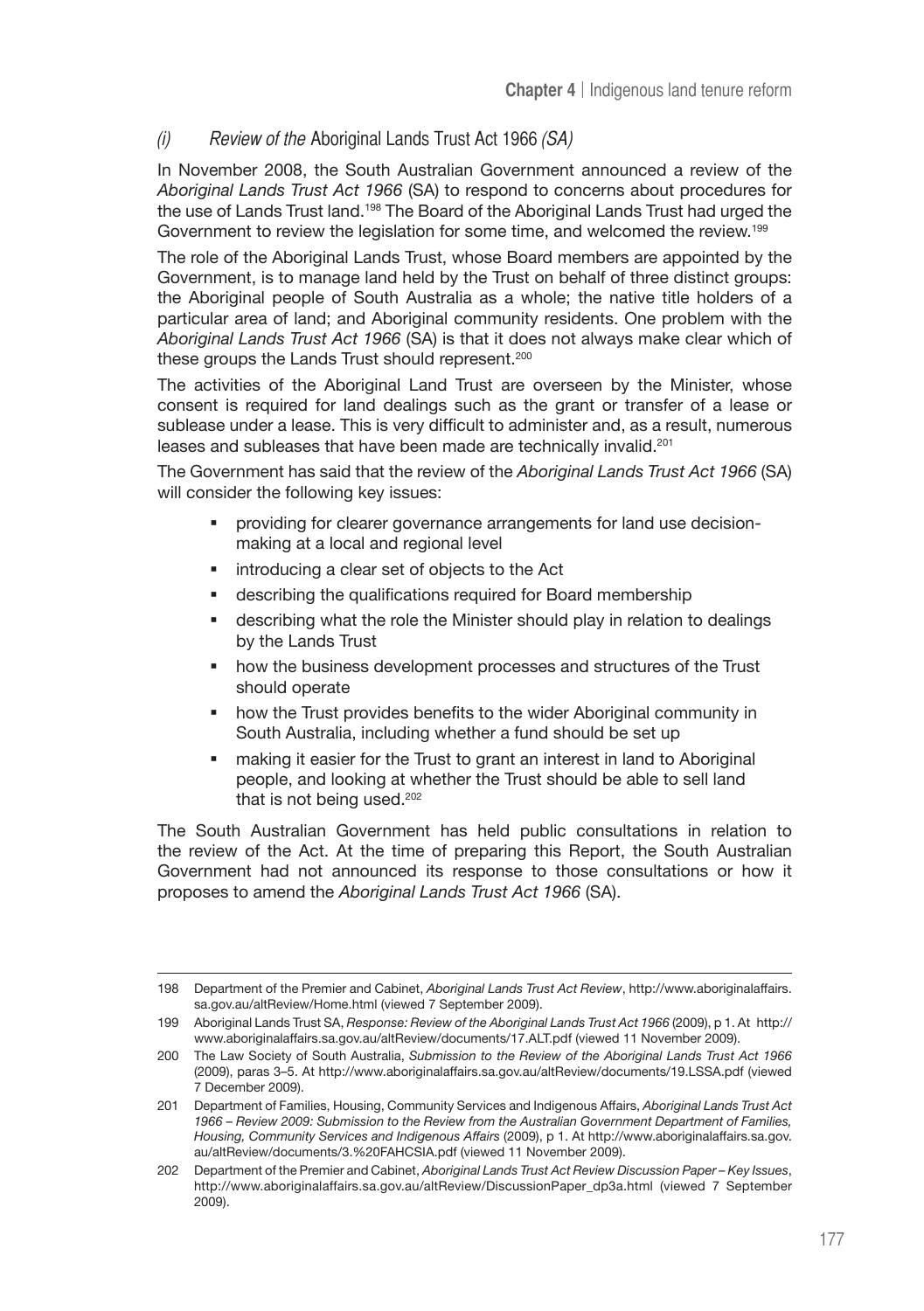# (i) Review of the Aboriginal Lands Trust Act 1966 (SA)

In November 2008, the South Australian Government announced a review of the *Aboriginal Lands Trust Act 1966* (SA) to respond to concerns about procedures for the use of Lands Trust land.198 The Board of the Aboriginal Lands Trust had urged the Government to review the legislation for some time, and welcomed the review.199

The role of the Aboriginal Lands Trust, whose Board members are appointed by the Government, is to manage land held by the Trust on behalf of three distinct groups: the Aboriginal people of South Australia as a whole; the native title holders of a particular area of land; and Aboriginal community residents. One problem with the *Aboriginal Lands Trust Act 1966* (SA) is that it does not always make clear which of these groups the Lands Trust should represent.<sup>200</sup>

The activities of the Aboriginal Land Trust are overseen by the Minister, whose consent is required for land dealings such as the grant or transfer of a lease or sublease under a lease. This is very difficult to administer and, as a result, numerous leases and subleases that have been made are technically invalid.201

The Government has said that the review of the *Aboriginal Lands Trust Act 1966* (SA) will consider the following key issues:

- providing for clearer governance arrangements for land use decisionmaking at a local and regional level
- **introducing a clear set of objects to the Act**
- describing the qualifications required for Board membership
- describing what the role the Minister should play in relation to dealings by the Lands Trust
- how the business development processes and structures of the Trust should operate
- **•** how the Trust provides benefits to the wider Aboriginal community in South Australia, including whether a fund should be set up
- making it easier for the Trust to grant an interest in land to Aboriginal people, and looking at whether the Trust should be able to sell land that is not being used.<sup>202</sup>

The South Australian Government has held public consultations in relation to the review of the Act. At the time of preparing this Report, the South Australian Government had not announced its response to those consultations or how it proposes to amend the *Aboriginal Lands Trust Act 1966* (SA).

<sup>198</sup> Department of the Premier and Cabinet, *Aboriginal Lands Trust Act Review*, http://www.aboriginalaffairs. sa.gov.au/altReview/Home.html (viewed 7 September 2009).

<sup>199</sup> Aboriginal Lands Trust SA, *Response: Review of the Aboriginal Lands Trust Act 1966* (2009), p 1. At http:// www.aboriginalaffairs.sa.gov.au/altReview/documents/17.ALT.pdf (viewed 11 November 2009).

<sup>200</sup> The Law Society of South Australia, *Submission to the Review of the Aboriginal Lands Trust Act 1966* (2009), paras 3–5. At http://www.aboriginalaffairs.sa.gov.au/altReview/documents/19.LSSA.pdf (viewed 7 December 2009).

<sup>201</sup> Department of Families, Housing, Community Services and Indigenous Affairs, *Aboriginal Lands Trust Act 1966 – Review 2009: Submission to the Review from the Australian Government Department of Families, Housing, Community Services and Indigenous Affairs* (2009), p 1. At http://www.aboriginalaffairs.sa.gov. au/altReview/documents/3.%20FAHCSIA.pdf (viewed 11 November 2009).

<sup>202</sup> Department of the Premier and Cabinet, *Aboriginal Lands Trust Act Review Discussion Paper – Key Issues*, http://www.aboriginalaffairs.sa.gov.au/altReview/DiscussionPaper\_dp3a.html (viewed 7 September 2009).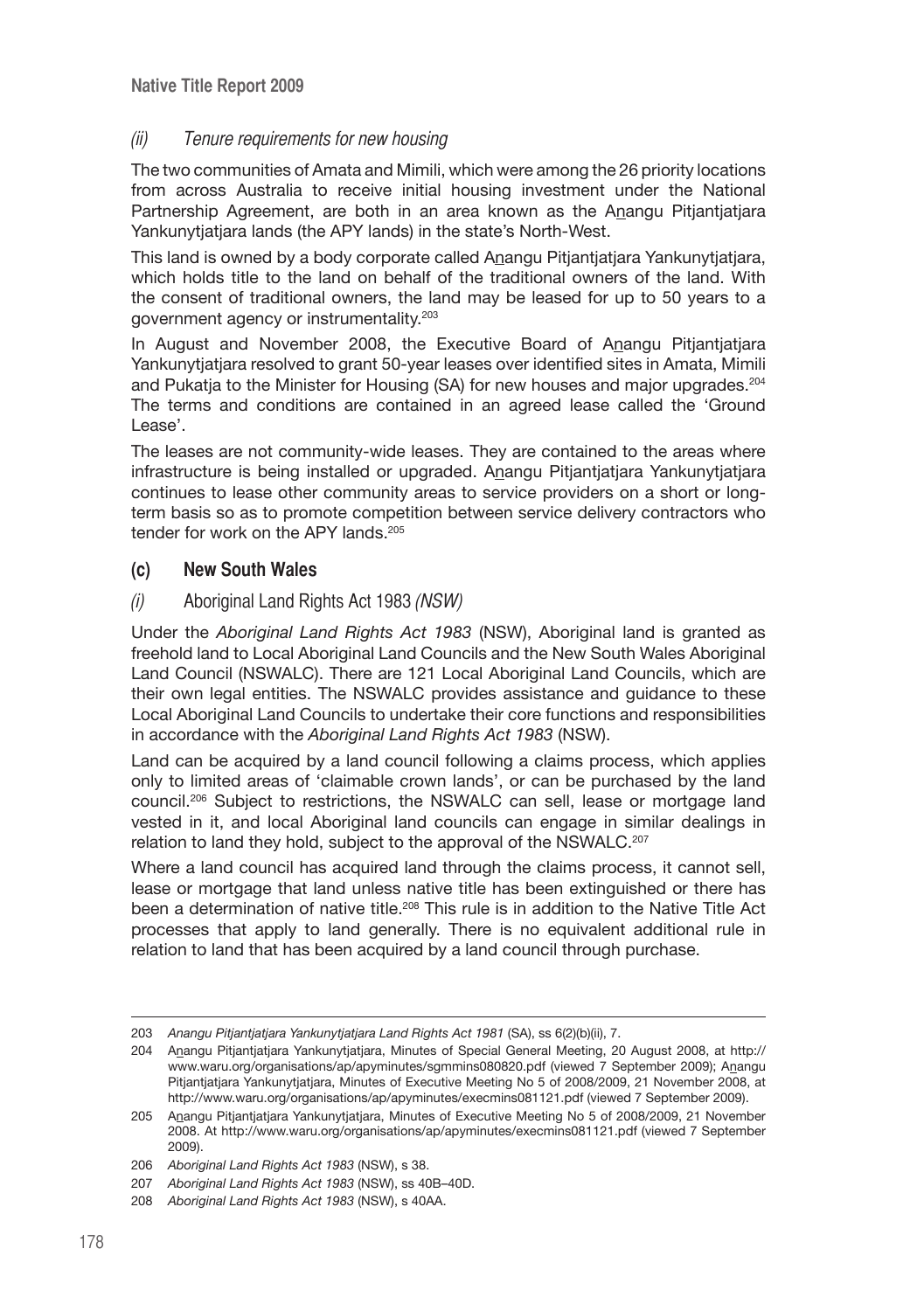# (ii) Tenure requirements for new housing

The two communities of Amata and Mimili, which were among the 26 priority locations from across Australia to receive initial housing investment under the National Partnership Agreement, are both in an area known as the Anangu Pitjantjatjara Yankunytjatjara lands (the APY lands) in the state's North-West.

This land is owned by a body corporate called Anangu Pitjantjatjara Yankunytjatjara, which holds title to the land on behalf of the traditional owners of the land. With the consent of traditional owners, the land may be leased for up to 50 years to a government agency or instrumentality.<sup>203</sup>

In August and November 2008, the Executive Board of Anangu Pitjantjatjara Yankunytjatjara resolved to grant 50-year leases over identified sites in Amata, Mimili and Pukatia to the Minister for Housing (SA) for new houses and major upgrades.<sup>204</sup> The terms and conditions are contained in an agreed lease called the 'Ground Lease'.

The leases are not community-wide leases. They are contained to the areas where infrastructure is being installed or upgraded. Anangu Pitjantjatjara Yankunytjatjara continues to lease other community areas to service providers on a short or longterm basis so as to promote competition between service delivery contractors who tender for work on the APY lands.<sup>205</sup>

# **(c) New South Wales**

### (i) Aboriginal Land Rights Act 1983 (NSW)

Under the *Aboriginal Land Rights Act 1983* (NSW), Aboriginal land is granted as freehold land to Local Aboriginal Land Councils and the New South Wales Aboriginal Land Council (NSWALC). There are 121 Local Aboriginal Land Councils, which are their own legal entities. The NSWALC provides assistance and guidance to these Local Aboriginal Land Councils to undertake their core functions and responsibilities in accordance with the *Aboriginal Land Rights Act 1983* (NSW).

Land can be acquired by a land council following a claims process, which applies only to limited areas of 'claimable crown lands', or can be purchased by the land council.206 Subject to restrictions, the NSWALC can sell, lease or mortgage land vested in it, and local Aboriginal land councils can engage in similar dealings in relation to land they hold, subject to the approval of the NSWALC.<sup>207</sup>

Where a land council has acquired land through the claims process, it cannot sell, lease or mortgage that land unless native title has been extinguished or there has been a determination of native title.<sup>208</sup> This rule is in addition to the Native Title Act processes that apply to land generally. There is no equivalent additional rule in relation to land that has been acquired by a land council through purchase.

<sup>203</sup> *Anangu Pitjantjatjara Yankunytjatjara Land Rights Act 1981* (SA), ss 6(2)(b)(ii), 7.

<sup>204</sup> Anangu Pitjantjatjara Yankunytjatjara, Minutes of Special General Meeting, 20 August 2008, at http:// www.waru.org/organisations/ap/apyminutes/sgmmins080820.pdf (viewed 7 September 2009); Anangu Pitjantjatjara Yankunytjatjara, Minutes of Executive Meeting No 5 of 2008/2009, 21 November 2008, at http://www.waru.org/organisations/ap/apyminutes/execmins081121.pdf (viewed 7 September 2009).

<sup>205</sup> Anangu Pitjantjatjara Yankunytjatjara, Minutes of Executive Meeting No 5 of 2008/2009, 21 November 2008. At http://www.waru.org/organisations/ap/apyminutes/execmins081121.pdf (viewed 7 September 2009).

<sup>206</sup> *Aboriginal Land Rights Act 1983* (NSW), s 38.

<sup>207</sup> *Aboriginal Land Rights Act 1983* (NSW), ss 40B–40D.

<sup>208</sup> *Aboriginal Land Rights Act 1983* (NSW), s 40AA.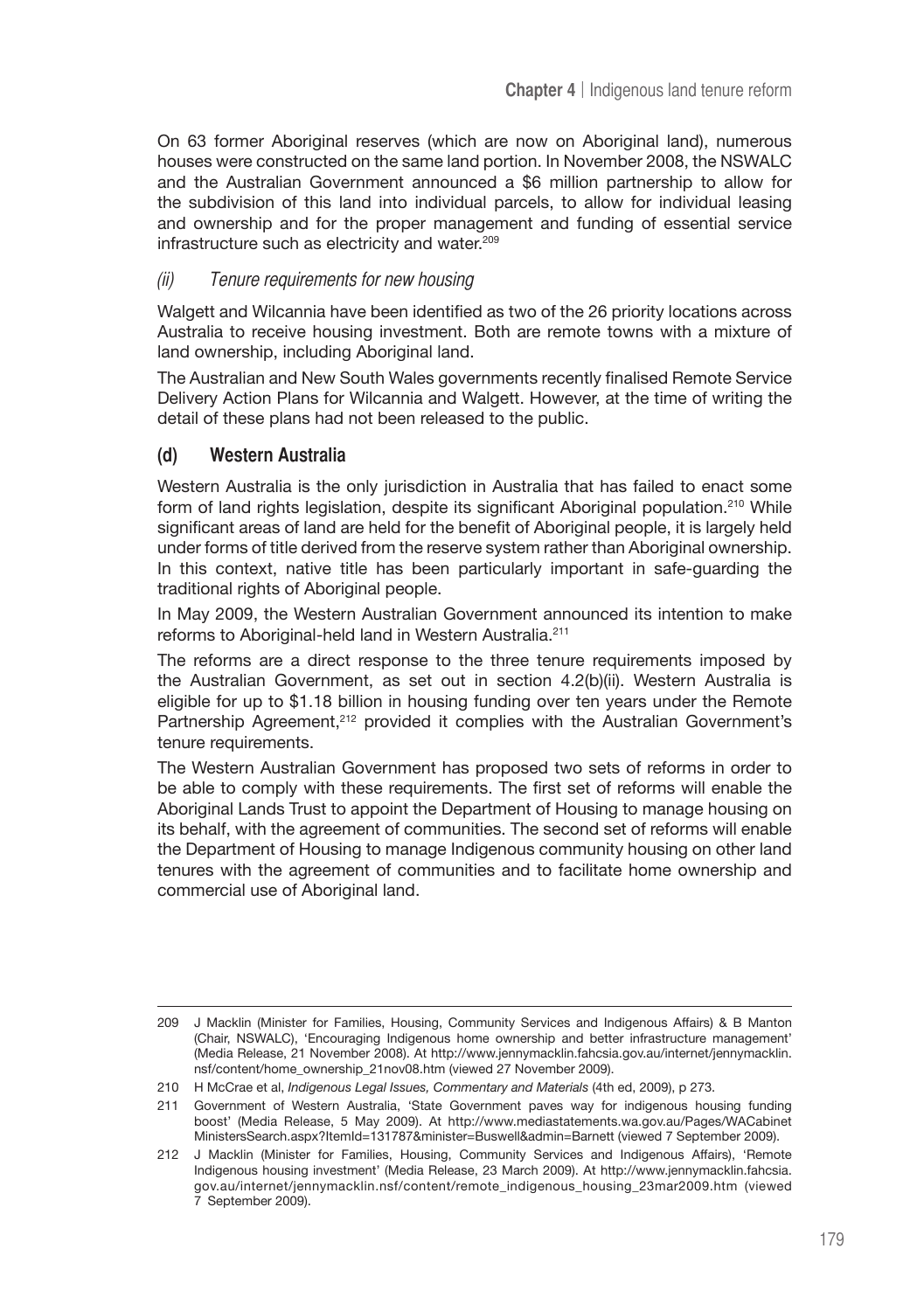On 63 former Aboriginal reserves (which are now on Aboriginal land), numerous houses were constructed on the same land portion. In November 2008, the NSWALC and the Australian Government announced a \$6 million partnership to allow for the subdivision of this land into individual parcels, to allow for individual leasing and ownership and for the proper management and funding of essential service infrastructure such as electricity and water.<sup>209</sup>

#### (ii) Tenure requirements for new housing

Walgett and Wilcannia have been identified as two of the 26 priority locations across Australia to receive housing investment. Both are remote towns with a mixture of land ownership, including Aboriginal land.

The Australian and New South Wales governments recently finalised Remote Service Delivery Action Plans for Wilcannia and Walgett. However, at the time of writing the detail of these plans had not been released to the public.

### **(d) Western Australia**

Western Australia is the only jurisdiction in Australia that has failed to enact some form of land rights legislation, despite its significant Aboriginal population.<sup>210</sup> While significant areas of land are held for the benefit of Aboriginal people, it is largely held under forms of title derived from the reserve system rather than Aboriginal ownership. In this context, native title has been particularly important in safe-guarding the traditional rights of Aboriginal people.

In May 2009, the Western Australian Government announced its intention to make reforms to Aboriginal-held land in Western Australia.211

The reforms are a direct response to the three tenure requirements imposed by the Australian Government, as set out in section 4.2(b)(ii). Western Australia is eligible for up to \$1.18 billion in housing funding over ten years under the Remote Partnership Agreement,<sup>212</sup> provided it complies with the Australian Government's tenure requirements.

The Western Australian Government has proposed two sets of reforms in order to be able to comply with these requirements. The first set of reforms will enable the Aboriginal Lands Trust to appoint the Department of Housing to manage housing on its behalf, with the agreement of communities. The second set of reforms will enable the Department of Housing to manage Indigenous community housing on other land tenures with the agreement of communities and to facilitate home ownership and commercial use of Aboriginal land.

<sup>209</sup> J Macklin (Minister for Families, Housing, Community Services and Indigenous Affairs) & B Manton (Chair, NSWALC), 'Encouraging Indigenous home ownership and better infrastructure management' (Media Release, 21 November 2008). At http://www.jennymacklin.fahcsia.gov.au/internet/jennymacklin. nsf/content/home\_ownership\_21nov08.htm (viewed 27 November 2009).

<sup>210</sup> H McCrae et al, *Indigenous Legal Issues, Commentary and Materials* (4th ed, 2009), p 273.

<sup>211</sup> Government of Western Australia, 'State Government paves way for indigenous housing funding boost' (Media Release, 5 May 2009). At http://www.mediastatements.wa.gov.au/Pages/WACabinet MinistersSearch.aspx?ItemId=131787&minister=Buswell&admin=Barnett (viewed 7 September 2009).

<sup>212</sup> J Macklin (Minister for Families, Housing, Community Services and Indigenous Affairs), 'Remote Indigenous housing investment' (Media Release, 23 March 2009). At http://www.jennymacklin.fahcsia. gov.au/internet/jennymacklin.nsf/content/remote\_indigenous\_housing\_23mar2009.htm (viewed 7 September 2009).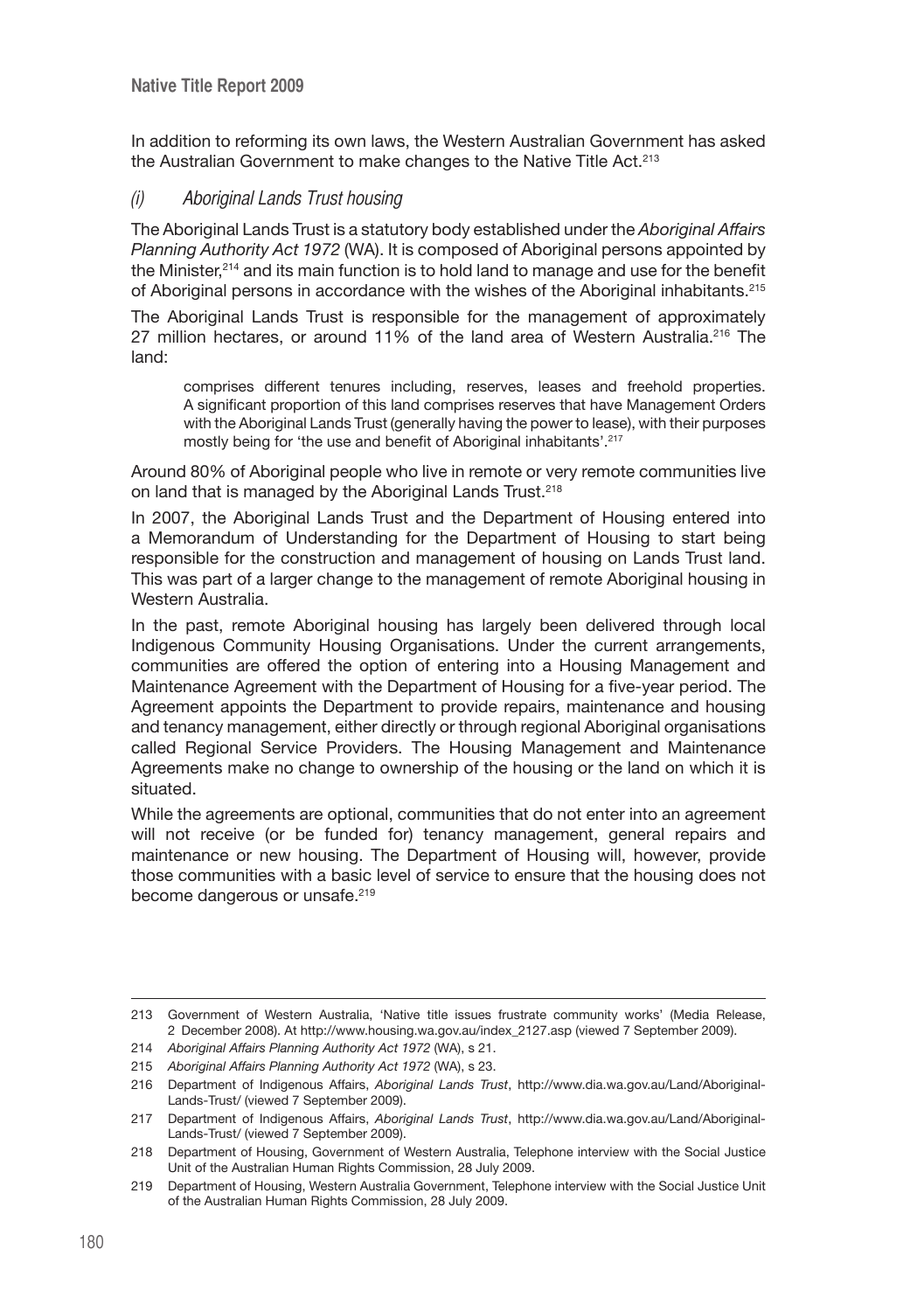In addition to reforming its own laws, the Western Australian Government has asked the Australian Government to make changes to the Native Title Act.<sup>213</sup>

# (i) Aboriginal Lands Trust housing

The Aboriginal Lands Trust is a statutory body established under the *Aboriginal Affairs Planning Authority Act 1972* (WA). It is composed of Aboriginal persons appointed by the Minister,214 and its main function is to hold land to manage and use for the benefit of Aboriginal persons in accordance with the wishes of the Aboriginal inhabitants.215

The Aboriginal Lands Trust is responsible for the management of approximately 27 million hectares, or around 11% of the land area of Western Australia.216 The land:

comprises different tenures including, reserves, leases and freehold properties. A significant proportion of this land comprises reserves that have Management Orders with the Aboriginal Lands Trust (generally having the power to lease), with their purposes mostly being for 'the use and benefit of Aboriginal inhabitants'. 217

Around 80% of Aboriginal people who live in remote or very remote communities live on land that is managed by the Aboriginal Lands Trust.<sup>218</sup>

In 2007, the Aboriginal Lands Trust and the Department of Housing entered into a Memorandum of Understanding for the Department of Housing to start being responsible for the construction and management of housing on Lands Trust land. This was part of a larger change to the management of remote Aboriginal housing in Western Australia.

In the past, remote Aboriginal housing has largely been delivered through local Indigenous Community Housing Organisations. Under the current arrangements, communities are offered the option of entering into a Housing Management and Maintenance Agreement with the Department of Housing for a five-year period. The Agreement appoints the Department to provide repairs, maintenance and housing and tenancy management, either directly or through regional Aboriginal organisations called Regional Service Providers. The Housing Management and Maintenance Agreements make no change to ownership of the housing or the land on which it is situated.

While the agreements are optional, communities that do not enter into an agreement will not receive (or be funded for) tenancy management, general repairs and maintenance or new housing. The Department of Housing will, however, provide those communities with a basic level of service to ensure that the housing does not become dangerous or unsafe.<sup>219</sup>

<sup>213</sup> Government of Western Australia, 'Native title issues frustrate community works' (Media Release, 2 December 2008). At http://www.housing.wa.gov.au/index\_2127.asp (viewed 7 September 2009).

<sup>214</sup> *Aboriginal Affairs Planning Authority Act 1972* (WA), s 21.

<sup>215</sup> *Aboriginal Affairs Planning Authority Act 1972* (WA), s 23.

<sup>216</sup> Department of Indigenous Affairs, *Aboriginal Lands Trust*, http://www.dia.wa.gov.au/Land/Aboriginal-Lands-Trust/ (viewed 7 September 2009).

<sup>217</sup> Department of Indigenous Affairs, *Aboriginal Lands Trust*, http://www.dia.wa.gov.au/Land/Aboriginal-Lands-Trust/ (viewed 7 September 2009).

<sup>218</sup> Department of Housing, Government of Western Australia, Telephone interview with the Social Justice Unit of the Australian Human Rights Commission, 28 July 2009.

<sup>219</sup> Department of Housing, Western Australia Government, Telephone interview with the Social Justice Unit of the Australian Human Rights Commission, 28 July 2009.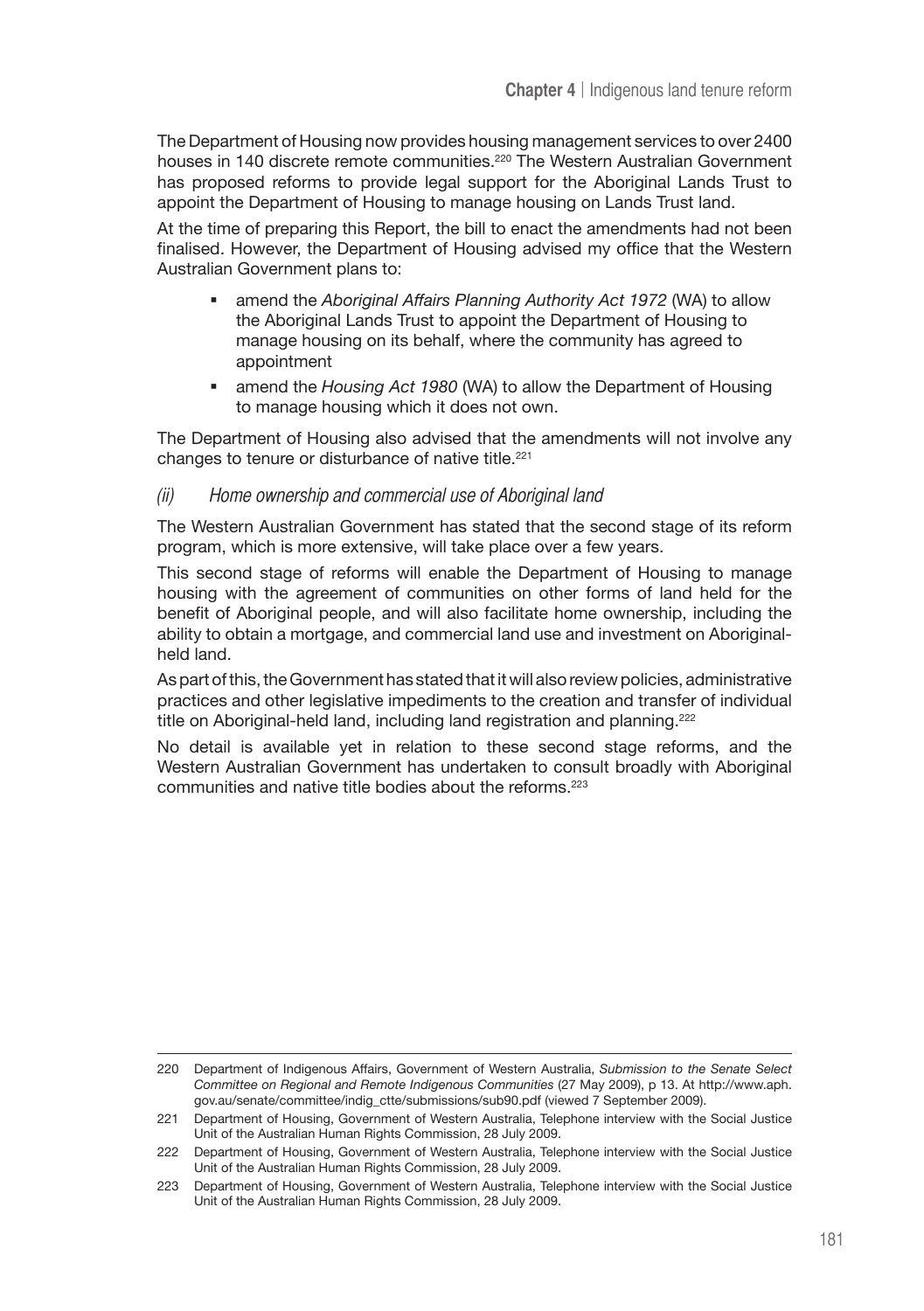The Department of Housing now provides housing management services to over 2400 houses in 140 discrete remote communities.<sup>220</sup> The Western Australian Government has proposed reforms to provide legal support for the Aboriginal Lands Trust to appoint the Department of Housing to manage housing on Lands Trust land.

At the time of preparing this Report, the bill to enact the amendments had not been finalised. However, the Department of Housing advised my office that the Western Australian Government plans to:

- amend the *Aboriginal Affairs Planning Authority Act 1972* (WA) to allow the Aboriginal Lands Trust to appoint the Department of Housing to manage housing on its behalf, where the community has agreed to appointment
- amend the *Housing Act 1980* (WA) to allow the Department of Housing to manage housing which it does not own.

The Department of Housing also advised that the amendments will not involve any changes to tenure or disturbance of native title.<sup>221</sup>

#### (ii) Home ownership and commercial use of Aboriginal land

The Western Australian Government has stated that the second stage of its reform program, which is more extensive, will take place over a few years.

This second stage of reforms will enable the Department of Housing to manage housing with the agreement of communities on other forms of land held for the benefit of Aboriginal people, and will also facilitate home ownership, including the ability to obtain a mortgage, and commercial land use and investment on Aboriginalheld land.

As part of this, the Government has stated that it will also review policies, administrative practices and other legislative impediments to the creation and transfer of individual title on Aboriginal-held land, including land registration and planning.<sup>222</sup>

No detail is available yet in relation to these second stage reforms, and the Western Australian Government has undertaken to consult broadly with Aboriginal communities and native title bodies about the reforms.223

<sup>220</sup> Department of Indigenous Affairs, Government of Western Australia, *Submission to the Senate Select Committee on Regional and Remote Indigenous Communities* (27 May 2009), p 13. At http://www.aph. gov.au/senate/committee/indig\_ctte/submissions/sub90.pdf (viewed 7 September 2009).

<sup>221</sup> Department of Housing, Government of Western Australia, Telephone interview with the Social Justice Unit of the Australian Human Rights Commission, 28 July 2009.

<sup>222</sup> Department of Housing, Government of Western Australia, Telephone interview with the Social Justice Unit of the Australian Human Rights Commission, 28 July 2009.

<sup>223</sup> Department of Housing, Government of Western Australia, Telephone interview with the Social Justice Unit of the Australian Human Rights Commission, 28 July 2009.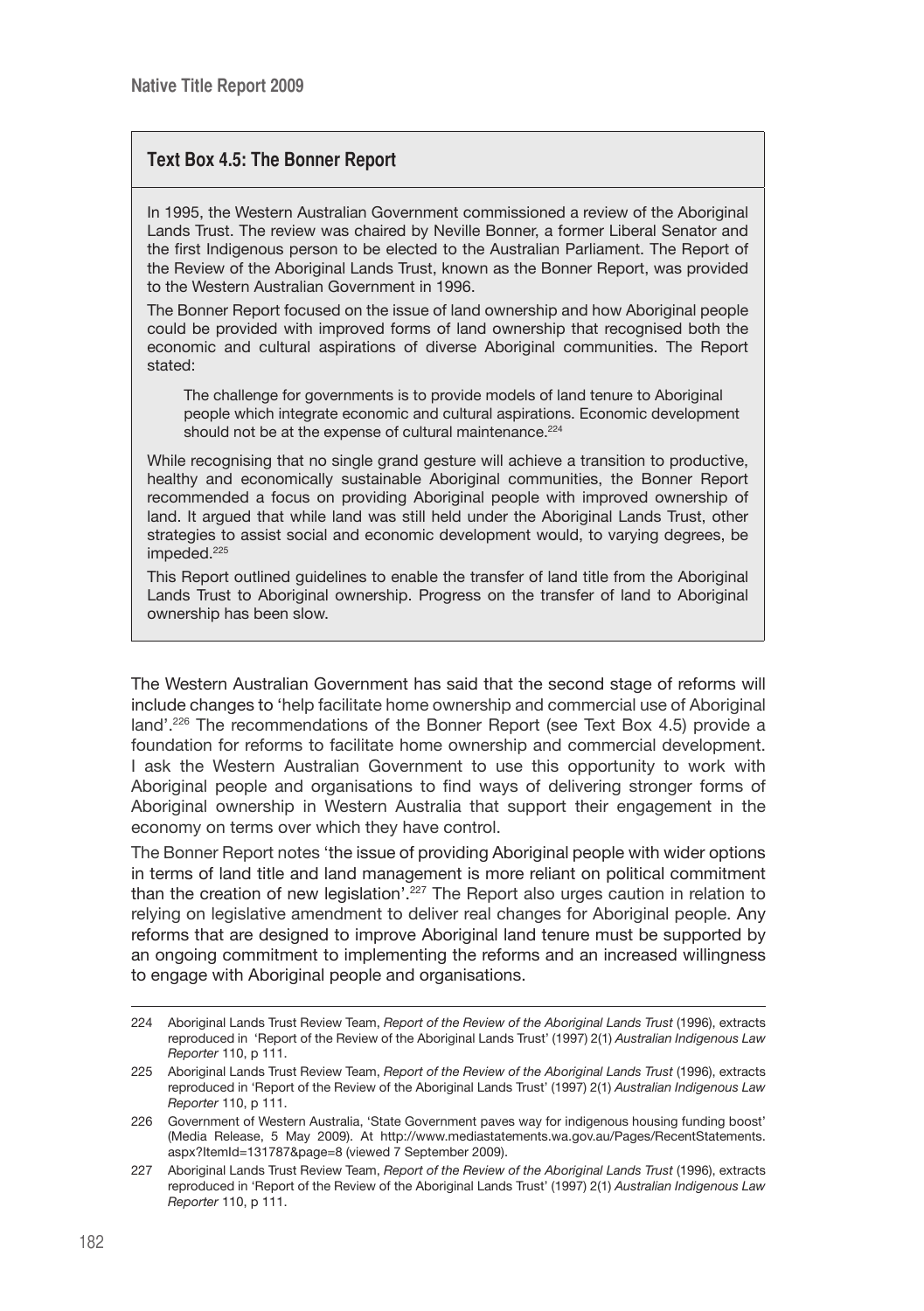# **Text Box 4.5: The Bonner Report**

In 1995, the Western Australian Government commissioned a review of the Aboriginal Lands Trust. The review was chaired by Neville Bonner, a former Liberal Senator and the first Indigenous person to be elected to the Australian Parliament. The Report of the Review of the Aboriginal Lands Trust, known as the Bonner Report, was provided to the Western Australian Government in 1996.

The Bonner Report focused on the issue of land ownership and how Aboriginal people could be provided with improved forms of land ownership that recognised both the economic and cultural aspirations of diverse Aboriginal communities. The Report stated:

The challenge for governments is to provide models of land tenure to Aboriginal people which integrate economic and cultural aspirations. Economic development should not be at the expense of cultural maintenance.<sup>224</sup>

While recognising that no single grand gesture will achieve a transition to productive, healthy and economically sustainable Aboriginal communities, the Bonner Report recommended a focus on providing Aboriginal people with improved ownership of land. It argued that while land was still held under the Aboriginal Lands Trust, other strategies to assist social and economic development would, to varying degrees, be impeded.<sup>225</sup>

This Report outlined guidelines to enable the transfer of land title from the Aboriginal Lands Trust to Aboriginal ownership. Progress on the transfer of land to Aboriginal ownership has been slow.

The Western Australian Government has said that the second stage of reforms will include changes to 'help facilitate home ownership and commercial use of Aboriginal land'.<sup>226</sup> The recommendations of the Bonner Report (see Text Box 4.5) provide a foundation for reforms to facilitate home ownership and commercial development. I ask the Western Australian Government to use this opportunity to work with Aboriginal people and organisations to find ways of delivering stronger forms of Aboriginal ownership in Western Australia that support their engagement in the economy on terms over which they have control.

The Bonner Report notes 'the issue of providing Aboriginal people with wider options in terms of land title and land management is more reliant on political commitment than the creation of new legislation<sup>'.227</sup> The Report also urges caution in relation to relying on legislative amendment to deliver real changes for Aboriginal people. Any reforms that are designed to improve Aboriginal land tenure must be supported by an ongoing commitment to implementing the reforms and an increased willingness to engage with Aboriginal people and organisations.

<sup>224</sup> Aboriginal Lands Trust Review Team, *Report of the Review of the Aboriginal Lands Trust* (1996), extracts reproduced in 'Report of the Review of the Aboriginal Lands Trust' (1997) 2(1) *Australian Indigenous Law Reporter* 110, p 111.

<sup>225</sup> Aboriginal Lands Trust Review Team, *Report of the Review of the Aboriginal Lands Trust* (1996), extracts reproduced in 'Report of the Review of the Aboriginal Lands Trust' (1997) 2(1) *Australian Indigenous Law Reporter* 110, p 111.

<sup>226</sup> Government of Western Australia, 'State Government paves way for indigenous housing funding boost' (Media Release, 5 May 2009). At http://www.mediastatements.wa.gov.au/Pages/RecentStatements. aspx?ItemId=131787&page=8 (viewed 7 September 2009).

<sup>227</sup> Aboriginal Lands Trust Review Team, *Report of the Review of the Aboriginal Lands Trust* (1996), extracts reproduced in 'Report of the Review of the Aboriginal Lands Trust' (1997) 2(1) *Australian Indigenous Law Reporter* 110, p 111.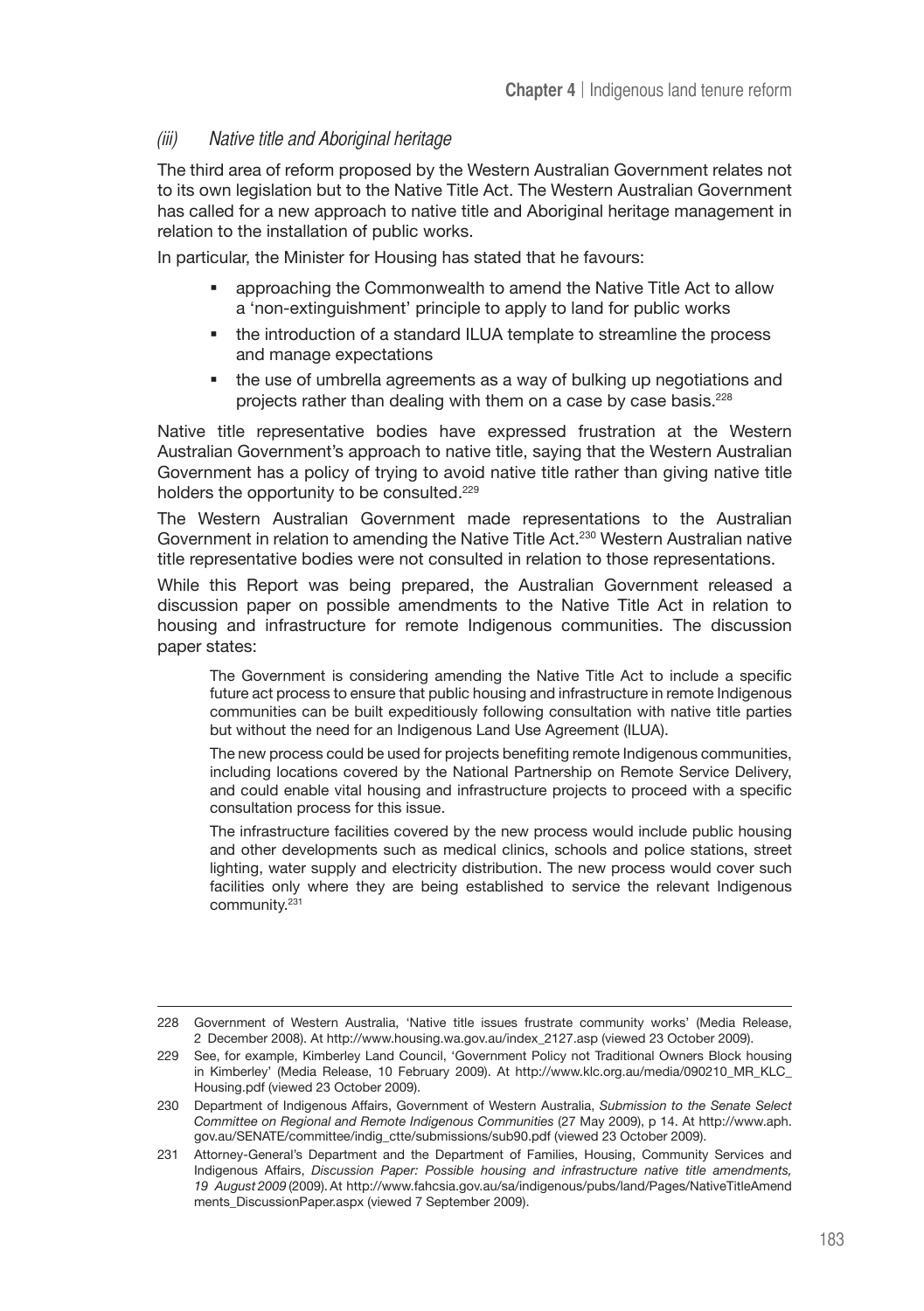# (iii) Native title and Aboriginal heritage

The third area of reform proposed by the Western Australian Government relates not to its own legislation but to the Native Title Act. The Western Australian Government has called for a new approach to native title and Aboriginal heritage management in relation to the installation of public works.

In particular, the Minister for Housing has stated that he favours:

- approaching the Commonwealth to amend the Native Title Act to allow a 'non-extinguishment' principle to apply to land for public works
- the introduction of a standard ILUA template to streamline the process and manage expectations
- the use of umbrella agreements as a way of bulking up negotiations and projects rather than dealing with them on a case by case basis.228

Native title representative bodies have expressed frustration at the Western Australian Government's approach to native title, saying that the Western Australian Government has a policy of trying to avoid native title rather than giving native title holders the opportunity to be consulted.<sup>229</sup>

The Western Australian Government made representations to the Australian Government in relation to amending the Native Title Act.<sup>230</sup> Western Australian native title representative bodies were not consulted in relation to those representations.

While this Report was being prepared, the Australian Government released a discussion paper on possible amendments to the Native Title Act in relation to housing and infrastructure for remote Indigenous communities. The discussion paper states:

The Government is considering amending the Native Title Act to include a specific future act process to ensure that public housing and infrastructure in remote Indigenous communities can be built expeditiously following consultation with native title parties but without the need for an Indigenous Land Use Agreement (ILUA).

The new process could be used for projects benefiting remote Indigenous communities, including locations covered by the National Partnership on Remote Service Delivery, and could enable vital housing and infrastructure projects to proceed with a specific consultation process for this issue.

The infrastructure facilities covered by the new process would include public housing and other developments such as medical clinics, schools and police stations, street lighting, water supply and electricity distribution. The new process would cover such facilities only where they are being established to service the relevant Indigenous community.231

<sup>228</sup> Government of Western Australia, 'Native title issues frustrate community works' (Media Release, 2 December 2008). At http://www.housing.wa.gov.au/index\_2127.asp (viewed 23 October 2009).

<sup>229</sup> See, for example, Kimberley Land Council, 'Government Policy not Traditional Owners Block housing in Kimberley' (Media Release, 10 February 2009). At http://www.klc.org.au/media/090210\_MR\_KLC\_ Housing.pdf (viewed 23 October 2009).

<sup>230</sup> Department of Indigenous Affairs, Government of Western Australia, *Submission to the Senate Select Committee on Regional and Remote Indigenous Communities* (27 May 2009), p 14. At http://www.aph. gov.au/SENATE/committee/indig\_ctte/submissions/sub90.pdf (viewed 23 October 2009).

<sup>231</sup> Attorney-General's Department and the Department of Families, Housing, Community Services and Indigenous Affairs, *Discussion Paper: Possible housing and infrastructure native title amendments, 19 August 2009* (2009). At http://www.fahcsia.gov.au/sa/indigenous/pubs/land/Pages/NativeTitleAmend ments\_DiscussionPaper.aspx (viewed 7 September 2009).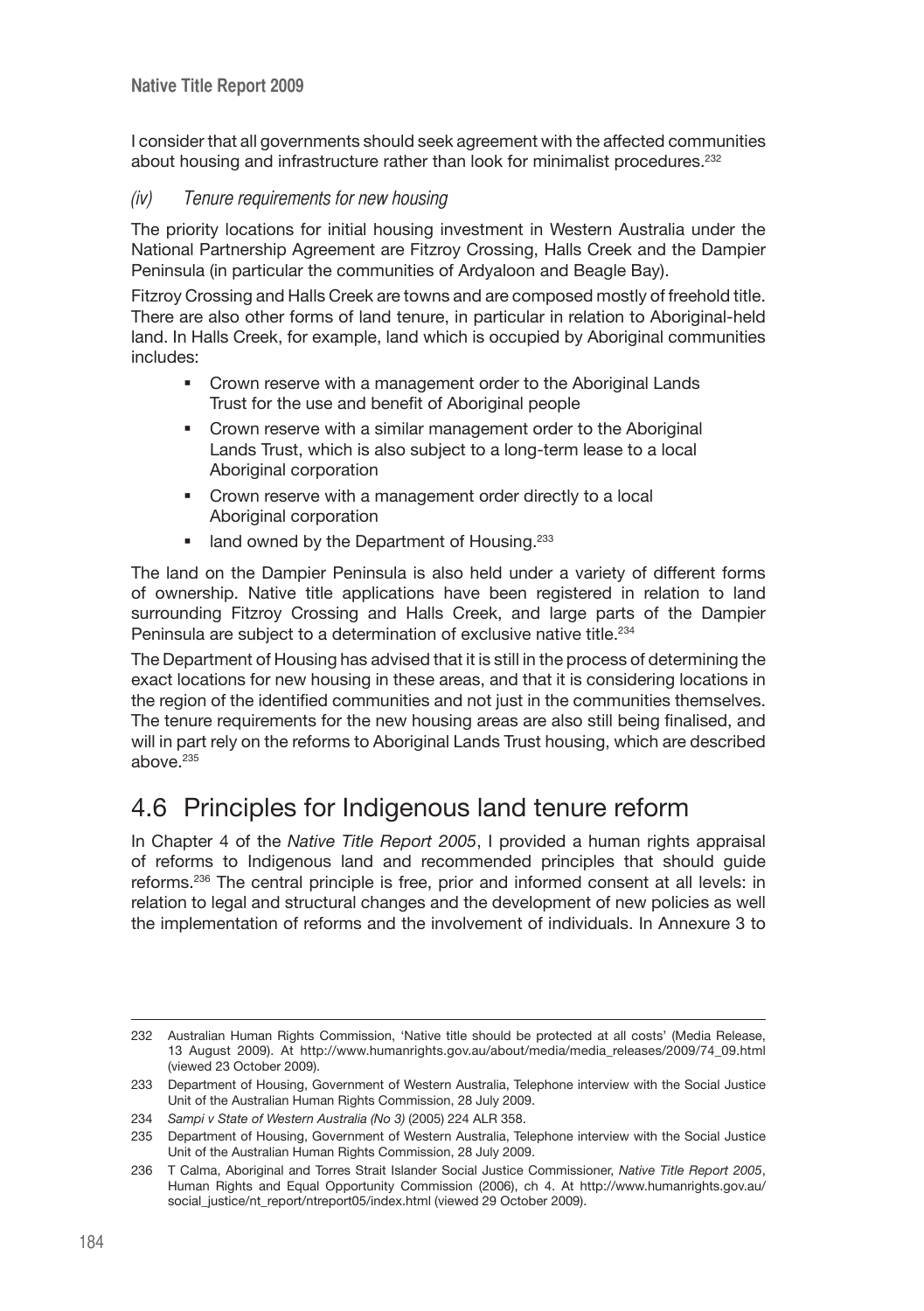I consider that all governments should seek agreement with the affected communities about housing and infrastructure rather than look for minimalist procedures.<sup>232</sup>

### (iv) Tenure requirements for new housing

The priority locations for initial housing investment in Western Australia under the National Partnership Agreement are Fitzroy Crossing, Halls Creek and the Dampier Peninsula (in particular the communities of Ardyaloon and Beagle Bay).

Fitzroy Crossing and Halls Creek are towns and are composed mostly of freehold title. There are also other forms of land tenure, in particular in relation to Aboriginal-held land. In Halls Creek, for example, land which is occupied by Aboriginal communities includes:

- Crown reserve with a management order to the Aboriginal Lands Trust for the use and benefit of Aboriginal people
- Crown reserve with a similar management order to the Aboriginal Lands Trust, which is also subject to a long-term lease to a local Aboriginal corporation
- **•** Crown reserve with a management order directly to a local Aboriginal corporation
- $\blacksquare$  land owned by the Department of Housing.<sup>233</sup>

The land on the Dampier Peninsula is also held under a variety of different forms of ownership. Native title applications have been registered in relation to land surrounding Fitzroy Crossing and Halls Creek, and large parts of the Dampier Peninsula are subject to a determination of exclusive native title.<sup>234</sup>

The Department of Housing has advised that it is still in the process of determining the exact locations for new housing in these areas, and that it is considering locations in the region of the identified communities and not just in the communities themselves. The tenure requirements for the new housing areas are also still being finalised, and will in part rely on the reforms to Aboriginal Lands Trust housing, which are described above $235$ 

# 4.6 Principles for Indigenous land tenure reform

In Chapter 4 of the *Native Title Report 2005*, I provided a human rights appraisal of reforms to Indigenous land and recommended principles that should guide reforms.236 The central principle is free, prior and informed consent at all levels: in relation to legal and structural changes and the development of new policies as well the implementation of reforms and the involvement of individuals. In Annexure 3 to

<sup>232</sup> Australian Human Rights Commission, 'Native title should be protected at all costs' (Media Release, 13 August 2009). At http://www.humanrights.gov.au/about/media/media\_releases/2009/74\_09.html (viewed 23 October 2009).

<sup>233</sup> Department of Housing, Government of Western Australia, Telephone interview with the Social Justice Unit of the Australian Human Rights Commission, 28 July 2009.

<sup>234</sup> *Sampi v State of Western Australia (No 3)* (2005) 224 ALR 358.

<sup>235</sup> Department of Housing, Government of Western Australia, Telephone interview with the Social Justice Unit of the Australian Human Rights Commission, 28 July 2009.

<sup>236</sup> T Calma, Aboriginal and Torres Strait Islander Social Justice Commissioner, *Native Title Report 2005*, Human Rights and Equal Opportunity Commission (2006), ch 4. At http://www.humanrights.gov.au/ social\_justice/nt\_report/ntreport05/index.html (viewed 29 October 2009).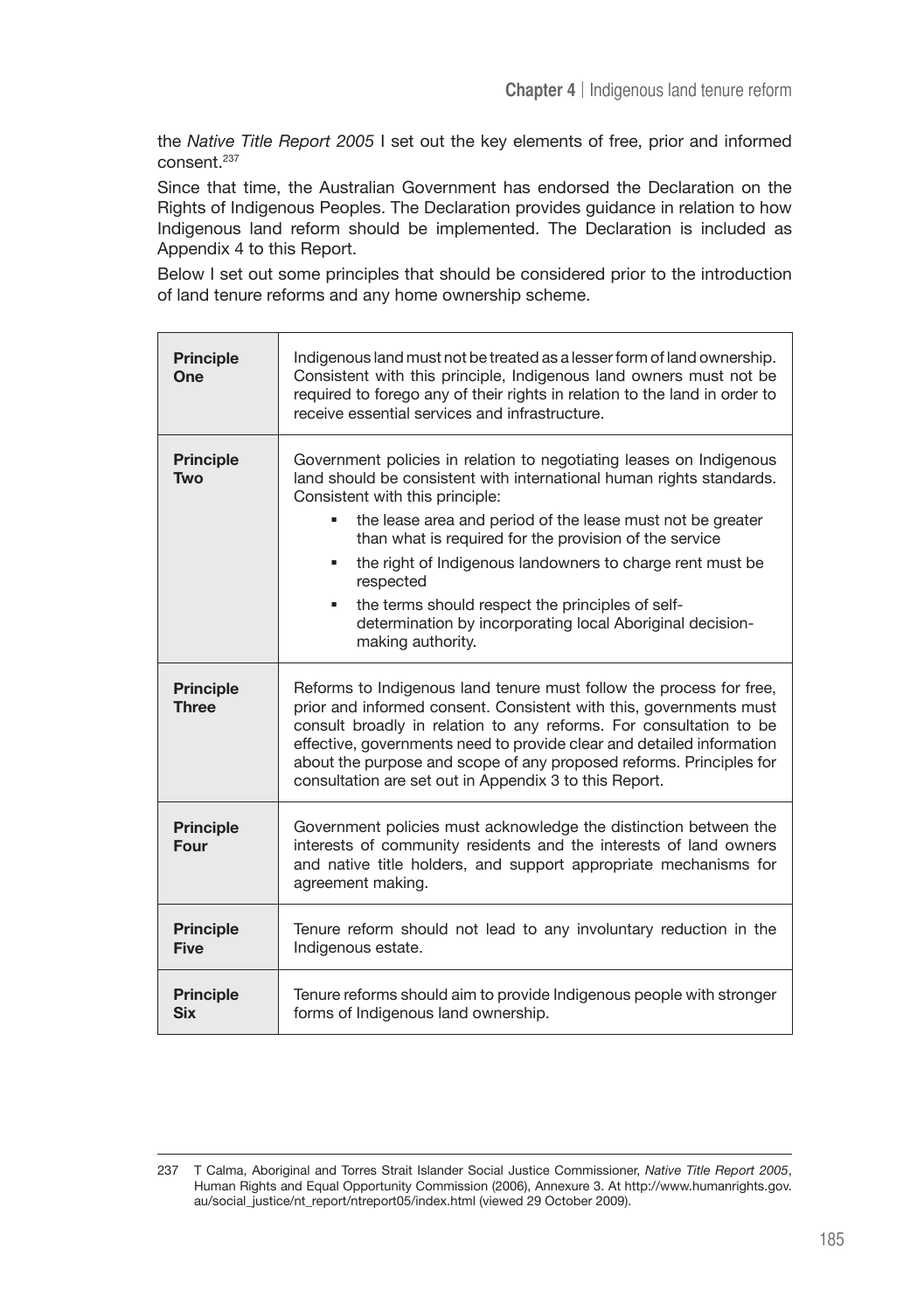the *Native Title Report 2005* I set out the key elements of free, prior and informed consent.<sup>237</sup>

Since that time, the Australian Government has endorsed the Declaration on the Rights of Indigenous Peoples. The Declaration provides guidance in relation to how Indigenous land reform should be implemented. The Declaration is included as Appendix 4 to this Report.

Below I set out some principles that should be considered prior to the introduction of land tenure reforms and any home ownership scheme.

| <b>Principle</b><br>One          | Indigenous land must not be treated as a lesser form of land ownership.<br>Consistent with this principle, Indigenous land owners must not be<br>required to forego any of their rights in relation to the land in order to<br>receive essential services and infrastructure.                                                                                                                                                                                                                                          |
|----------------------------------|------------------------------------------------------------------------------------------------------------------------------------------------------------------------------------------------------------------------------------------------------------------------------------------------------------------------------------------------------------------------------------------------------------------------------------------------------------------------------------------------------------------------|
| <b>Principle</b><br><b>Two</b>   | Government policies in relation to negotiating leases on Indigenous<br>land should be consistent with international human rights standards.<br>Consistent with this principle:<br>the lease area and period of the lease must not be greater<br>than what is required for the provision of the service<br>the right of Indigenous landowners to charge rent must be<br>respected<br>the terms should respect the principles of self-<br>determination by incorporating local Aboriginal decision-<br>making authority. |
| <b>Principle</b><br><b>Three</b> | Reforms to Indigenous land tenure must follow the process for free,<br>prior and informed consent. Consistent with this, governments must<br>consult broadly in relation to any reforms. For consultation to be<br>effective, governments need to provide clear and detailed information<br>about the purpose and scope of any proposed reforms. Principles for<br>consultation are set out in Appendix 3 to this Report.                                                                                              |
| <b>Principle</b><br>Four         | Government policies must acknowledge the distinction between the<br>interests of community residents and the interests of land owners<br>and native title holders, and support appropriate mechanisms for<br>agreement making.                                                                                                                                                                                                                                                                                         |
| <b>Principle</b><br><b>Five</b>  | Tenure reform should not lead to any involuntary reduction in the<br>Indigenous estate.                                                                                                                                                                                                                                                                                                                                                                                                                                |
| <b>Principle</b><br><b>Six</b>   | Tenure reforms should aim to provide Indigenous people with stronger<br>forms of Indigenous land ownership.                                                                                                                                                                                                                                                                                                                                                                                                            |

<sup>237</sup> T Calma, Aboriginal and Torres Strait Islander Social Justice Commissioner, *Native Title Report 2005*, Human Rights and Equal Opportunity Commission (2006), Annexure 3. At http://www.humanrights.gov. au/social\_justice/nt\_report/ntreport05/index.html (viewed 29 October 2009).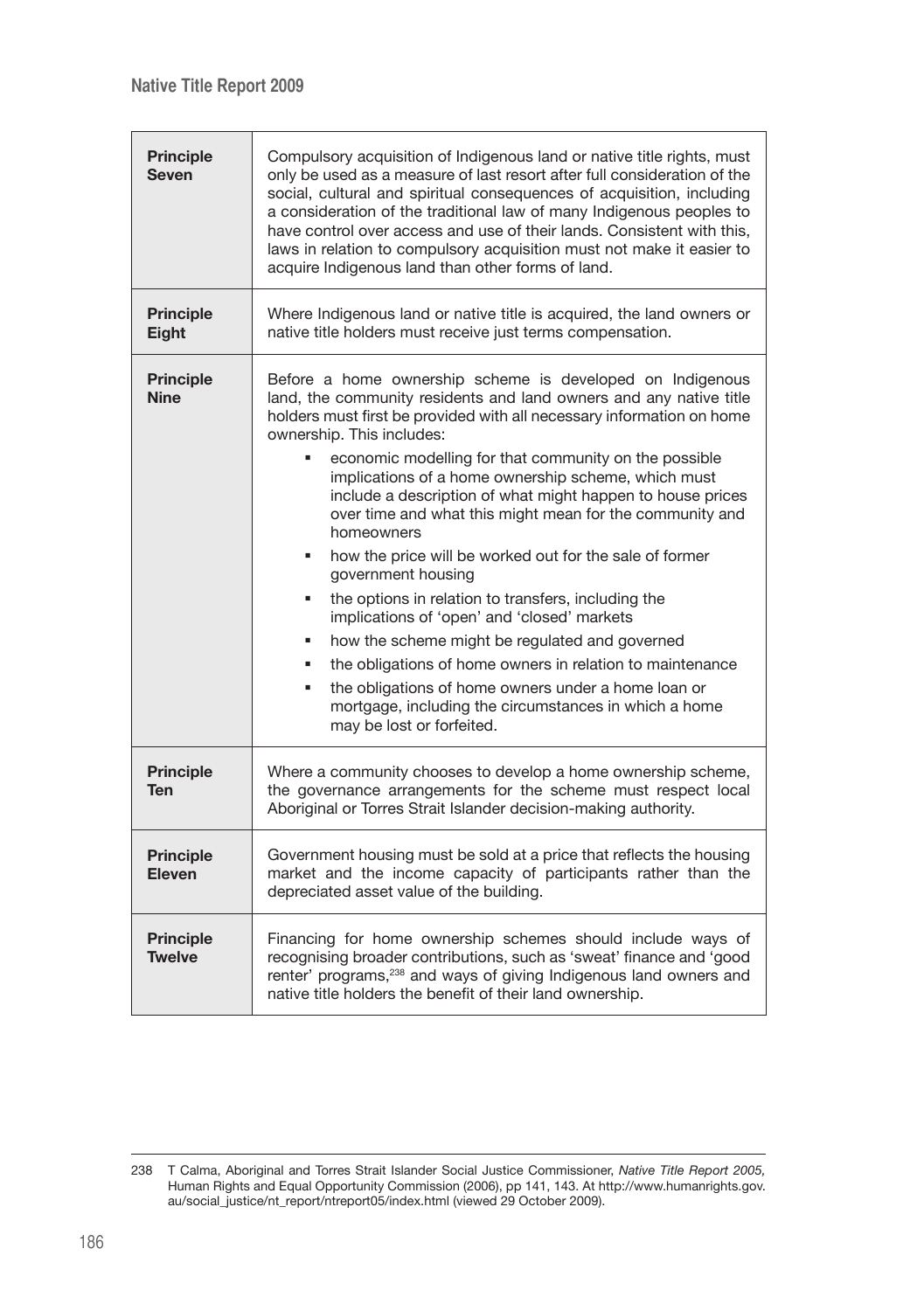| <b>Principle</b><br><b>Seven</b>  | Compulsory acquisition of Indigenous land or native title rights, must<br>only be used as a measure of last resort after full consideration of the<br>social, cultural and spiritual consequences of acquisition, including<br>a consideration of the traditional law of many Indigenous peoples to<br>have control over access and use of their lands. Consistent with this,<br>laws in relation to compulsory acquisition must not make it easier to<br>acquire Indigenous land than other forms of land.                                                                                                                                                                                                                                                                                                                                                                                                                                                  |  |
|-----------------------------------|--------------------------------------------------------------------------------------------------------------------------------------------------------------------------------------------------------------------------------------------------------------------------------------------------------------------------------------------------------------------------------------------------------------------------------------------------------------------------------------------------------------------------------------------------------------------------------------------------------------------------------------------------------------------------------------------------------------------------------------------------------------------------------------------------------------------------------------------------------------------------------------------------------------------------------------------------------------|--|
| <b>Principle</b><br><b>Eight</b>  | Where Indigenous land or native title is acquired, the land owners or<br>native title holders must receive just terms compensation.                                                                                                                                                                                                                                                                                                                                                                                                                                                                                                                                                                                                                                                                                                                                                                                                                          |  |
| <b>Principle</b><br><b>Nine</b>   | Before a home ownership scheme is developed on Indigenous<br>land, the community residents and land owners and any native title<br>holders must first be provided with all necessary information on home<br>ownership. This includes:<br>economic modelling for that community on the possible<br>×,<br>implications of a home ownership scheme, which must<br>include a description of what might happen to house prices<br>over time and what this might mean for the community and<br>homeowners<br>how the price will be worked out for the sale of former<br>government housing<br>the options in relation to transfers, including the<br>n,<br>implications of 'open' and 'closed' markets<br>how the scheme might be regulated and governed<br>the obligations of home owners in relation to maintenance<br>the obligations of home owners under a home loan or<br>mortgage, including the circumstances in which a home<br>may be lost or forfeited. |  |
| <b>Principle</b><br><b>Ten</b>    | Where a community chooses to develop a home ownership scheme,<br>the governance arrangements for the scheme must respect local<br>Aboriginal or Torres Strait Islander decision-making authority.                                                                                                                                                                                                                                                                                                                                                                                                                                                                                                                                                                                                                                                                                                                                                            |  |
| <b>Principle</b><br>Eleven        | Government housing must be sold at a price that reflects the housing<br>market and the income capacity of participants rather than the<br>depreciated asset value of the building.                                                                                                                                                                                                                                                                                                                                                                                                                                                                                                                                                                                                                                                                                                                                                                           |  |
| <b>Principle</b><br><b>Twelve</b> | Financing for home ownership schemes should include ways of<br>recognising broader contributions, such as 'sweat' finance and 'good<br>renter' programs, <sup>238</sup> and ways of giving Indigenous land owners and<br>native title holders the benefit of their land ownership.                                                                                                                                                                                                                                                                                                                                                                                                                                                                                                                                                                                                                                                                           |  |

<sup>238</sup> T Calma, Aboriginal and Torres Strait Islander Social Justice Commissioner, *Native Title Report 2005,* Human Rights and Equal Opportunity Commission (2006), pp 141, 143. At http://www.humanrights.gov. au/social\_justice/nt\_report/ntreport05/index.html (viewed 29 October 2009).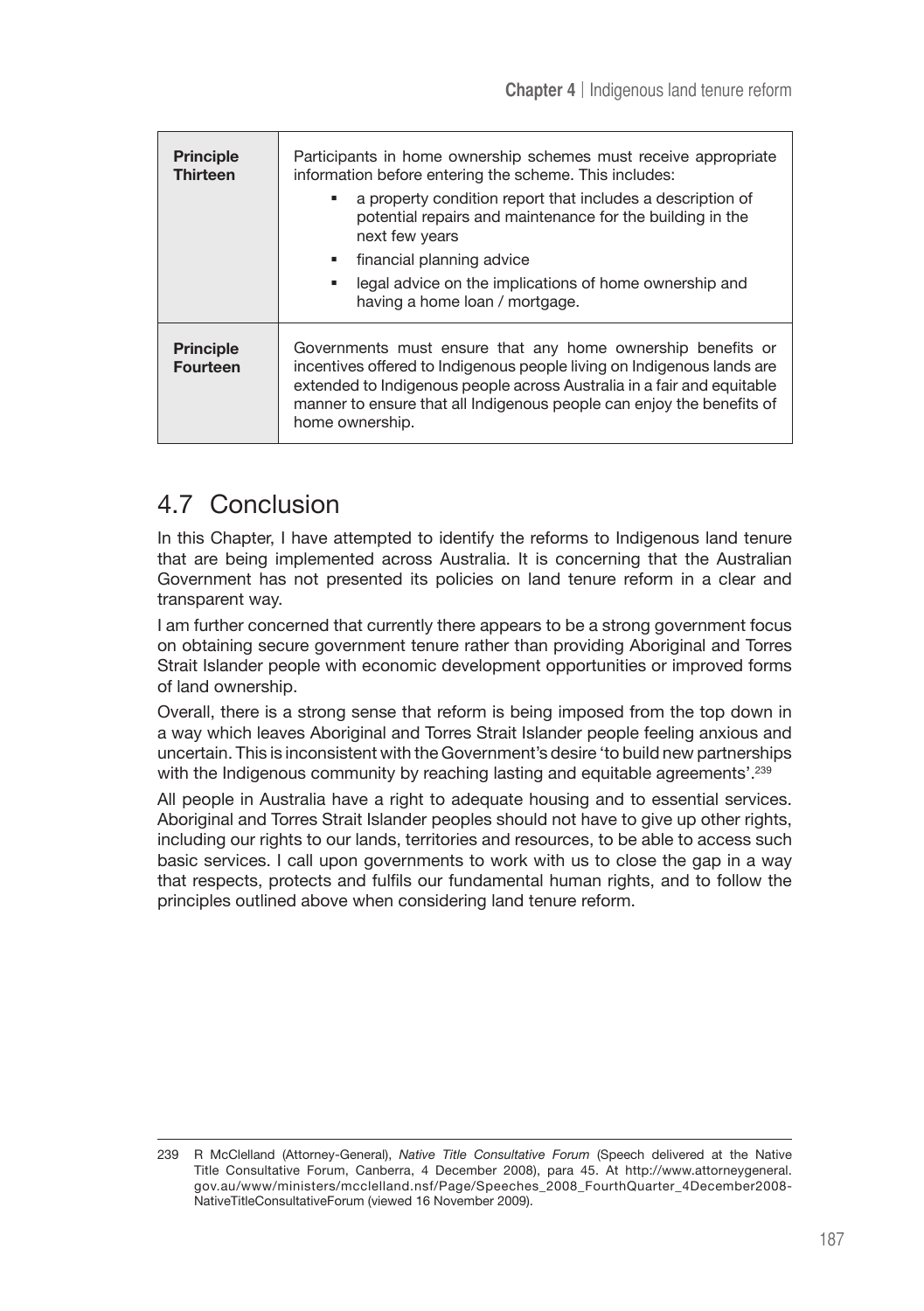| <b>Principle</b><br><b>Thirteen</b> | Participants in home ownership schemes must receive appropriate<br>information before entering the scheme. This includes:<br>a property condition report that includes a description of<br>potential repairs and maintenance for the building in the<br>next few years<br>financial planning advice<br>legal advice on the implications of home ownership and<br>having a home loan / mortgage. |
|-------------------------------------|-------------------------------------------------------------------------------------------------------------------------------------------------------------------------------------------------------------------------------------------------------------------------------------------------------------------------------------------------------------------------------------------------|
| <b>Principle</b><br><b>Fourteen</b> | Governments must ensure that any home ownership benefits or<br>incentives offered to Indigenous people living on Indigenous lands are<br>extended to Indigenous people across Australia in a fair and equitable<br>manner to ensure that all Indigenous people can enjoy the benefits of<br>home ownership.                                                                                     |

# 4.7 Conclusion

In this Chapter, I have attempted to identify the reforms to Indigenous land tenure that are being implemented across Australia. It is concerning that the Australian Government has not presented its policies on land tenure reform in a clear and transparent way.

I am further concerned that currently there appears to be a strong government focus on obtaining secure government tenure rather than providing Aboriginal and Torres Strait Islander people with economic development opportunities or improved forms of land ownership.

Overall, there is a strong sense that reform is being imposed from the top down in a way which leaves Aboriginal and Torres Strait Islander people feeling anxious and uncertain. This is inconsistent with the Government's desire 'to build new partnerships with the Indigenous community by reaching lasting and equitable agreements'.<sup>239</sup>

All people in Australia have a right to adequate housing and to essential services. Aboriginal and Torres Strait Islander peoples should not have to give up other rights, including our rights to our lands, territories and resources, to be able to access such basic services. I call upon governments to work with us to close the gap in a way that respects, protects and fulfils our fundamental human rights, and to follow the principles outlined above when considering land tenure reform.

<sup>239</sup> R McClelland (Attorney-General), *Native Title Consultative Forum* (Speech delivered at the Native Title Consultative Forum, Canberra, 4 December 2008), para 45. At http://www.attorneygeneral. gov.au/www/ministers/mcclelland.nsf/Page/Speeches\_2008\_FourthQuarter\_4December2008- NativeTitleConsultativeForum (viewed 16 November 2009).